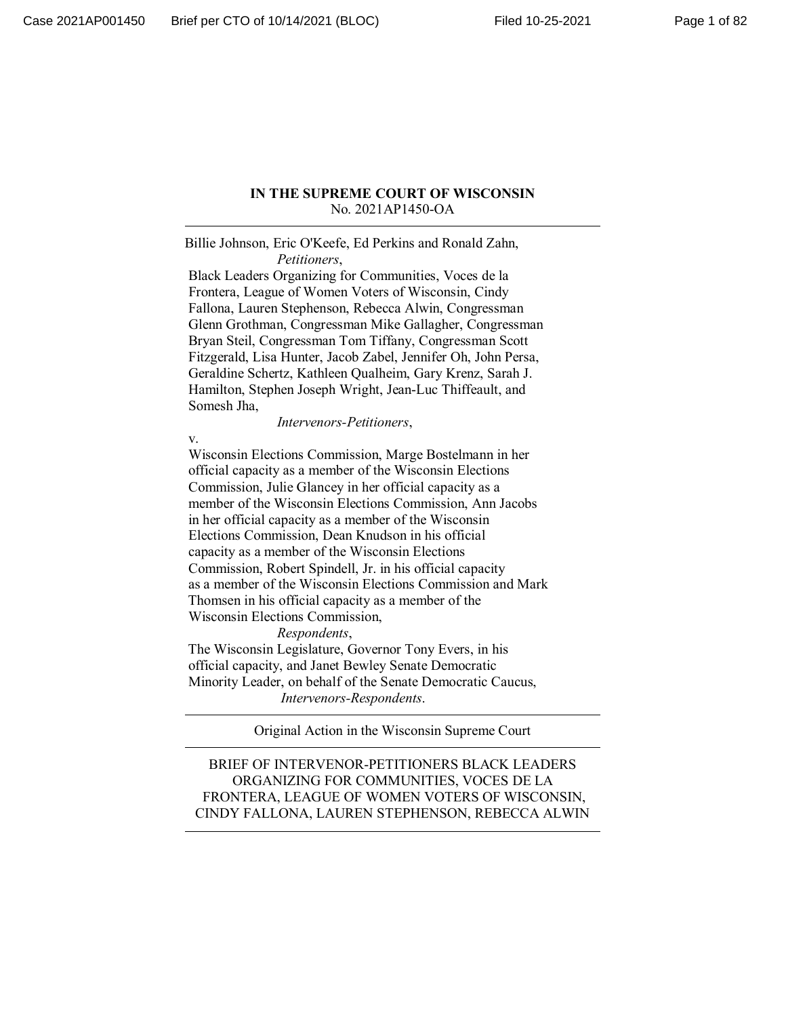#### **IN THE SUPREME COURT OF WISCONSIN** No. 2021AP1450-OA

Billie Johnson, Eric O'Keefe, Ed Perkins and Ronald Zahn, *Petitioners*,

 Black Leaders Organizing for Communities, Voces de la Frontera, League of Women Voters of Wisconsin, Cindy Fallona, Lauren Stephenson, Rebecca Alwin, Congressman Glenn Grothman, Congressman Mike Gallagher, Congressman Bryan Steil, Congressman Tom Tiffany, Congressman Scott Fitzgerald, Lisa Hunter, Jacob Zabel, Jennifer Oh, John Persa, Geraldine Schertz, Kathleen Qualheim, Gary Krenz, Sarah J. Hamilton, Stephen Joseph Wright, Jean-Luc Thiffeault, and Somesh Jha,

*Intervenors-Petitioners*,

v.

 Wisconsin Elections Commission, Marge Bostelmann in her official capacity as a member of the Wisconsin Elections Commission, Julie Glancey in her official capacity as a member of the Wisconsin Elections Commission, Ann Jacobs in her official capacity as a member of the Wisconsin Elections Commission, Dean Knudson in his official capacity as a member of the Wisconsin Elections Commission, Robert Spindell, Jr. in his official capacity as a member of the Wisconsin Elections Commission and Mark Thomsen in his official capacity as a member of the Wisconsin Elections Commission,

*Respondents*,

 The Wisconsin Legislature, Governor Tony Evers, in his official capacity, and Janet Bewley Senate Democratic Minority Leader, on behalf of the Senate Democratic Caucus, *Intervenors-Respondents*.

Original Action in the Wisconsin Supreme Court

BRIEF OF INTERVENOR-PETITIONERS BLACK LEADERS ORGANIZING FOR COMMUNITIES, VOCES DE LA FRONTERA, LEAGUE OF WOMEN VOTERS OF WISCONSIN, CINDY FALLONA, LAUREN STEPHENSON, REBECCA ALWIN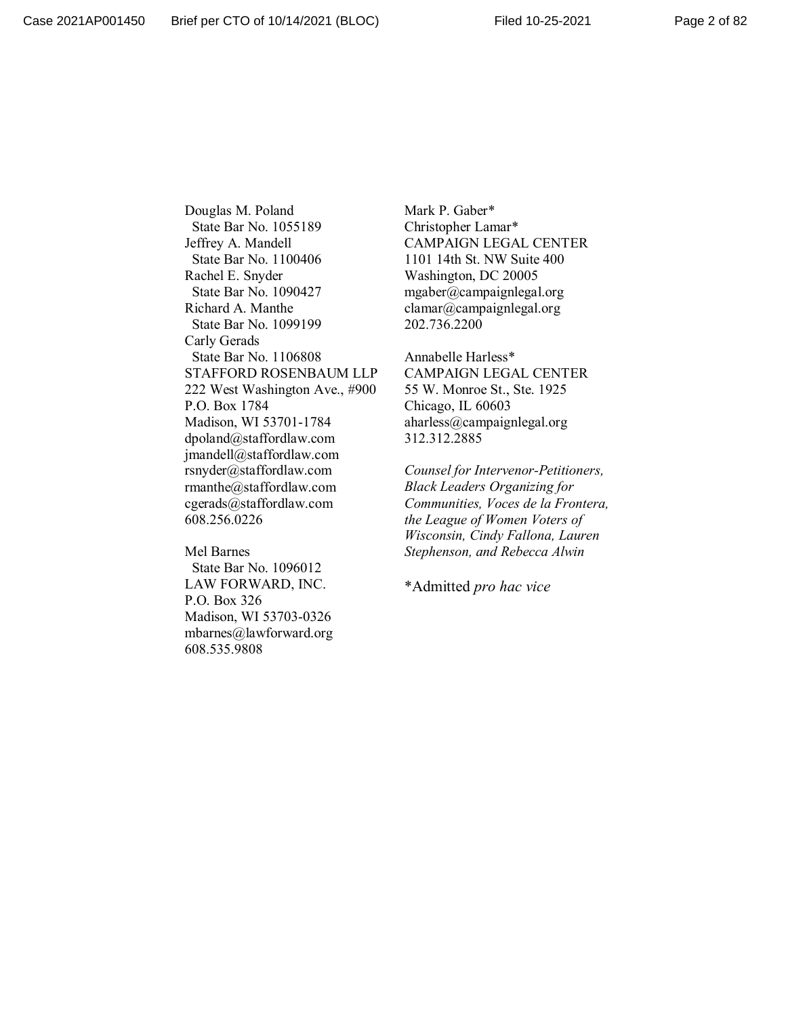Douglas M. Poland State Bar No. 1055189 Jeffrey A. Mandell State Bar No. 1100406 Rachel E. Snyder State Bar No. 1090427 Richard A. Manthe State Bar No. 1099199 Carly Gerads State Bar No. 1106808 STAFFORD ROSENBAUM LLP 222 West Washington Ave., #900 P.O. Box 1784 Madison, WI 53701-1784 dpoland@staffordlaw.com jmandell@staffordlaw.com rsnyder@staffordlaw.com rmanthe@staffordlaw.com cgerads@staffordlaw.com 608.256.0226

Mel Barnes State Bar No. 1096012 LAW FORWARD, INC. P.O. Box 326 Madison, WI 53703-0326 mbarnes@lawforward.org 608.535.9808

Mark P. Gaber\* Christopher Lamar\* CAMPAIGN LEGAL CENTER 1101 14th St. NW Suite 400 Washington, DC 20005 mgaber@campaignlegal.org clamar@campaignlegal.org 202.736.2200

Annabelle Harless\* CAMPAIGN LEGAL CENTER 55 W. Monroe St., Ste. 1925 Chicago, IL 60603 aharless@campaignlegal.org 312.312.2885

*Counsel for Intervenor-Petitioners, Black Leaders Organizing for Communities, Voces de la Frontera, the League of Women Voters of Wisconsin, Cindy Fallona, Lauren Stephenson, and Rebecca Alwin*

\*Admitted *pro hac vice*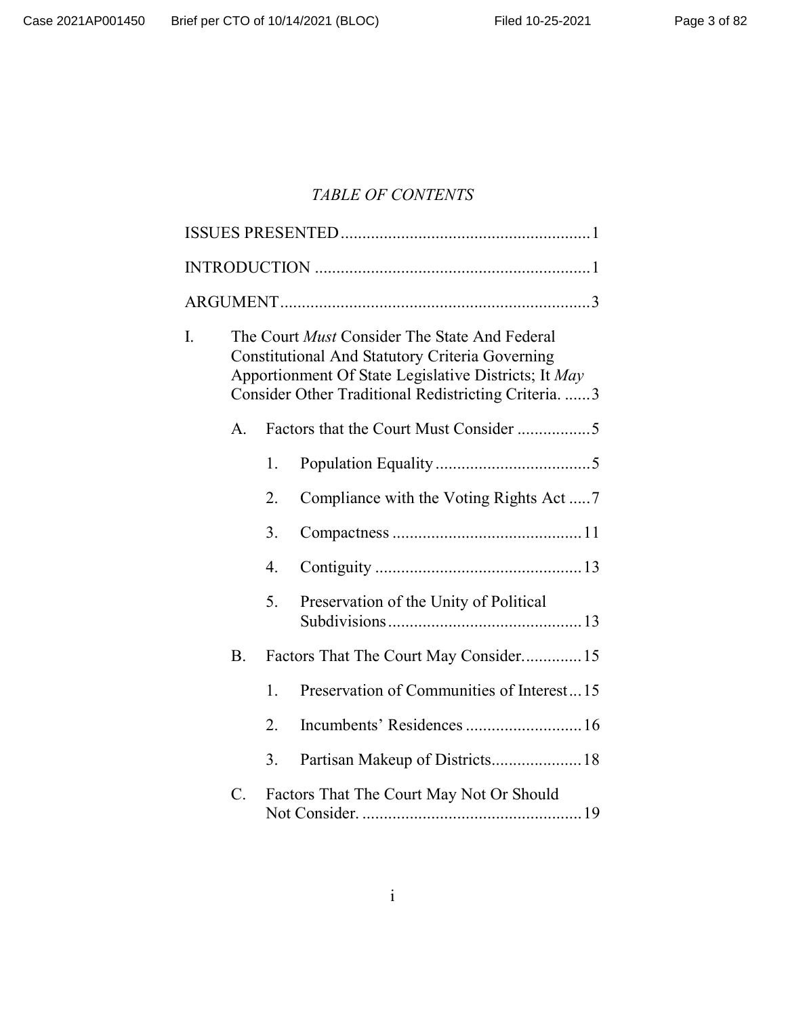# *TABLE OF CONTENTS*

| I. |           | The Court <i>Must</i> Consider The State And Federal<br><b>Constitutional And Statutory Criteria Governing</b><br>Apportionment Of State Legislative Districts; It May<br>Consider Other Traditional Redistricting Criteria.  3 |                                           |
|----|-----------|---------------------------------------------------------------------------------------------------------------------------------------------------------------------------------------------------------------------------------|-------------------------------------------|
|    | A.        |                                                                                                                                                                                                                                 |                                           |
|    |           | 1.                                                                                                                                                                                                                              |                                           |
|    |           | 2.                                                                                                                                                                                                                              | Compliance with the Voting Rights Act 7   |
|    |           | 3.                                                                                                                                                                                                                              |                                           |
|    |           | 4.                                                                                                                                                                                                                              |                                           |
|    |           | 5.                                                                                                                                                                                                                              | Preservation of the Unity of Political    |
|    | <b>B.</b> |                                                                                                                                                                                                                                 | Factors That The Court May Consider 15    |
|    |           | 1.                                                                                                                                                                                                                              | Preservation of Communities of Interest15 |
|    |           | 2.                                                                                                                                                                                                                              | Incumbents' Residences  16                |
|    |           | 3.                                                                                                                                                                                                                              | Partisan Makeup of Districts 18           |
|    | C.        |                                                                                                                                                                                                                                 | Factors That The Court May Not Or Should  |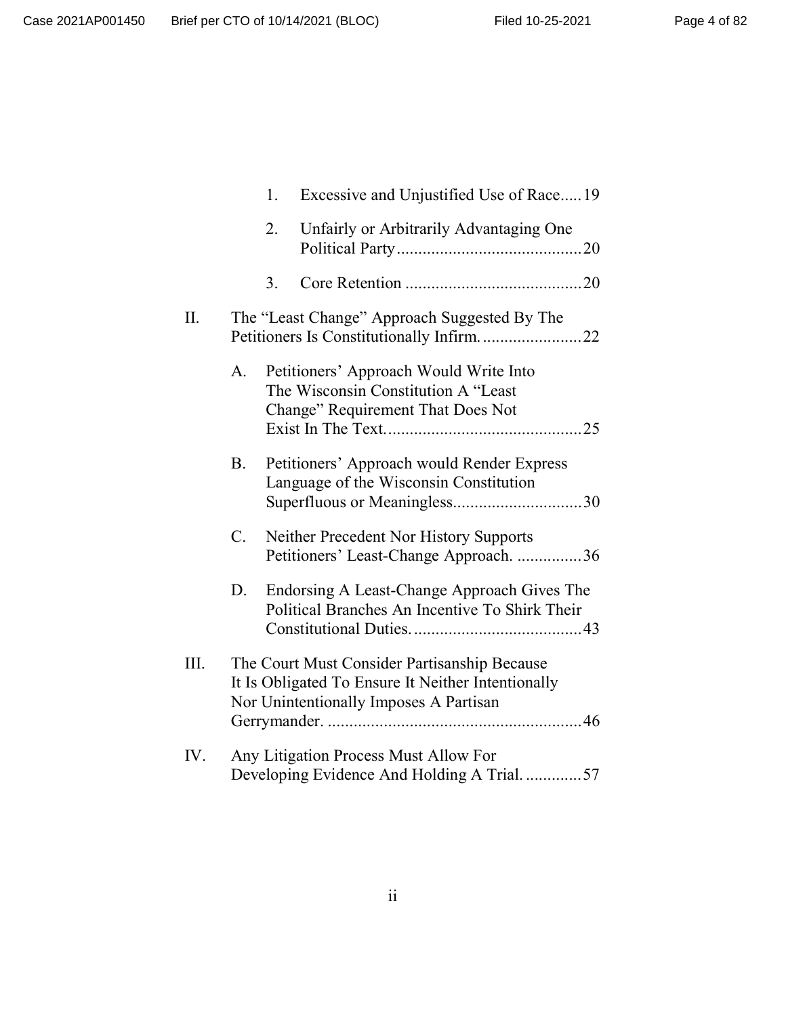|      |             | 1. | Excessive and Unjustified Use of Race19                                                                                                      |  |
|------|-------------|----|----------------------------------------------------------------------------------------------------------------------------------------------|--|
|      |             | 2. | Unfairly or Arbitrarily Advantaging One                                                                                                      |  |
|      |             | 3. |                                                                                                                                              |  |
| П.   |             |    | The "Least Change" Approach Suggested By The<br>Petitioners Is Constitutionally Infirm22                                                     |  |
|      | A.          |    | Petitioners' Approach Would Write Into<br>The Wisconsin Constitution A "Least<br>Change" Requirement That Does Not                           |  |
|      | <b>B.</b>   |    | Petitioners' Approach would Render Express<br>Language of the Wisconsin Constitution                                                         |  |
|      | $C_{\cdot}$ |    | Neither Precedent Nor History Supports<br>Petitioners' Least-Change Approach. 36                                                             |  |
|      | D.          |    | Endorsing A Least-Change Approach Gives The<br>Political Branches An Incentive To Shirk Their                                                |  |
| III. |             |    | The Court Must Consider Partisanship Because<br>It Is Obligated To Ensure It Neither Intentionally<br>Nor Unintentionally Imposes A Partisan |  |
| IV.  |             |    | Any Litigation Process Must Allow For<br>Developing Evidence And Holding A Trial57                                                           |  |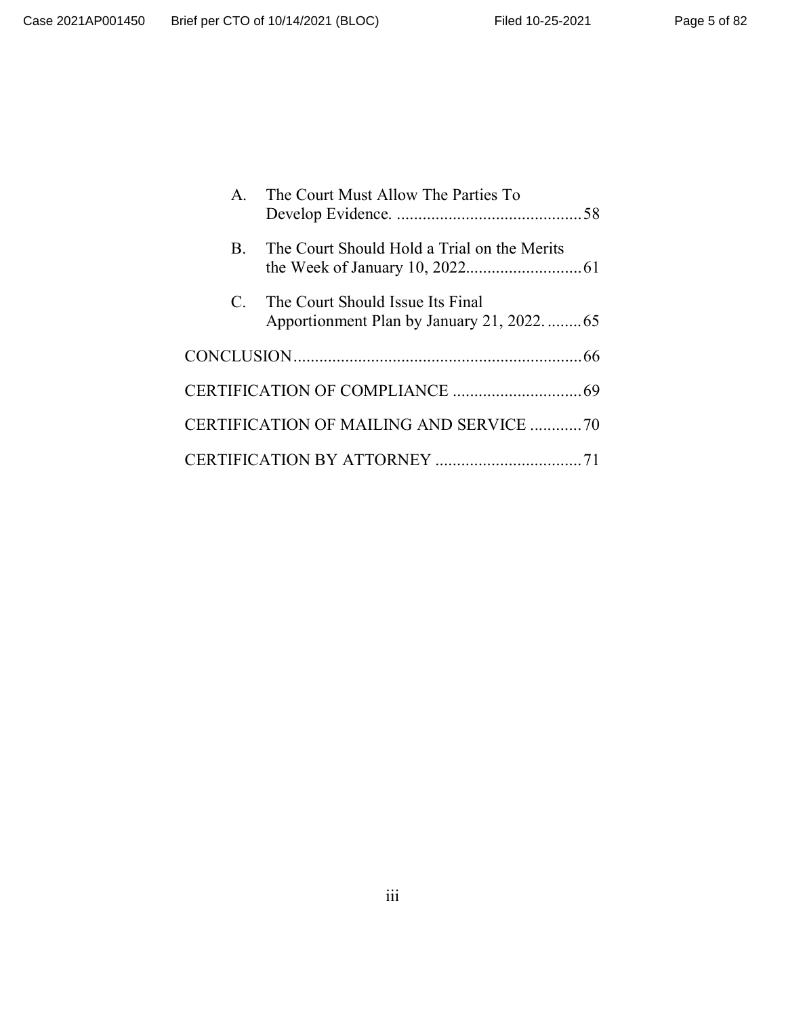| $\mathbf{A}$   | The Court Must Allow The Parties To                                             |
|----------------|---------------------------------------------------------------------------------|
| $\mathbf{B}$ . | The Court Should Hold a Trial on the Merits                                     |
| $\mathcal{C}$  | The Court Should Issue Its Final<br>Apportionment Plan by January 21, 2022.  65 |
|                |                                                                                 |
|                |                                                                                 |
|                | CERTIFICATION OF MAILING AND SERVICE 70                                         |
|                |                                                                                 |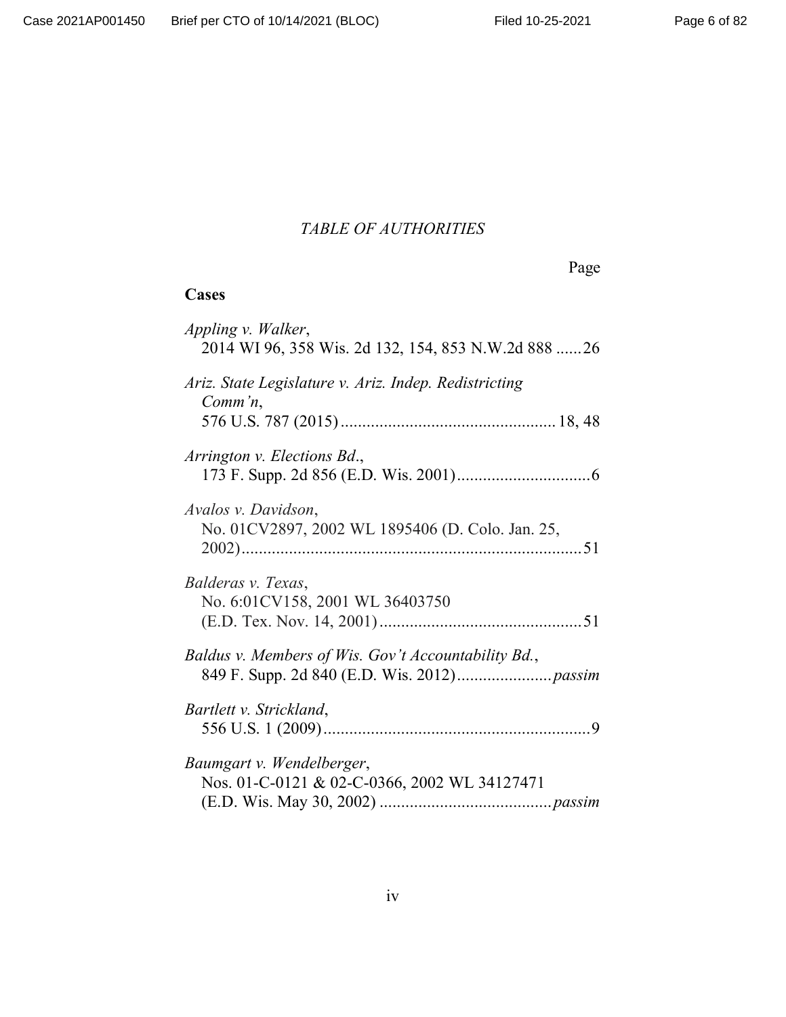# *TABLE OF AUTHORITIES*

# **Cases**

| Appling v. Walker,<br>2014 WI 96, 358 Wis. 2d 132, 154, 853 N.W.2d 888 26 |
|---------------------------------------------------------------------------|
| Ariz. State Legislature v. Ariz. Indep. Redistricting<br>$Comm'n$ ,       |
| Arrington v. Elections Bd.,                                               |
| Avalos v. Davidson,<br>No. 01CV2897, 2002 WL 1895406 (D. Colo. Jan. 25,   |
| Balderas v. Texas,<br>No. 6:01CV158, 2001 WL 36403750                     |
| Baldus v. Members of Wis. Gov't Accountability Bd.,                       |
| Bartlett v. Strickland,                                                   |
| Baumgart v. Wendelberger,<br>Nos. 01-C-0121 & 02-C-0366, 2002 WL 34127471 |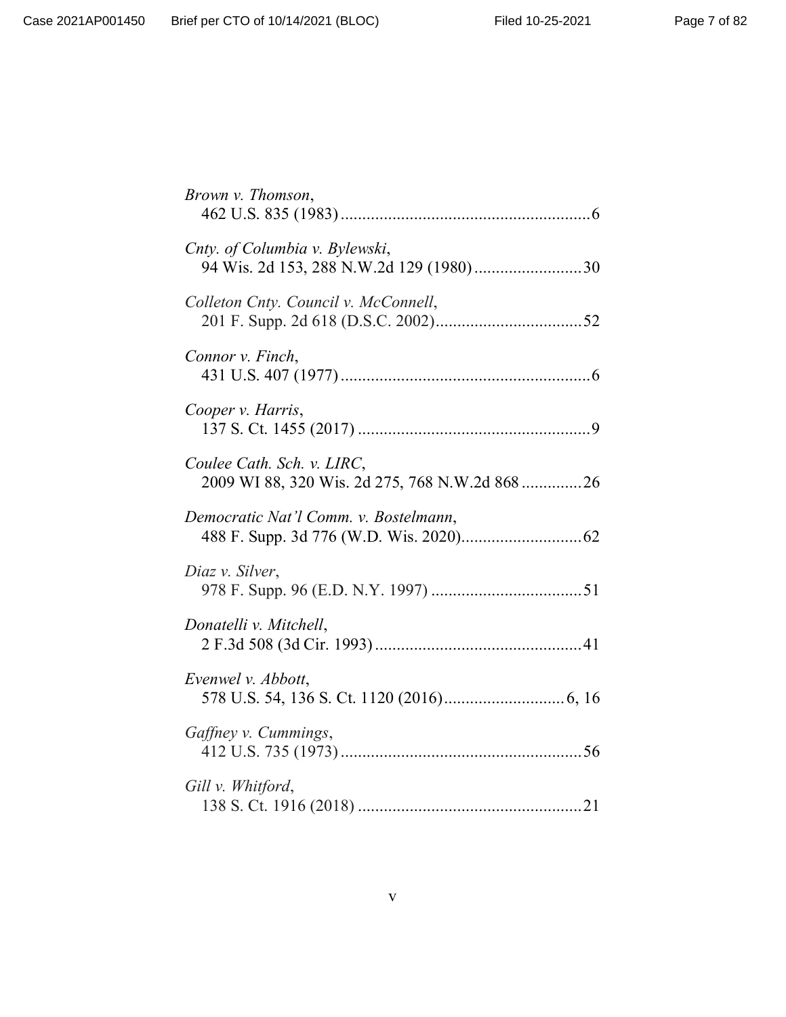| Brown v. Thomson,                                                            |  |
|------------------------------------------------------------------------------|--|
| Cnty. of Columbia v. Bylewski,                                               |  |
| Colleton Cnty. Council v. McConnell,                                         |  |
| Connor v. Finch,                                                             |  |
| Cooper v. Harris,                                                            |  |
| Coulee Cath. Sch. v. LIRC,<br>2009 WI 88, 320 Wis. 2d 275, 768 N.W.2d 868 26 |  |
| Democratic Nat'l Comm. v. Bostelmann,                                        |  |
| Diaz v. Silver,                                                              |  |
| Donatelli v. Mitchell,                                                       |  |
| Evenwel v. Abbott,                                                           |  |
| Gaffney v. Cummings,                                                         |  |
| Gill v. Whitford,                                                            |  |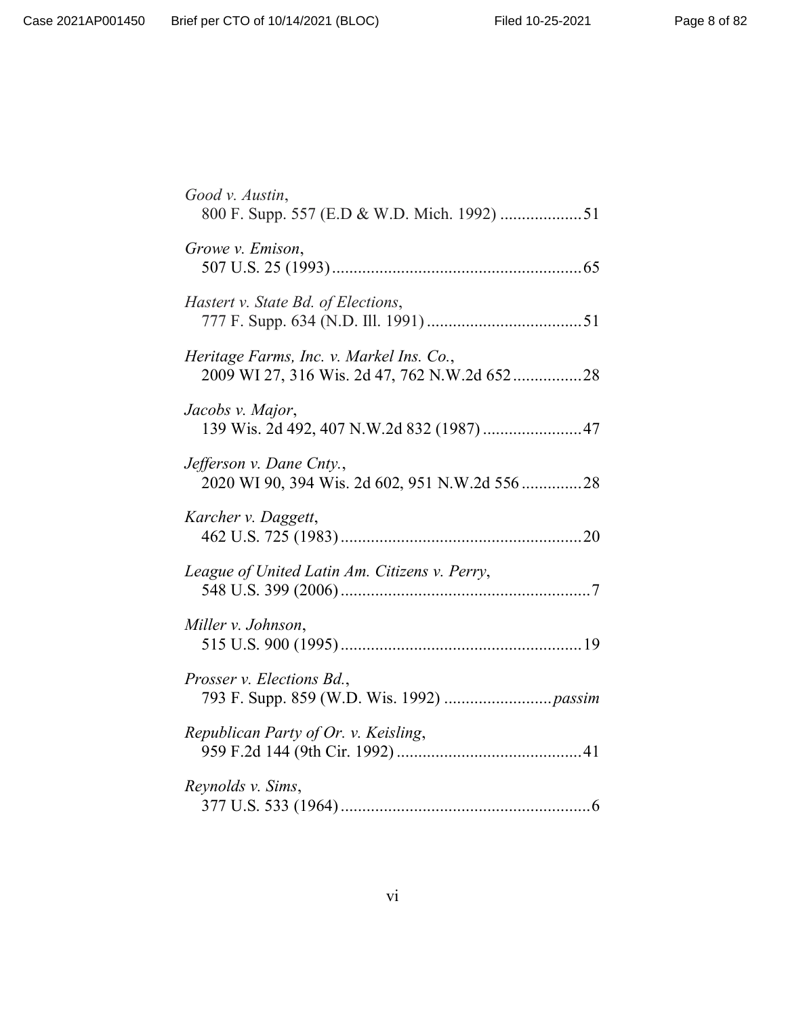| Good v. Austin,<br>800 F. Supp. 557 (E.D & W.D. Mich. 1992) 51                           |  |
|------------------------------------------------------------------------------------------|--|
| Growe v. Emison,                                                                         |  |
| Hastert v. State Bd. of Elections,                                                       |  |
| Heritage Farms, Inc. v. Markel Ins. Co.,<br>2009 WI 27, 316 Wis. 2d 47, 762 N.W.2d 65228 |  |
| Jacobs v. Major,<br>139 Wis. 2d 492, 407 N.W.2d 832 (1987) 47                            |  |
| Jefferson v. Dane Cnty.,<br>2020 WI 90, 394 Wis. 2d 602, 951 N.W.2d 556 28               |  |
| Karcher v. Daggett,                                                                      |  |
| League of United Latin Am. Citizens v. Perry,                                            |  |
| Miller v. Johnson,                                                                       |  |
| Prosser v. Elections Bd.,                                                                |  |
| Republican Party of Or. v. Keisling,                                                     |  |
| Reynolds v. Sims,                                                                        |  |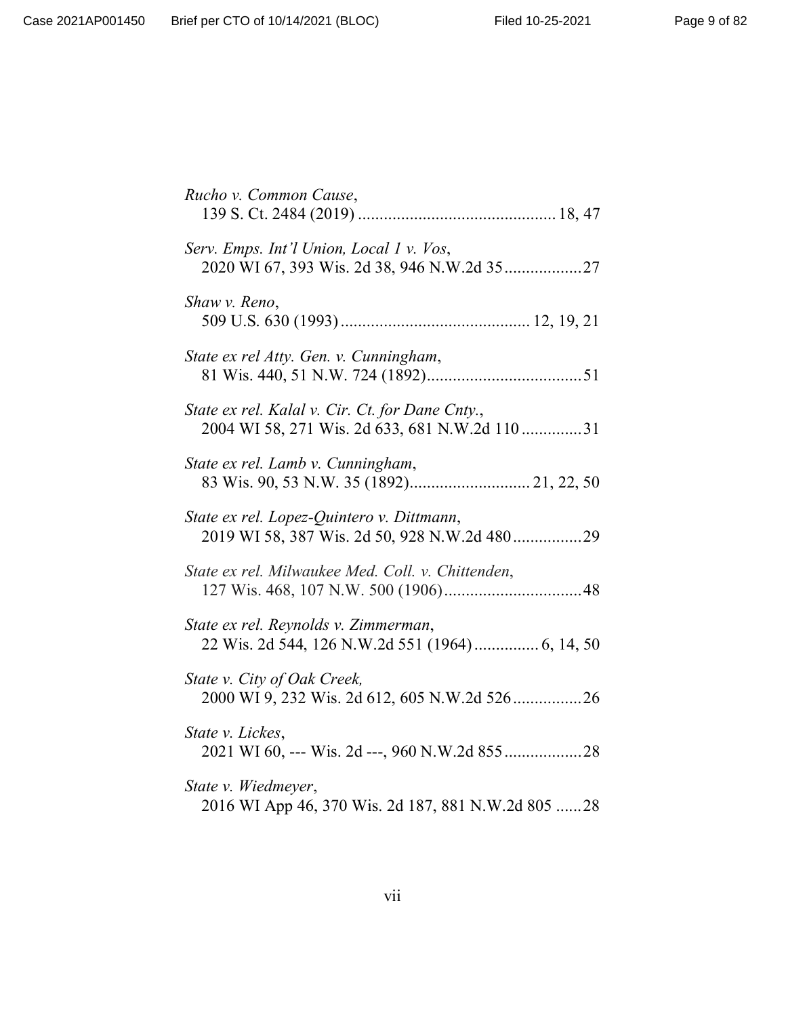| Rucho v. Common Cause,                                                                            |
|---------------------------------------------------------------------------------------------------|
| Serv. Emps. Int'l Union, Local 1 v. Vos,                                                          |
| Shaw v. Reno,                                                                                     |
| State ex rel Atty. Gen. v. Cunningham,                                                            |
| State ex rel. Kalal v. Cir. Ct. for Dane Cnty.,<br>2004 WI 58, 271 Wis. 2d 633, 681 N.W.2d 110 31 |
| State ex rel. Lamb v. Cunningham,<br>83 Wis. 90, 53 N.W. 35 (1892) 21, 22, 50                     |
| State ex rel. Lopez-Quintero v. Dittmann,<br>2019 WI 58, 387 Wis. 2d 50, 928 N.W.2d 48029         |
| State ex rel. Milwaukee Med. Coll. v. Chittenden,                                                 |
| State ex rel. Reynolds v. Zimmerman,<br>22 Wis. 2d 544, 126 N.W.2d 551 (1964)  6, 14, 50          |
| State v. City of Oak Creek,<br>2000 WI 9, 232 Wis. 2d 612, 605 N.W.2d 52626                       |
| State v. Lickes,                                                                                  |
| State v. Wiedmeyer,<br>2016 WI App 46, 370 Wis. 2d 187, 881 N.W.2d 805  28                        |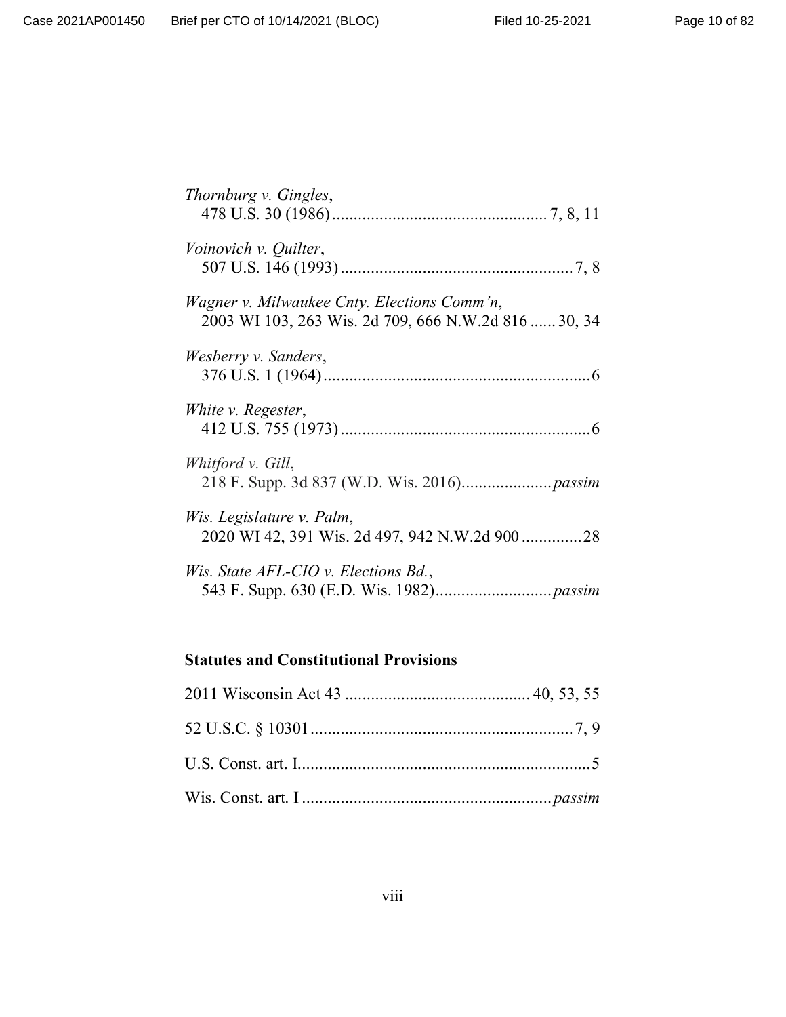| Thornburg v. Gingles,                                                                                      |
|------------------------------------------------------------------------------------------------------------|
| Voinovich v. Quilter,                                                                                      |
| <i>Wagner v. Milwaukee Cnty. Elections Comm'n,</i><br>2003 WI 103, 263 Wis. 2d 709, 666 N.W.2d 816  30, 34 |
| Wesberry v. Sanders,                                                                                       |
| White v. Regester,                                                                                         |
| Whitford v. Gill,                                                                                          |
| Wis. Legislature v. Palm,                                                                                  |
| Wis. State AFL-CIO v. Elections Bd.,                                                                       |

# **Statutes and Constitutional Provisions**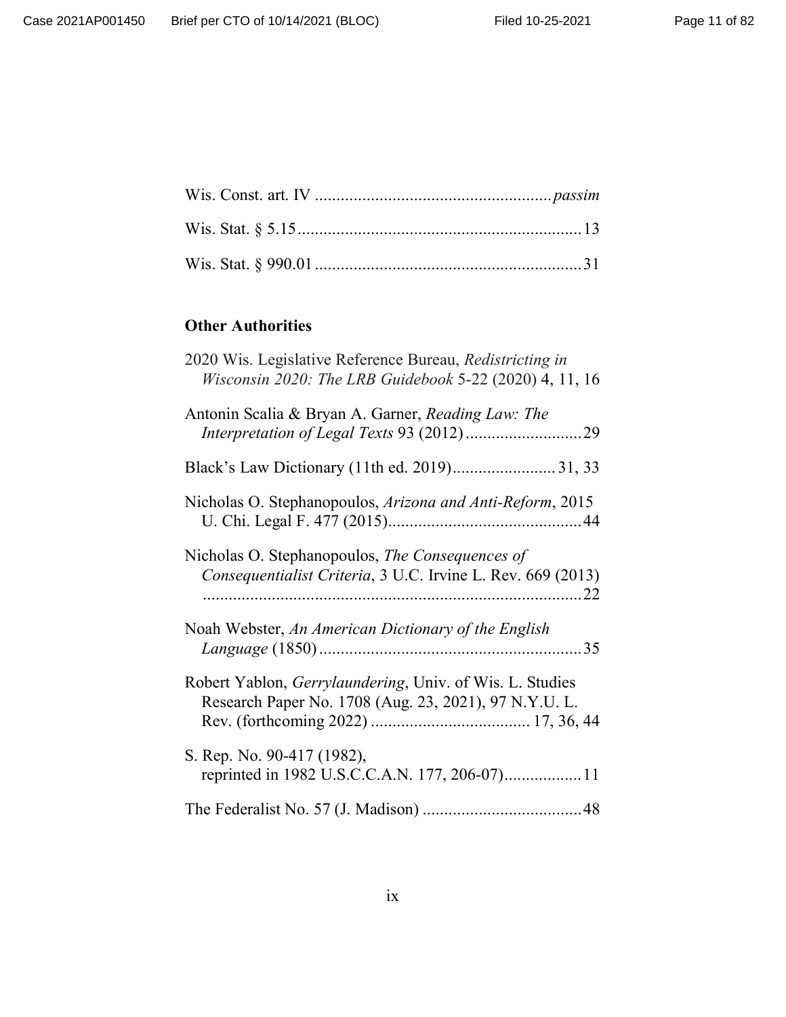# **Other Authorities**

| 2020 Wis. Legislative Reference Bureau, Redistricting in<br>Wisconsin 2020: The LRB Guidebook 5-22 (2020) 4, 11, 16 |
|---------------------------------------------------------------------------------------------------------------------|
| Antonin Scalia & Bryan A. Garner, Reading Law: The                                                                  |
|                                                                                                                     |
| Nicholas O. Stephanopoulos, Arizona and Anti-Reform, 2015                                                           |
| Nicholas O. Stephanopoulos, The Consequences of<br>Consequentialist Criteria, 3 U.C. Irvine L. Rev. 669 (2013)      |
| Noah Webster, An American Dictionary of the English                                                                 |
| Robert Yablon, Gerrylaundering, Univ. of Wis. L. Studies<br>Research Paper No. 1708 (Aug. 23, 2021), 97 N.Y.U. L.   |
| S. Rep. No. 90-417 (1982),                                                                                          |
|                                                                                                                     |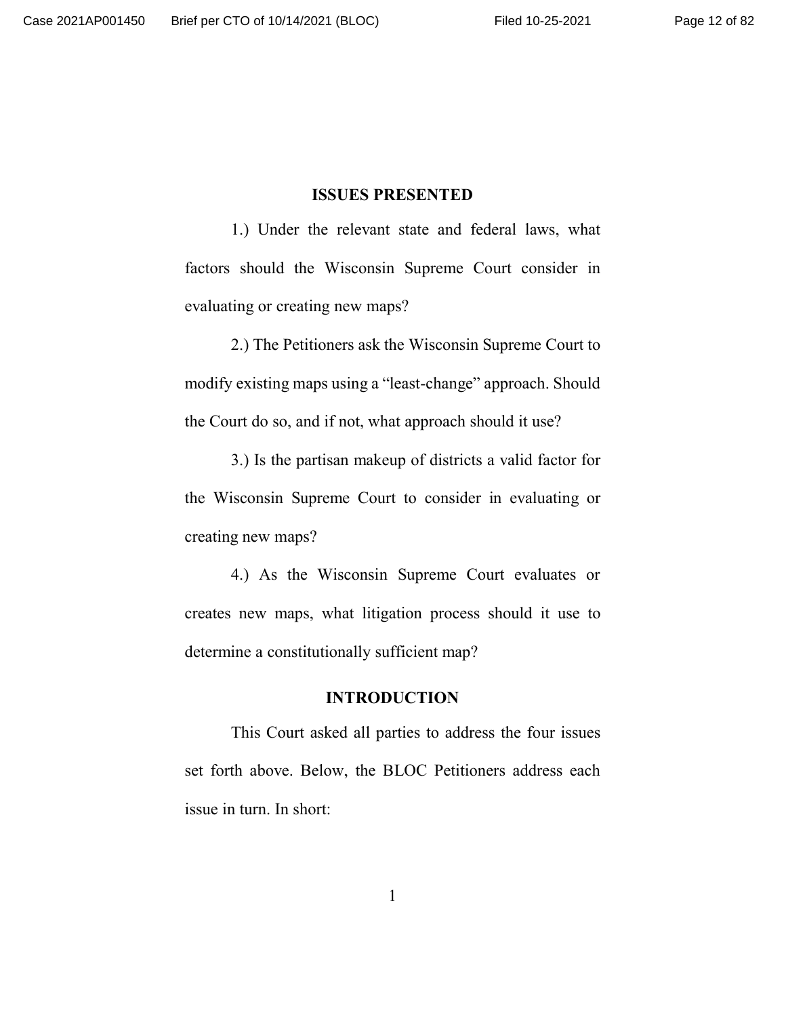#### **ISSUES PRESENTED**

1.) Under the relevant state and federal laws, what factors should the Wisconsin Supreme Court consider in evaluating or creating new maps?

2.) The Petitioners ask the Wisconsin Supreme Court to modify existing maps using a "least-change" approach. Should the Court do so, and if not, what approach should it use?

3.) Is the partisan makeup of districts a valid factor for the Wisconsin Supreme Court to consider in evaluating or creating new maps?

4.) As the Wisconsin Supreme Court evaluates or creates new maps, what litigation process should it use to determine a constitutionally sufficient map?

## **INTRODUCTION**

This Court asked all parties to address the four issues set forth above. Below, the BLOC Petitioners address each issue in turn. In short: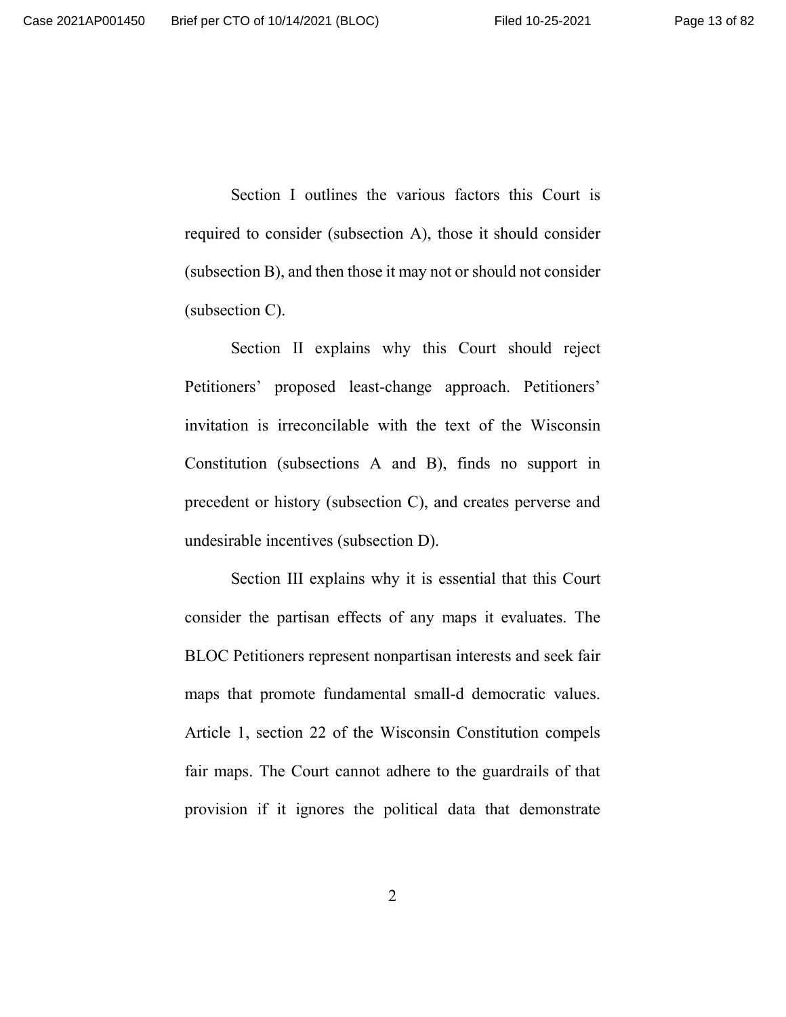Section I outlines the various factors this Court is required to consider (subsection A), those it should consider (subsection B), and then those it may not or should not consider (subsection C).

Section II explains why this Court should reject Petitioners' proposed least-change approach. Petitioners' invitation is irreconcilable with the text of the Wisconsin Constitution (subsections A and B), finds no support in precedent or history (subsection C), and creates perverse and undesirable incentives (subsection D).

Section III explains why it is essential that this Court consider the partisan effects of any maps it evaluates. The BLOC Petitioners represent nonpartisan interests and seek fair maps that promote fundamental small-d democratic values. Article 1, section 22 of the Wisconsin Constitution compels fair maps. The Court cannot adhere to the guardrails of that provision if it ignores the political data that demonstrate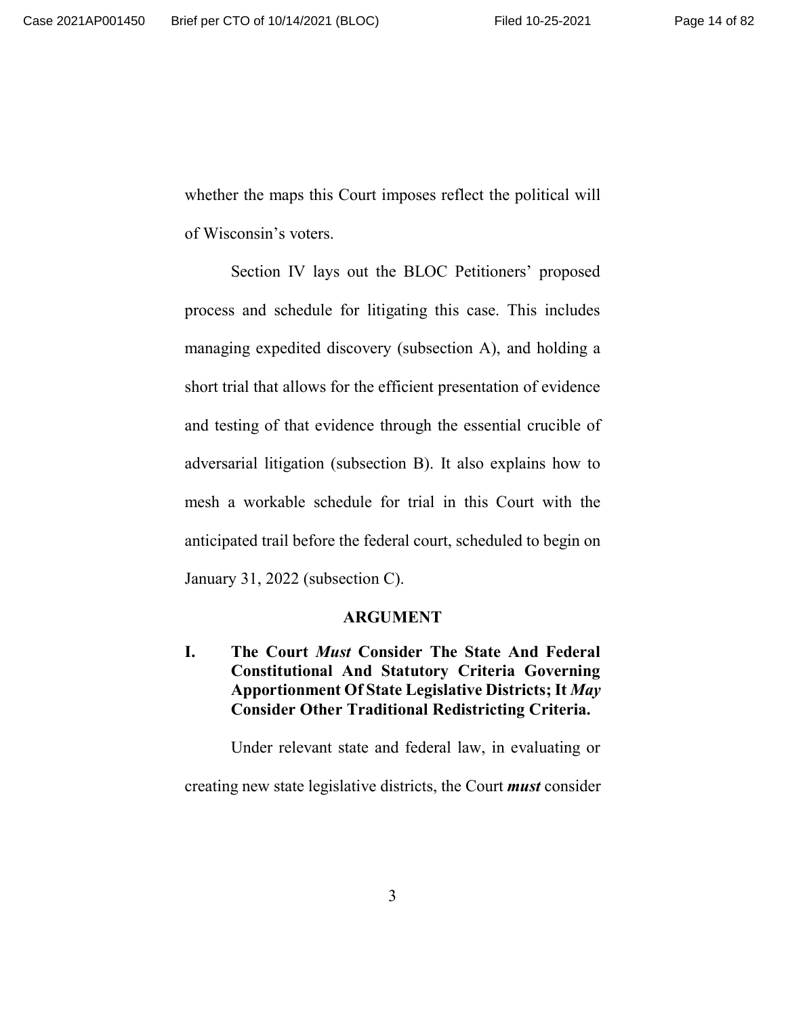whether the maps this Court imposes reflect the political will of Wisconsin's voters.

Section IV lays out the BLOC Petitioners' proposed process and schedule for litigating this case. This includes managing expedited discovery (subsection A), and holding a short trial that allows for the efficient presentation of evidence and testing of that evidence through the essential crucible of adversarial litigation (subsection B). It also explains how to mesh a workable schedule for trial in this Court with the anticipated trail before the federal court, scheduled to begin on January 31, 2022 (subsection C).

#### **ARGUMENT**

**I. The Court** *Must* **Consider The State And Federal Constitutional And Statutory Criteria Governing Apportionment Of State Legislative Districts; It** *May* **Consider Other Traditional Redistricting Criteria.**

Under relevant state and federal law, in evaluating or

creating new state legislative districts, the Court *must* consider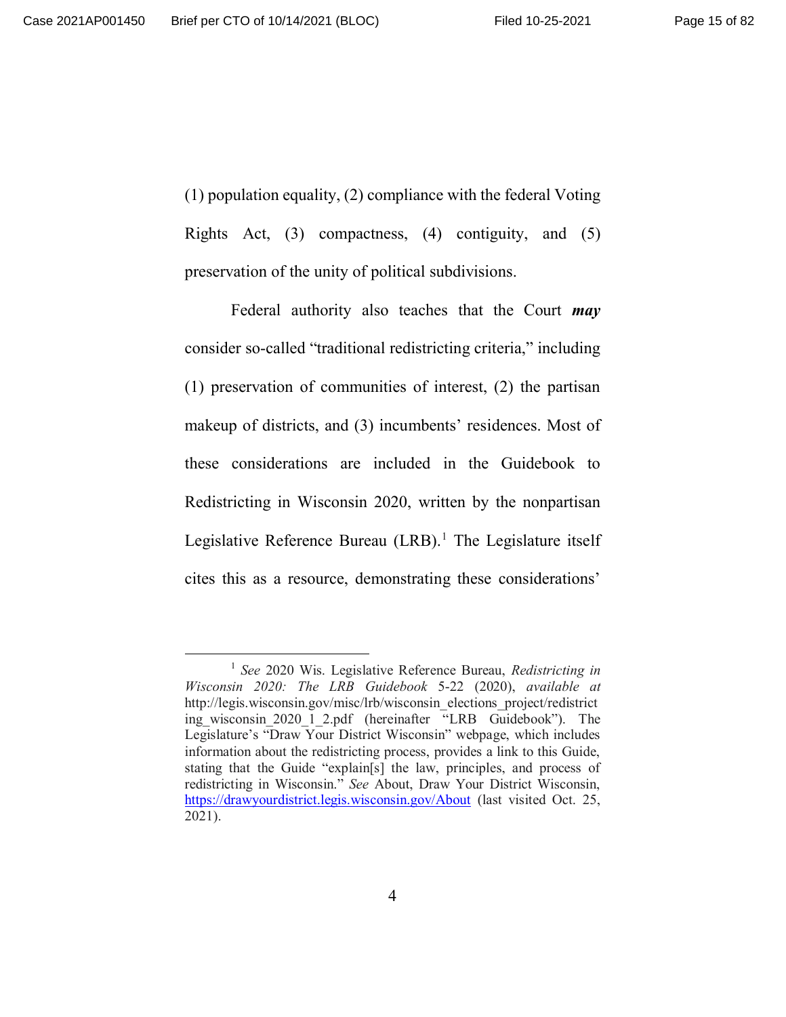(1) population equality, (2) compliance with the federal Voting Rights Act, (3) compactness, (4) contiguity, and (5) preservation of the unity of political subdivisions.

Federal authority also teaches that the Court *may* consider so-called "traditional redistricting criteria," including (1) preservation of communities of interest, (2) the partisan makeup of districts, and (3) incumbents' residences. Most of these considerations are included in the Guidebook to Redistricting in Wisconsin 2020, written by the nonpartisan Legislative Reference Bureau (LRB).<sup>1</sup> The Legislature itself cites this as a resource, demonstrating these considerations'

<sup>1</sup> *See* 2020 Wis. Legislative Reference Bureau, *Redistricting in Wisconsin 2020: The LRB Guidebook* 5-22 (2020), *available at* http://legis.wisconsin.gov/misc/lrb/wisconsin\_elections\_project/redistrict ing wisconsin 2020 1 2.pdf (hereinafter "LRB Guidebook"). The Legislature's "Draw Your District Wisconsin" webpage, which includes information about the redistricting process, provides a link to this Guide, stating that the Guide "explain[s] the law, principles, and process of redistricting in Wisconsin." *See* About, Draw Your District Wisconsin, https://drawyourdistrict.legis.wisconsin.gov/About (last visited Oct. 25, 2021).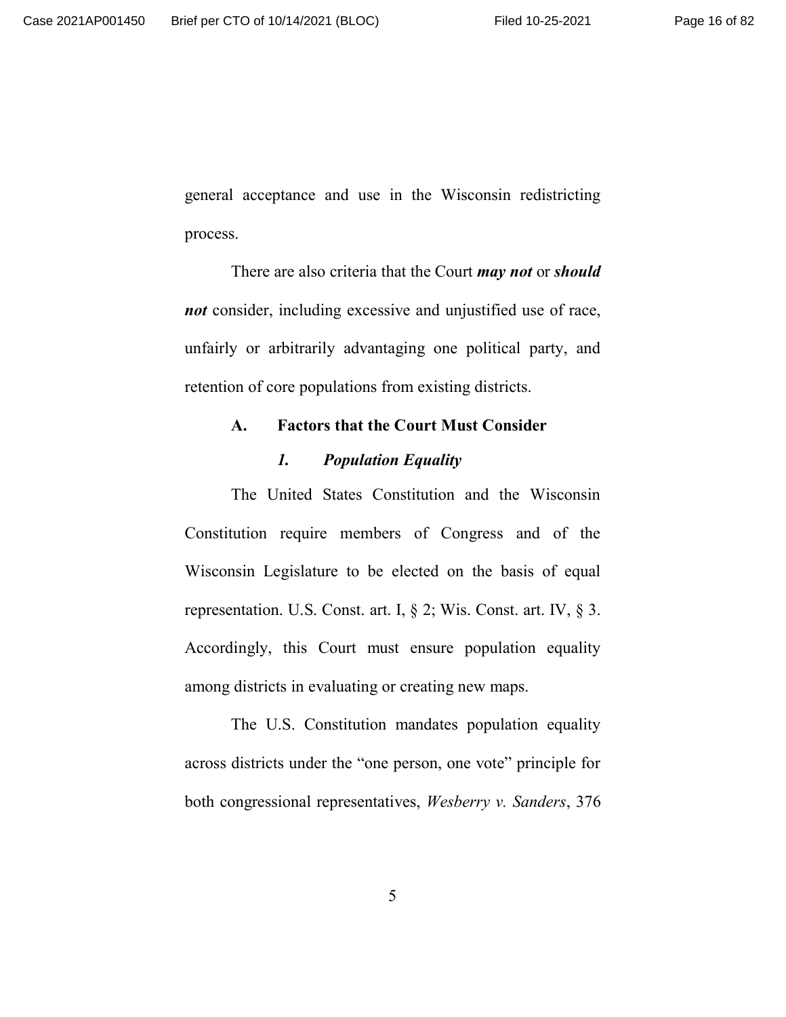general acceptance and use in the Wisconsin redistricting process.

There are also criteria that the Court *may not* or *should not* consider, including excessive and unjustified use of race, unfairly or arbitrarily advantaging one political party, and retention of core populations from existing districts.

# **A. Factors that the Court Must Consider**

# *1. Population Equality*

The United States Constitution and the Wisconsin Constitution require members of Congress and of the Wisconsin Legislature to be elected on the basis of equal representation. U.S. Const. art. I, § 2; Wis. Const. art. IV, § 3. Accordingly, this Court must ensure population equality among districts in evaluating or creating new maps.

The U.S. Constitution mandates population equality across districts under the "one person, one vote" principle for both congressional representatives, *Wesberry v. Sanders*, 376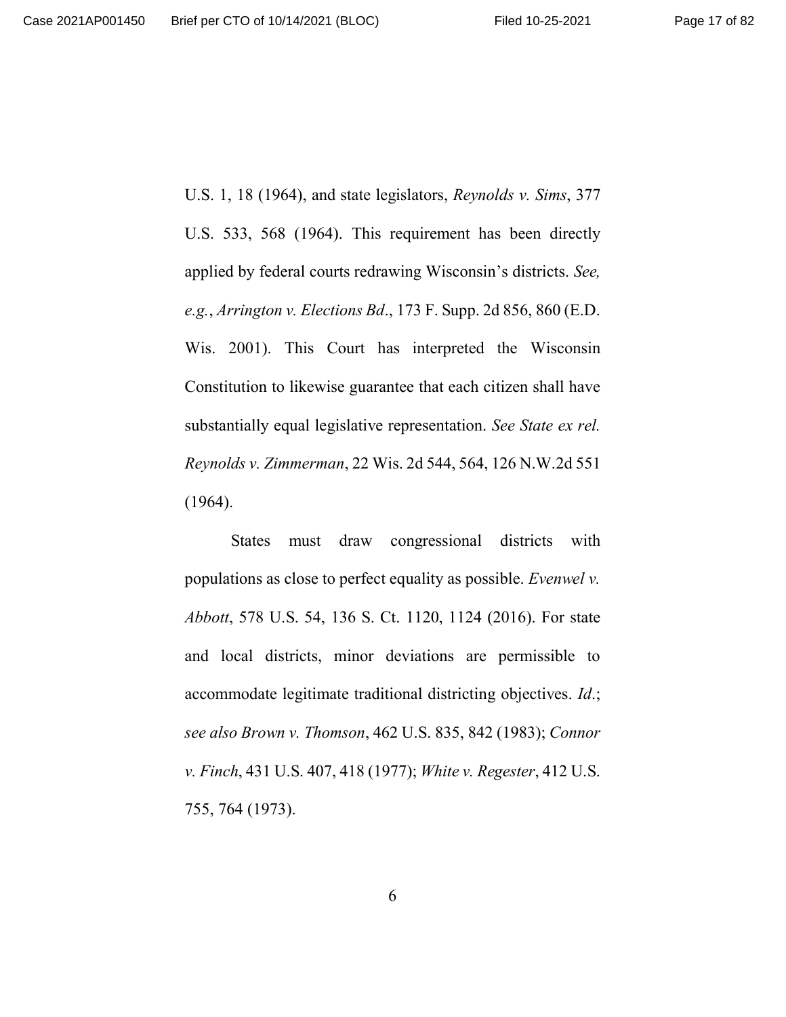U.S. 1, 18 (1964), and state legislators, *Reynolds v. Sims*, 377 U.S. 533, 568 (1964). This requirement has been directly applied by federal courts redrawing Wisconsin's districts. *See, e.g.*, *Arrington v. Elections Bd*., 173 F. Supp. 2d 856, 860 (E.D. Wis. 2001). This Court has interpreted the Wisconsin Constitution to likewise guarantee that each citizen shall have substantially equal legislative representation. *See State ex rel. Reynolds v. Zimmerman*, 22 Wis. 2d 544, 564, 126 N.W.2d 551 (1964).

States must draw congressional districts with populations as close to perfect equality as possible. *Evenwel v. Abbott*, 578 U.S. 54, 136 S. Ct. 1120, 1124 (2016). For state and local districts, minor deviations are permissible to accommodate legitimate traditional districting objectives. *Id*.; *see also Brown v. Thomson*, 462 U.S. 835, 842 (1983); *Connor v. Finch*, 431 U.S. 407, 418 (1977); *White v. Regester*, 412 U.S. 755, 764 (1973).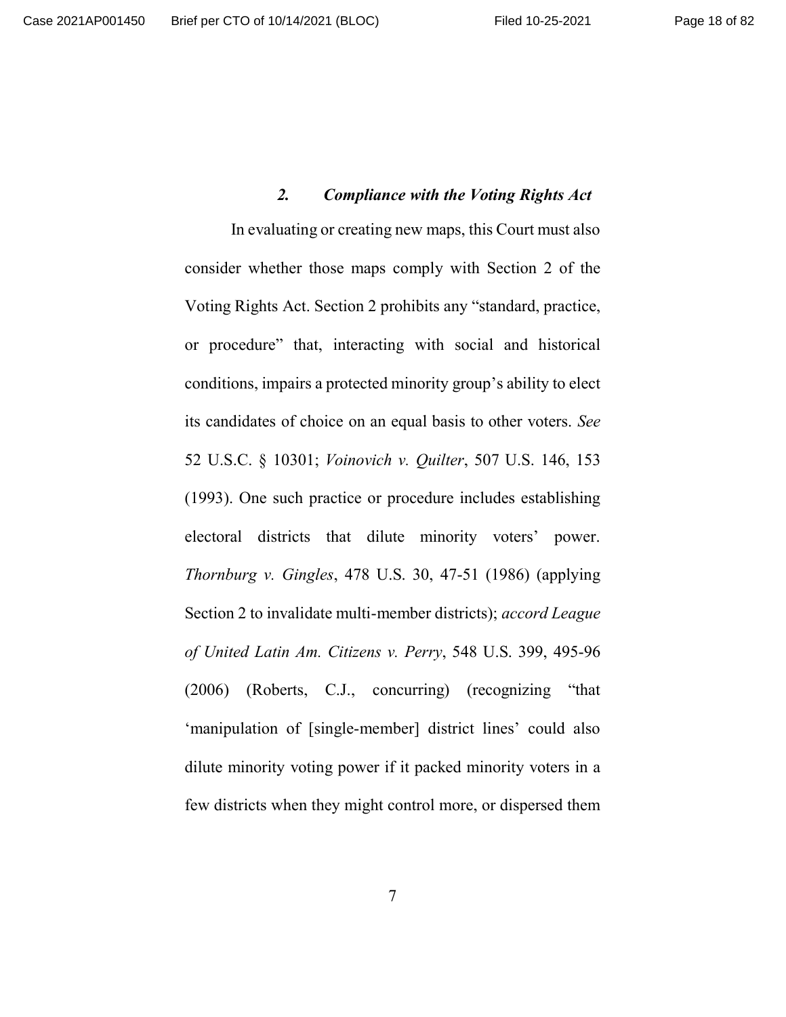## *2. Compliance with the Voting Rights Act*

In evaluating or creating new maps, this Court must also consider whether those maps comply with Section 2 of the Voting Rights Act. Section 2 prohibits any "standard, practice, or procedure" that, interacting with social and historical conditions, impairs a protected minority group's ability to elect its candidates of choice on an equal basis to other voters. *See* 52 U.S.C. § 10301; *Voinovich v. Quilter*, 507 U.S. 146, 153 (1993). One such practice or procedure includes establishing electoral districts that dilute minority voters' power. *Thornburg v. Gingles*, 478 U.S. 30, 47-51 (1986) (applying Section 2 to invalidate multi-member districts); *accord League of United Latin Am. Citizens v. Perry*, 548 U.S. 399, 495-96 (2006) (Roberts, C.J., concurring) (recognizing "that 'manipulation of [single-member] district lines' could also dilute minority voting power if it packed minority voters in a few districts when they might control more, or dispersed them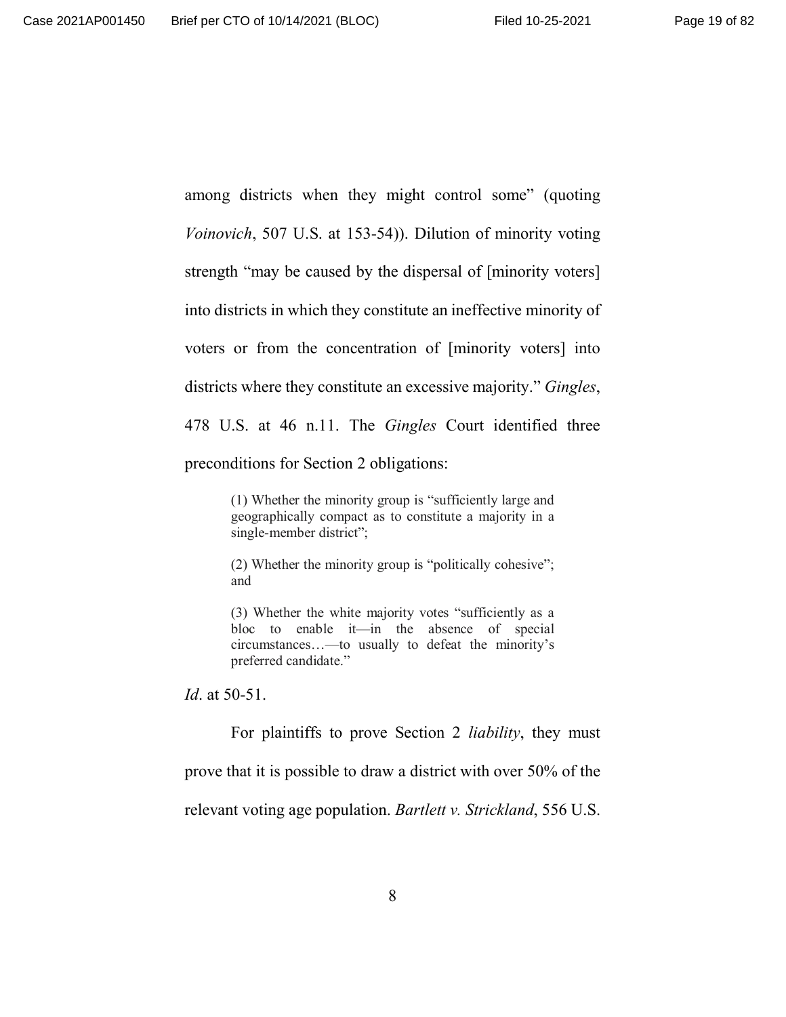among districts when they might control some" (quoting *Voinovich*, 507 U.S. at 153-54)). Dilution of minority voting strength "may be caused by the dispersal of [minority voters] into districts in which they constitute an ineffective minority of voters or from the concentration of [minority voters] into districts where they constitute an excessive majority." *Gingles*, 478 U.S. at 46 n.11. The *Gingles* Court identified three preconditions for Section 2 obligations:

> (1) Whether the minority group is "sufficiently large and geographically compact as to constitute a majority in a single-member district";

> (2) Whether the minority group is "politically cohesive"; and

> (3) Whether the white majority votes "sufficiently as a bloc to enable it—in the absence of special circumstances…—to usually to defeat the minority's preferred candidate."

*Id*. at 50-51.

For plaintiffs to prove Section 2 *liability*, they must prove that it is possible to draw a district with over 50% of the relevant voting age population. *Bartlett v. Strickland*, 556 U.S.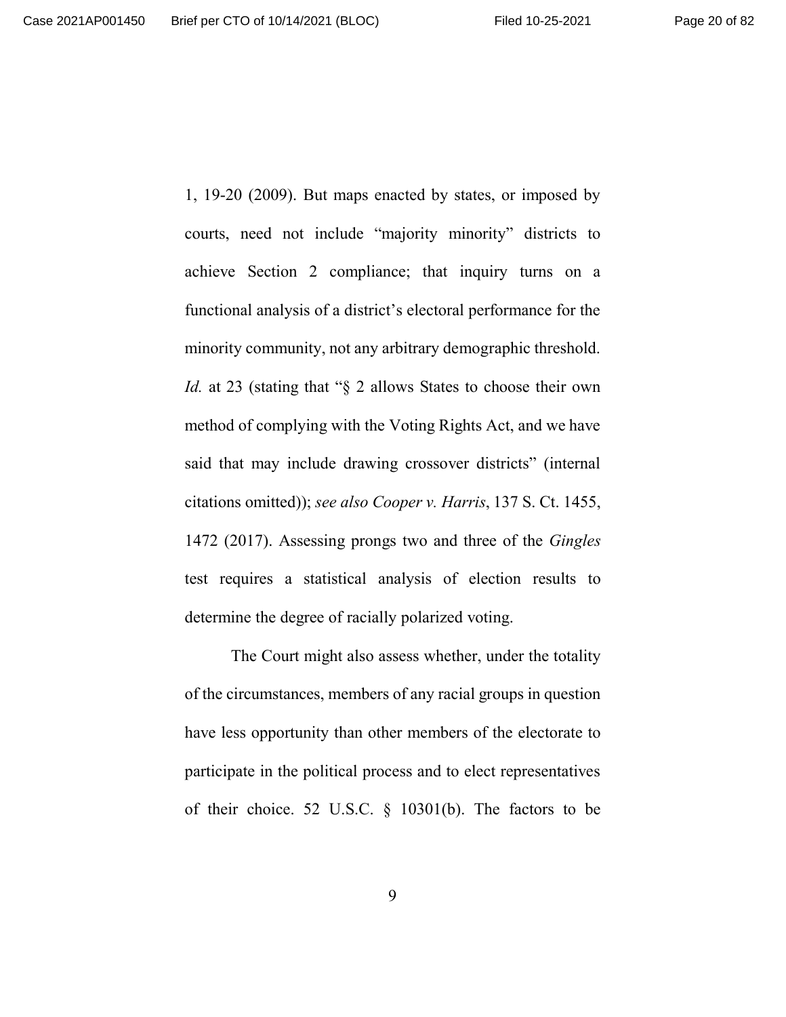1, 19-20 (2009). But maps enacted by states, or imposed by courts, need not include "majority minority" districts to achieve Section 2 compliance; that inquiry turns on a functional analysis of a district's electoral performance for the minority community, not any arbitrary demographic threshold. *Id.* at 23 (stating that "§ 2 allows States to choose their own method of complying with the Voting Rights Act, and we have said that may include drawing crossover districts" (internal citations omitted)); *see also Cooper v. Harris*, 137 S. Ct. 1455, 1472 (2017). Assessing prongs two and three of the *Gingles* test requires a statistical analysis of election results to determine the degree of racially polarized voting.

The Court might also assess whether, under the totality of the circumstances, members of any racial groups in question have less opportunity than other members of the electorate to participate in the political process and to elect representatives of their choice. 52 U.S.C. § 10301(b). The factors to be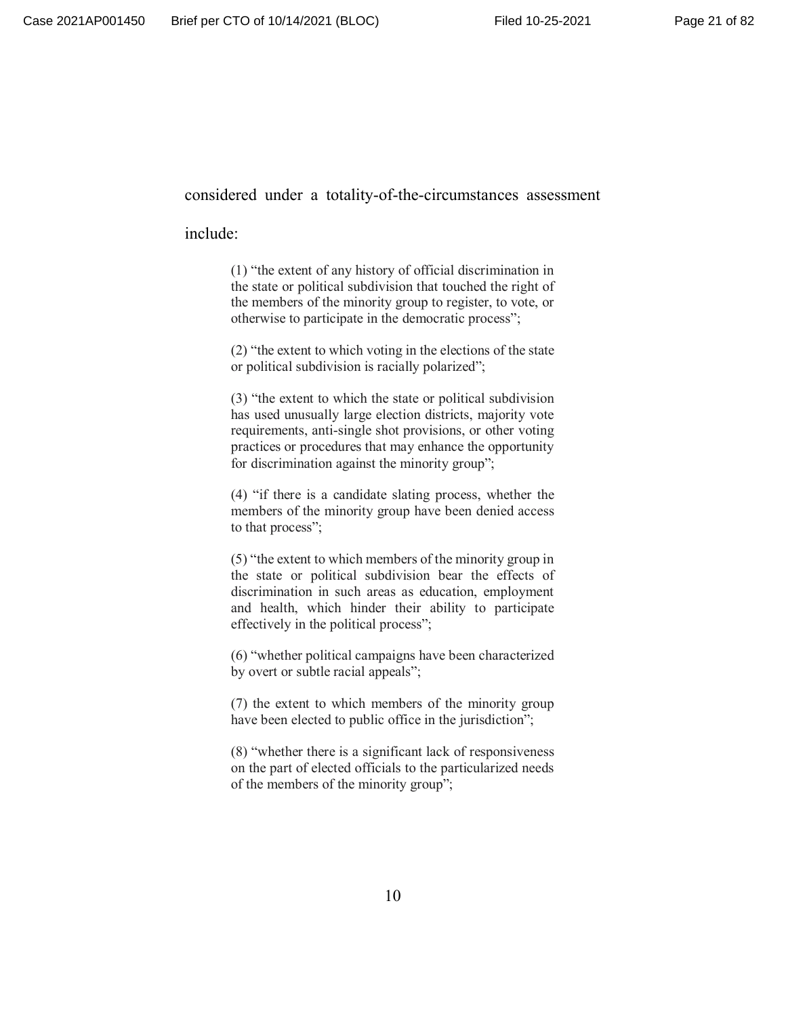#### considered under a totality-of-the-circumstances assessment

#### include:

(1) "the extent of any history of official discrimination in the state or political subdivision that touched the right of the members of the minority group to register, to vote, or otherwise to participate in the democratic process";

(2) "the extent to which voting in the elections of the state or political subdivision is racially polarized";

(3) "the extent to which the state or political subdivision has used unusually large election districts, majority vote requirements, anti-single shot provisions, or other voting practices or procedures that may enhance the opportunity for discrimination against the minority group";

(4) "if there is a candidate slating process, whether the members of the minority group have been denied access to that process";

(5) "the extent to which members of the minority group in the state or political subdivision bear the effects of discrimination in such areas as education, employment and health, which hinder their ability to participate effectively in the political process";

(6) "whether political campaigns have been characterized by overt or subtle racial appeals";

(7) the extent to which members of the minority group have been elected to public office in the jurisdiction";

(8) "whether there is a significant lack of responsiveness on the part of elected officials to the particularized needs of the members of the minority group";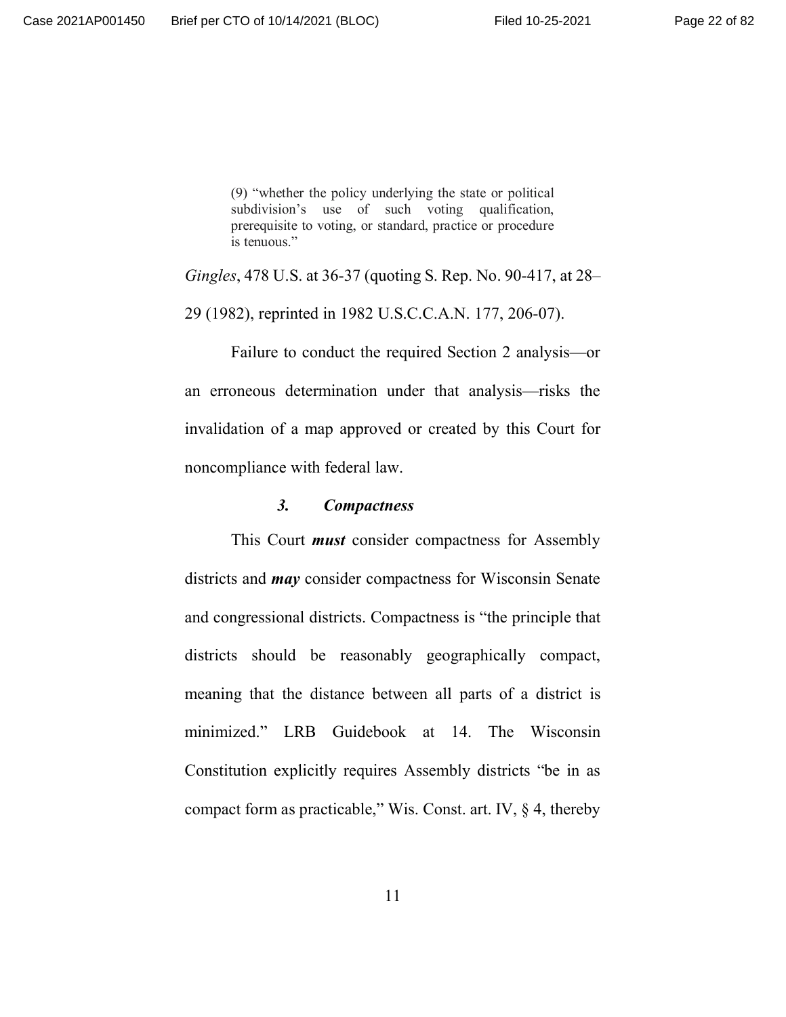(9) "whether the policy underlying the state or political subdivision's use of such voting qualification, prerequisite to voting, or standard, practice or procedure is tenuous."

*Gingles*, 478 U.S. at 36-37 (quoting S. Rep. No. 90-417, at 28–

29 (1982), reprinted in 1982 U.S.C.C.A.N. 177, 206-07).

Failure to conduct the required Section 2 analysis—or an erroneous determination under that analysis—risks the invalidation of a map approved or created by this Court for noncompliance with federal law.

#### *3. Compactness*

This Court *must* consider compactness for Assembly districts and *may* consider compactness for Wisconsin Senate and congressional districts. Compactness is "the principle that districts should be reasonably geographically compact, meaning that the distance between all parts of a district is minimized." LRB Guidebook at 14. The Wisconsin Constitution explicitly requires Assembly districts "be in as compact form as practicable," Wis. Const. art. IV, § 4, thereby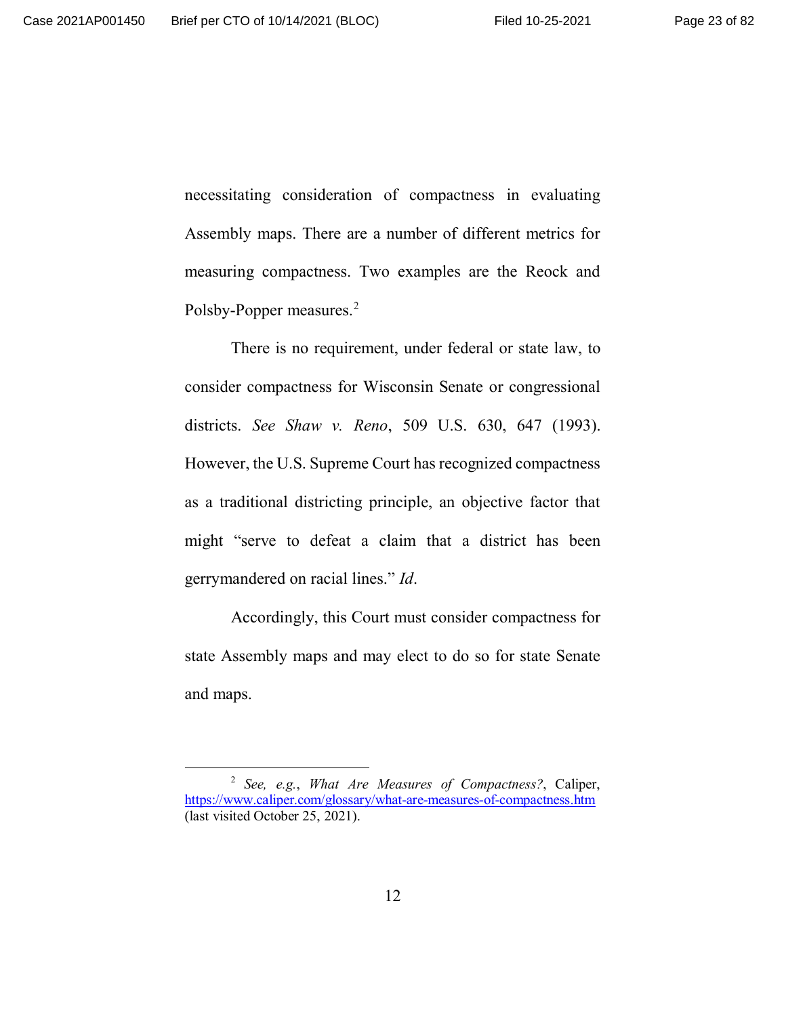necessitating consideration of compactness in evaluating Assembly maps. There are a number of different metrics for measuring compactness. Two examples are the Reock and Polsby-Popper measures.<sup>2</sup>

There is no requirement, under federal or state law, to consider compactness for Wisconsin Senate or congressional districts. *See Shaw v. Reno*, 509 U.S. 630, 647 (1993). However, the U.S. Supreme Court has recognized compactness as a traditional districting principle, an objective factor that might "serve to defeat a claim that a district has been gerrymandered on racial lines." *Id*.

Accordingly, this Court must consider compactness for state Assembly maps and may elect to do so for state Senate and maps.

<sup>2</sup> *See, e.g.*, *What Are Measures of Compactness?*, Caliper, https://www.caliper.com/glossary/what-are-measures-of-compactness.htm (last visited October 25, 2021).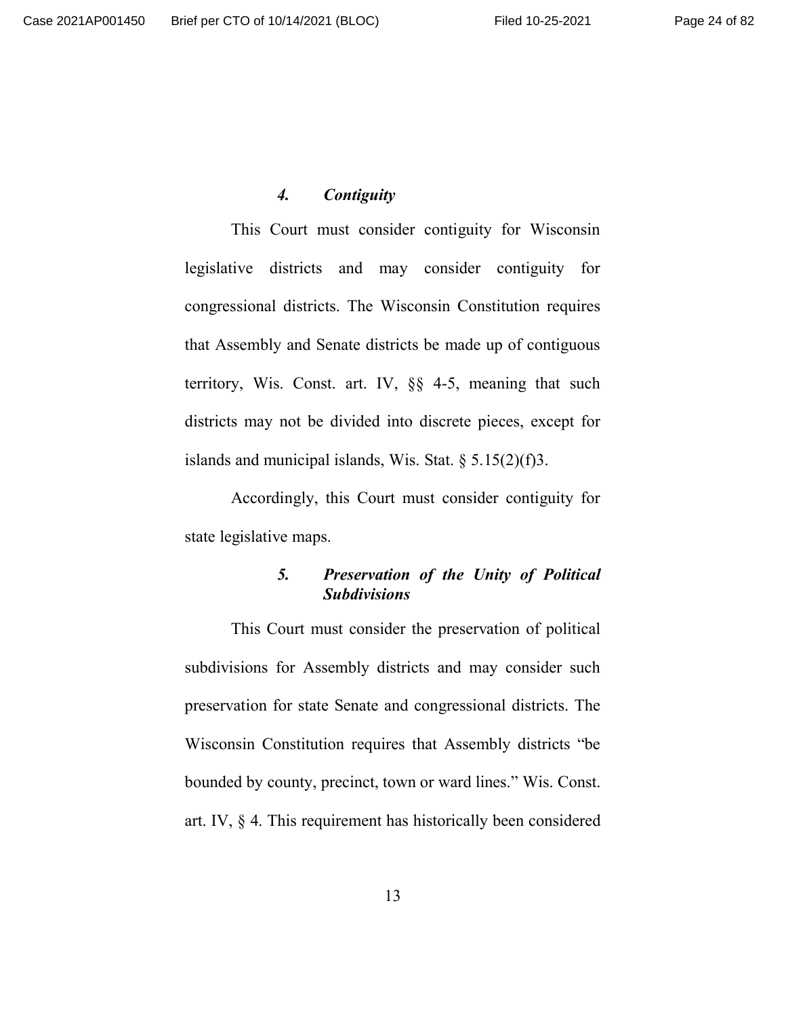#### *4. Contiguity*

This Court must consider contiguity for Wisconsin legislative districts and may consider contiguity for congressional districts. The Wisconsin Constitution requires that Assembly and Senate districts be made up of contiguous territory, Wis. Const. art. IV, §§ 4-5, meaning that such districts may not be divided into discrete pieces, except for islands and municipal islands, Wis. Stat.  $\S 5.15(2)(f)3$ .

Accordingly, this Court must consider contiguity for state legislative maps.

# *5. Preservation of the Unity of Political Subdivisions*

This Court must consider the preservation of political subdivisions for Assembly districts and may consider such preservation for state Senate and congressional districts. The Wisconsin Constitution requires that Assembly districts "be bounded by county, precinct, town or ward lines." Wis. Const. art. IV, § 4. This requirement has historically been considered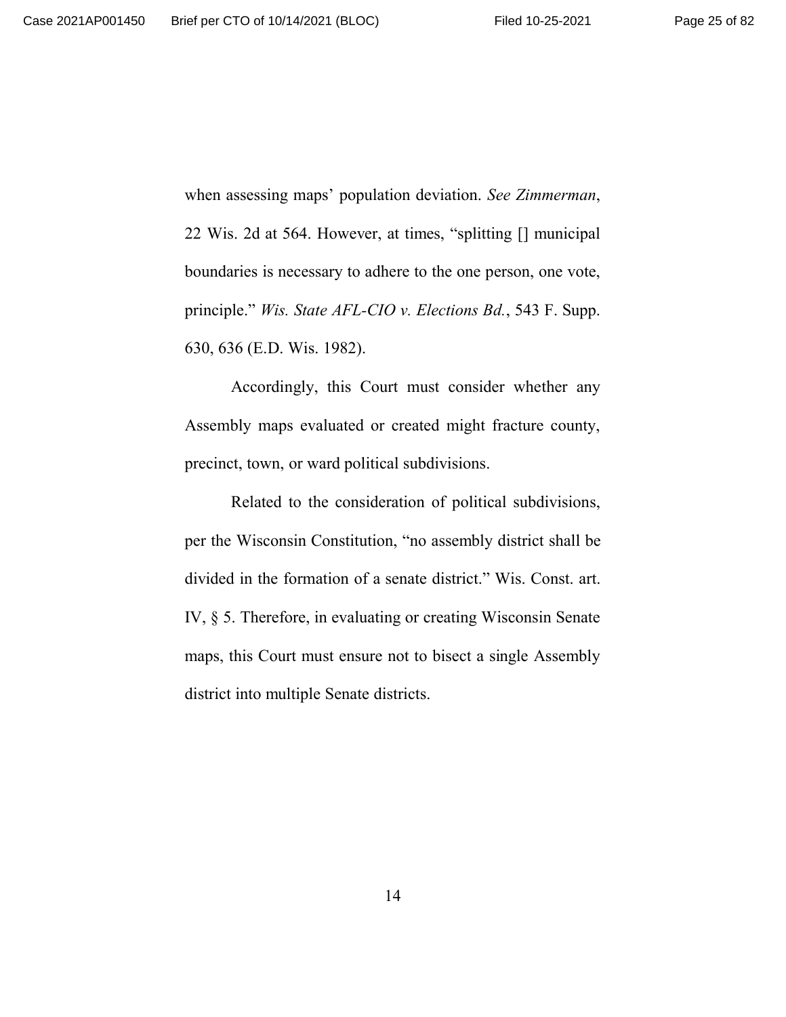when assessing maps' population deviation. *See Zimmerman*, 22 Wis. 2d at 564. However, at times, "splitting [] municipal boundaries is necessary to adhere to the one person, one vote, principle." *Wis. State AFL-CIO v. Elections Bd.*, 543 F. Supp. 630, 636 (E.D. Wis. 1982).

Accordingly, this Court must consider whether any Assembly maps evaluated or created might fracture county, precinct, town, or ward political subdivisions.

Related to the consideration of political subdivisions, per the Wisconsin Constitution, "no assembly district shall be divided in the formation of a senate district." Wis. Const. art. IV, § 5. Therefore, in evaluating or creating Wisconsin Senate maps, this Court must ensure not to bisect a single Assembly district into multiple Senate districts.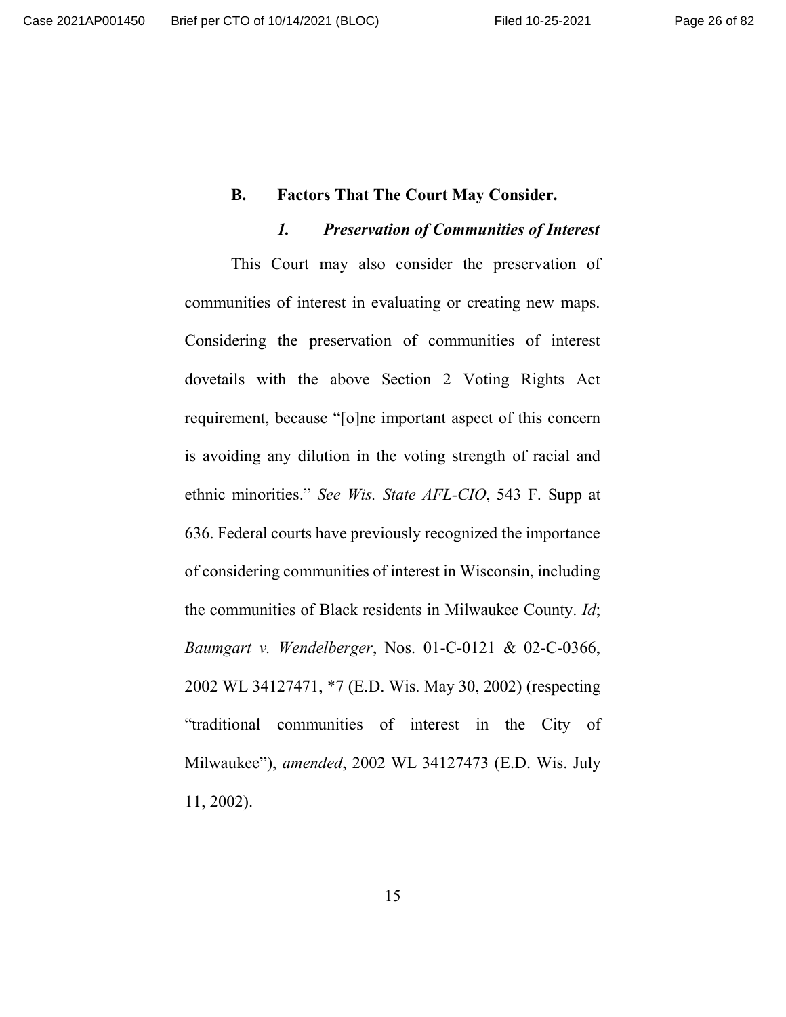### **B. Factors That The Court May Consider.**

## *1. Preservation of Communities of Interest*

This Court may also consider the preservation of communities of interest in evaluating or creating new maps. Considering the preservation of communities of interest dovetails with the above Section 2 Voting Rights Act requirement, because "[o]ne important aspect of this concern is avoiding any dilution in the voting strength of racial and ethnic minorities." *See Wis. State AFL-CIO*, 543 F. Supp at 636. Federal courts have previously recognized the importance of considering communities of interest in Wisconsin, including the communities of Black residents in Milwaukee County. *Id*; *Baumgart v. Wendelberger*, Nos. 01-C-0121 & 02-C-0366, 2002 WL 34127471, \*7 (E.D. Wis. May 30, 2002) (respecting "traditional communities of interest in the City of Milwaukee"), *amended*, 2002 WL 34127473 (E.D. Wis. July 11, 2002).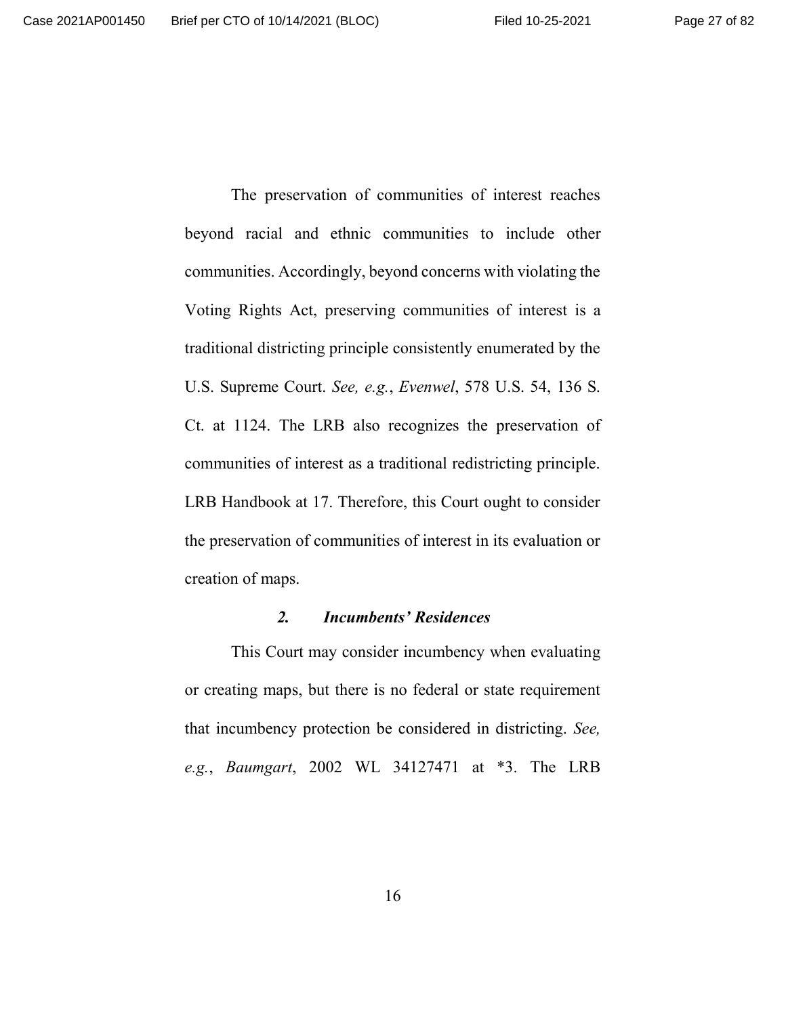The preservation of communities of interest reaches beyond racial and ethnic communities to include other communities. Accordingly, beyond concerns with violating the Voting Rights Act, preserving communities of interest is a traditional districting principle consistently enumerated by the U.S. Supreme Court. *See, e.g.*, *Evenwel*, 578 U.S. 54, 136 S. Ct. at 1124. The LRB also recognizes the preservation of communities of interest as a traditional redistricting principle. LRB Handbook at 17. Therefore, this Court ought to consider the preservation of communities of interest in its evaluation or creation of maps.

#### *2. Incumbents' Residences*

This Court may consider incumbency when evaluating or creating maps, but there is no federal or state requirement that incumbency protection be considered in districting. *See, e.g.*, *Baumgart*, 2002 WL 34127471 at \*3. The LRB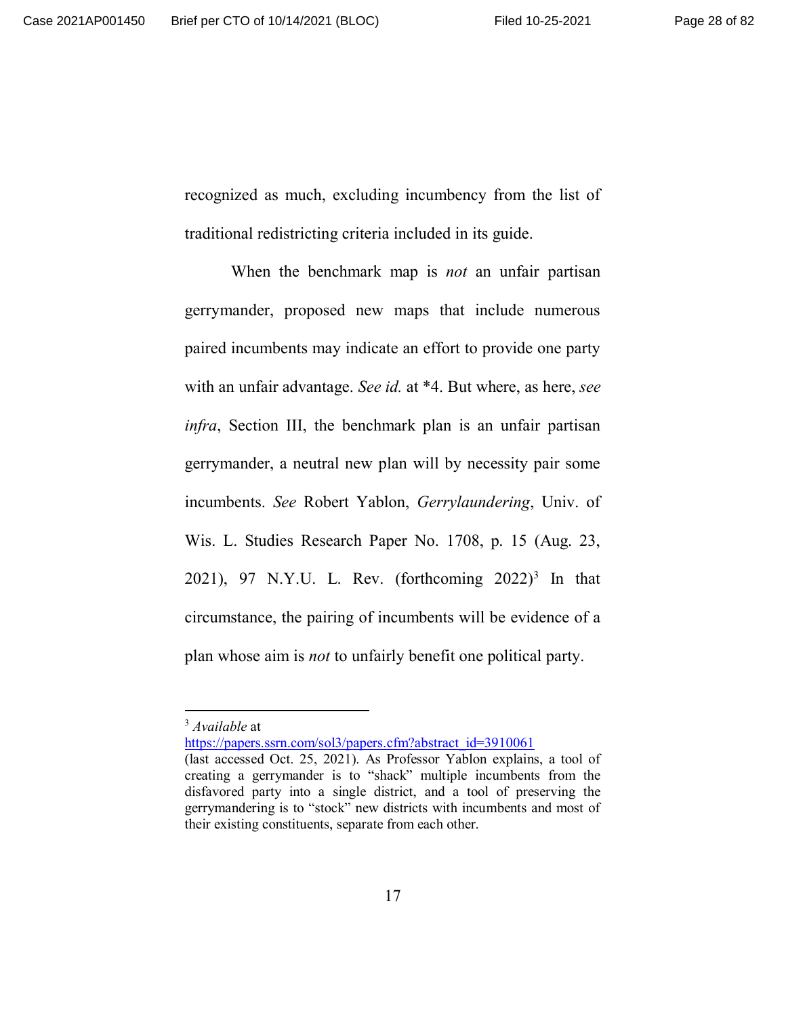recognized as much, excluding incumbency from the list of traditional redistricting criteria included in its guide.

When the benchmark map is *not* an unfair partisan gerrymander, proposed new maps that include numerous paired incumbents may indicate an effort to provide one party with an unfair advantage. *See id.* at \*4. But where, as here, *see infra*, Section III, the benchmark plan is an unfair partisan gerrymander, a neutral new plan will by necessity pair some incumbents. *See* Robert Yablon, *Gerrylaundering*, Univ. of Wis. L. Studies Research Paper No. 1708, p. 15 (Aug. 23, 2021), 97 N.Y.U. L. Rev. (forthcoming  $2022)^3$  In that circumstance, the pairing of incumbents will be evidence of a plan whose aim is *not* to unfairly benefit one political party.

https://papers.ssrn.com/sol3/papers.cfm?abstract\_id=3910061

<sup>3</sup> *Available* at

<sup>(</sup>last accessed Oct. 25, 2021). As Professor Yablon explains, a tool of creating a gerrymander is to "shack" multiple incumbents from the disfavored party into a single district, and a tool of preserving the gerrymandering is to "stock" new districts with incumbents and most of their existing constituents, separate from each other.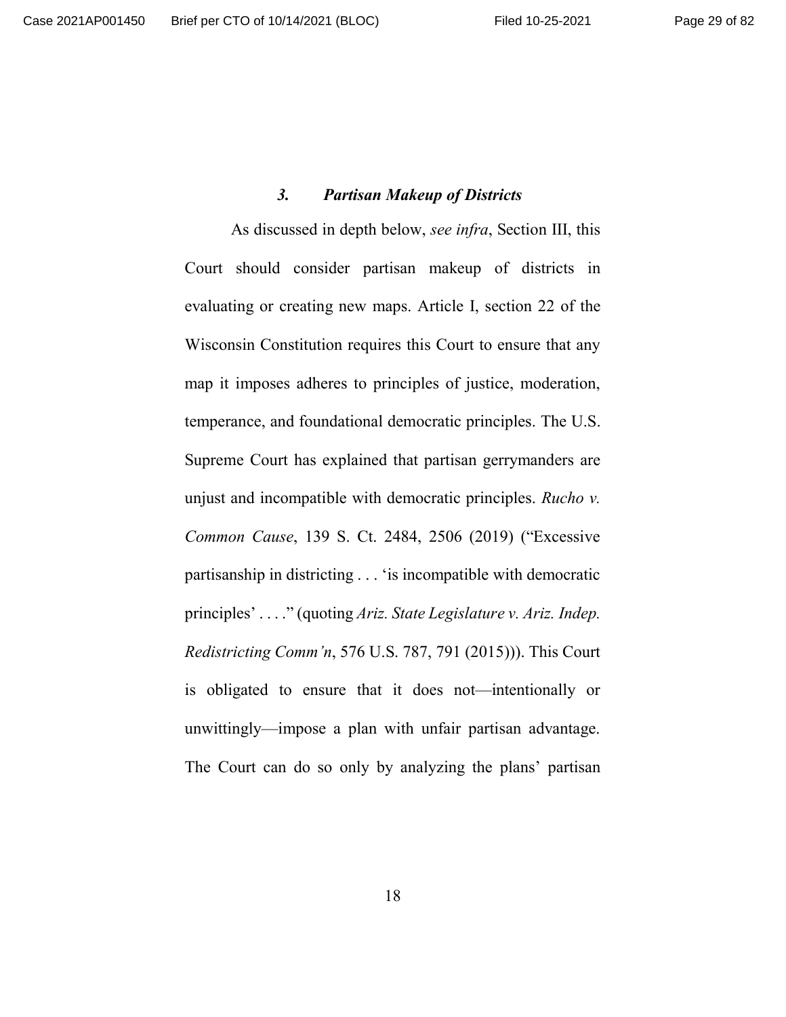### *3. Partisan Makeup of Districts*

As discussed in depth below, *see infra*, Section III, this Court should consider partisan makeup of districts in evaluating or creating new maps. Article I, section 22 of the Wisconsin Constitution requires this Court to ensure that any map it imposes adheres to principles of justice, moderation, temperance, and foundational democratic principles. The U.S. Supreme Court has explained that partisan gerrymanders are unjust and incompatible with democratic principles. *Rucho v. Common Cause*, 139 S. Ct. 2484, 2506 (2019) ("Excessive partisanship in districting . . . 'is incompatible with democratic principles' . . . ." (quoting *Ariz. State Legislature v. Ariz. Indep. Redistricting Comm'n*, 576 U.S. 787, 791 (2015))). This Court is obligated to ensure that it does not—intentionally or unwittingly—impose a plan with unfair partisan advantage. The Court can do so only by analyzing the plans' partisan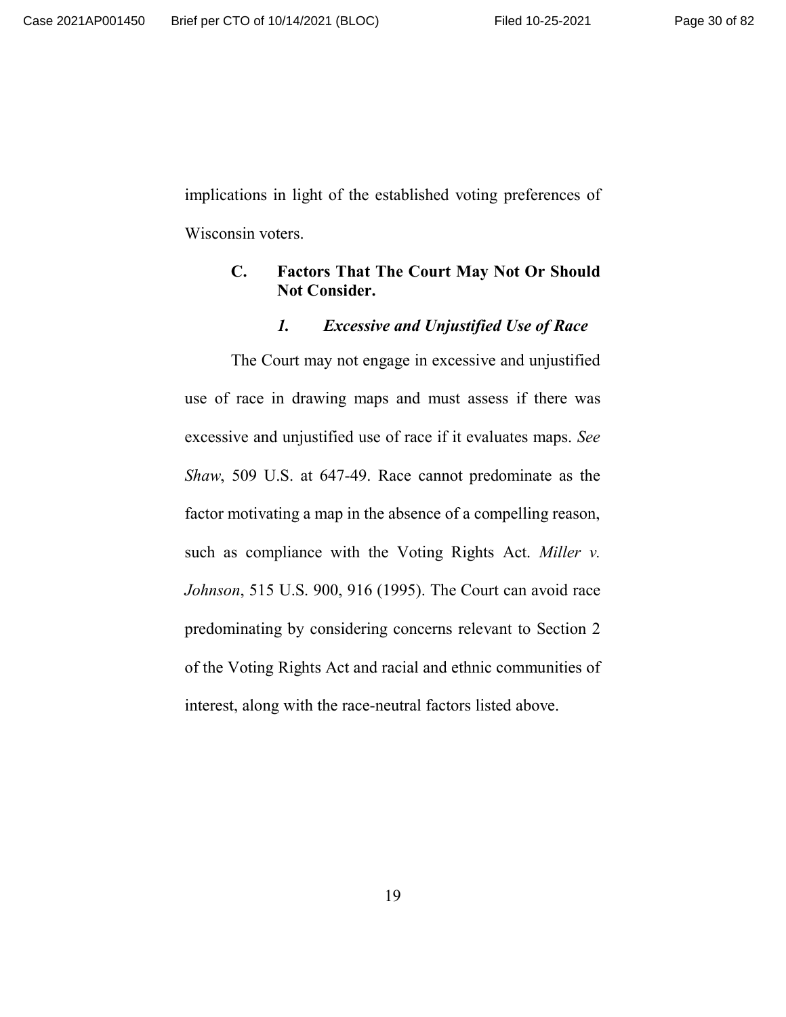implications in light of the established voting preferences of Wisconsin voters.

# **C. Factors That The Court May Not Or Should Not Consider.**

## *1. Excessive and Unjustified Use of Race*

The Court may not engage in excessive and unjustified use of race in drawing maps and must assess if there was excessive and unjustified use of race if it evaluates maps. *See Shaw*, 509 U.S. at 647-49. Race cannot predominate as the factor motivating a map in the absence of a compelling reason, such as compliance with the Voting Rights Act. *Miller v. Johnson*, 515 U.S. 900, 916 (1995). The Court can avoid race predominating by considering concerns relevant to Section 2 of the Voting Rights Act and racial and ethnic communities of interest, along with the race-neutral factors listed above.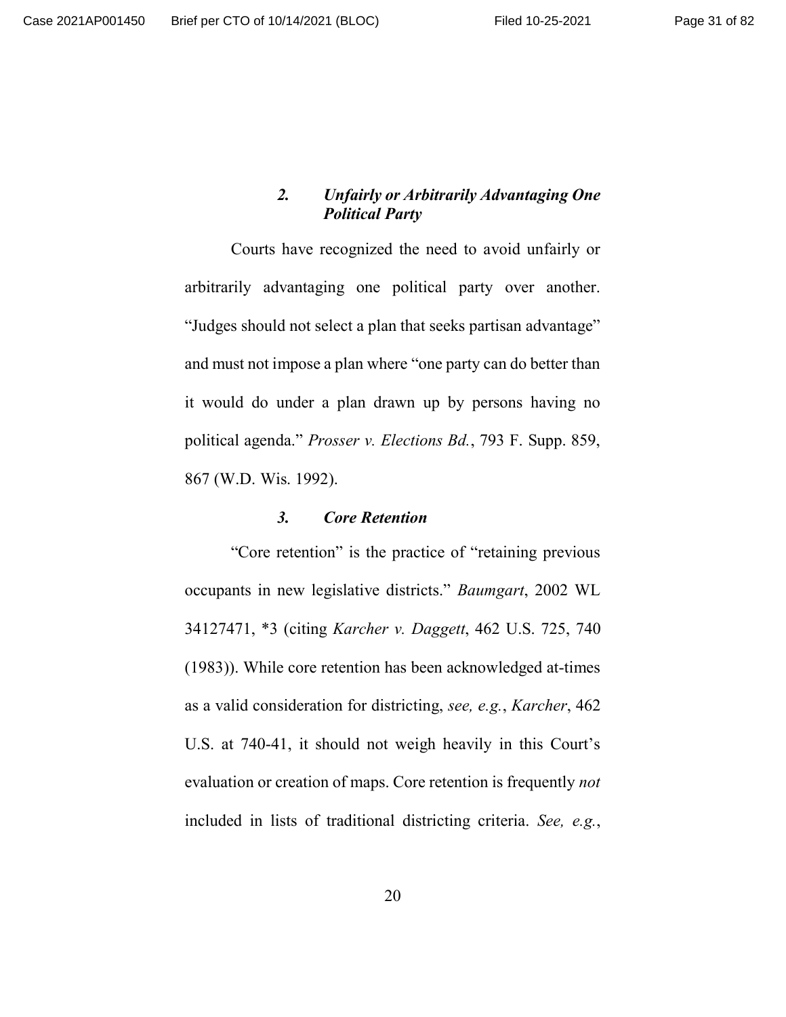## *2. Unfairly or Arbitrarily Advantaging One Political Party*

Courts have recognized the need to avoid unfairly or arbitrarily advantaging one political party over another. "Judges should not select a plan that seeks partisan advantage" and must not impose a plan where "one party can do better than it would do under a plan drawn up by persons having no political agenda." *Prosser v. Elections Bd.*, 793 F. Supp. 859, 867 (W.D. Wis. 1992).

## *3. Core Retention*

"Core retention" is the practice of "retaining previous occupants in new legislative districts." *Baumgart*, 2002 WL 34127471, \*3 (citing *Karcher v. Daggett*, 462 U.S. 725, 740 (1983)). While core retention has been acknowledged at-times as a valid consideration for districting, *see, e.g.*, *Karcher*, 462 U.S. at 740-41, it should not weigh heavily in this Court's evaluation or creation of maps. Core retention is frequently *not* included in lists of traditional districting criteria. *See, e.g.*,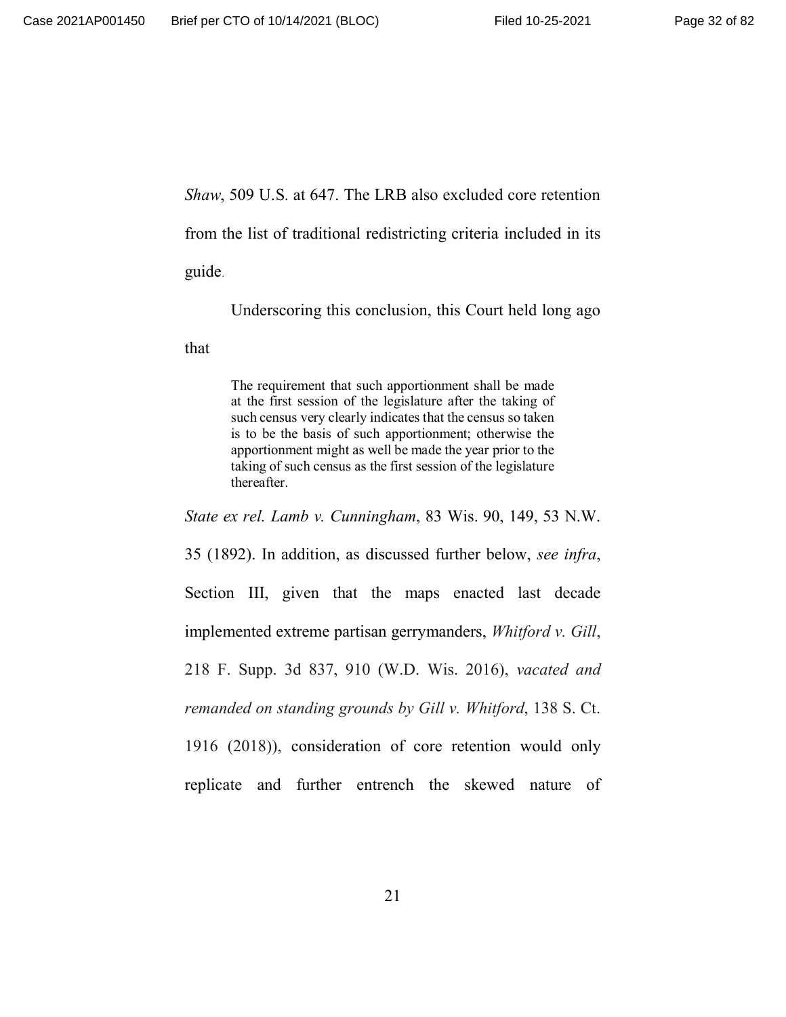*Shaw*, 509 U.S. at 647. The LRB also excluded core retention

from the list of traditional redistricting criteria included in its

guide.

Underscoring this conclusion, this Court held long ago

that

The requirement that such apportionment shall be made at the first session of the legislature after the taking of such census very clearly indicates that the census so taken is to be the basis of such apportionment; otherwise the apportionment might as well be made the year prior to the taking of such census as the first session of the legislature thereafter.

*State ex rel. Lamb v. Cunningham*, 83 Wis. 90, 149, 53 N.W.

35 (1892). In addition, as discussed further below, *see infra*, Section III, given that the maps enacted last decade implemented extreme partisan gerrymanders, *Whitford v. Gill*, 218 F. Supp. 3d 837, 910 (W.D. Wis. 2016), *vacated and remanded on standing grounds by Gill v. Whitford*, 138 S. Ct. 1916 (2018)), consideration of core retention would only replicate and further entrench the skewed nature of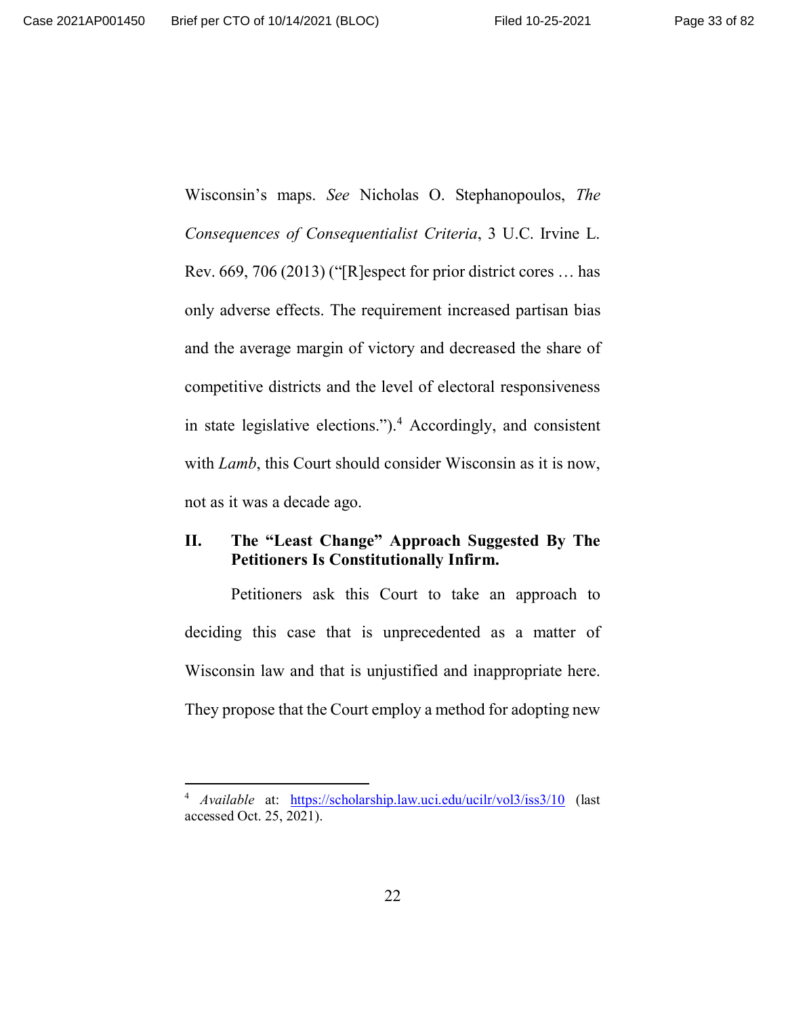Wisconsin's maps. *See* Nicholas O. Stephanopoulos, *The Consequences of Consequentialist Criteria*, 3 U.C. Irvine L. Rev. 669, 706 (2013) ("[R]espect for prior district cores … has only adverse effects. The requirement increased partisan bias and the average margin of victory and decreased the share of competitive districts and the level of electoral responsiveness in state legislative elections.").<sup>4</sup> Accordingly, and consistent with *Lamb*, this Court should consider Wisconsin as it is now, not as it was a decade ago.

# **II. The "Least Change" Approach Suggested By The Petitioners Is Constitutionally Infirm.**

Petitioners ask this Court to take an approach to deciding this case that is unprecedented as a matter of Wisconsin law and that is unjustified and inappropriate here. They propose that the Court employ a method for adopting new

<sup>4</sup> *Available* at: https://scholarship.law.uci.edu/ucilr/vol3/iss3/10 (last accessed Oct. 25, 2021).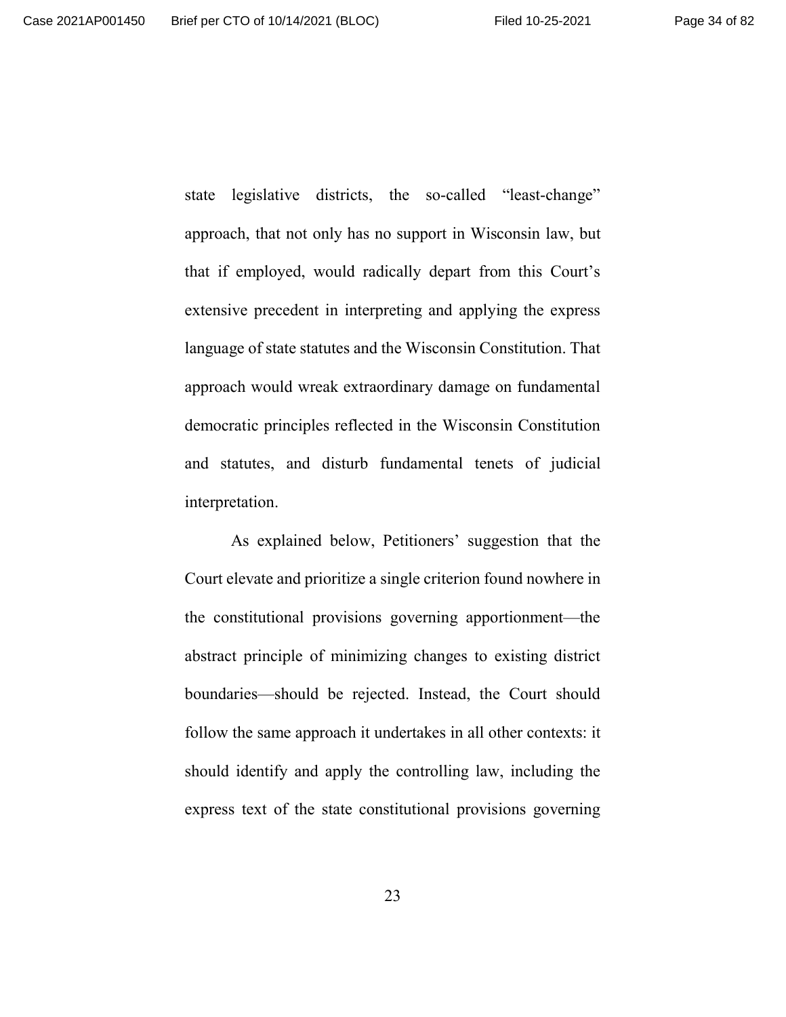state legislative districts, the so-called "least-change" approach, that not only has no support in Wisconsin law, but that if employed, would radically depart from this Court's extensive precedent in interpreting and applying the express language of state statutes and the Wisconsin Constitution. That approach would wreak extraordinary damage on fundamental democratic principles reflected in the Wisconsin Constitution and statutes, and disturb fundamental tenets of judicial interpretation.

As explained below, Petitioners' suggestion that the Court elevate and prioritize a single criterion found nowhere in the constitutional provisions governing apportionment—the abstract principle of minimizing changes to existing district boundaries—should be rejected. Instead, the Court should follow the same approach it undertakes in all other contexts: it should identify and apply the controlling law, including the express text of the state constitutional provisions governing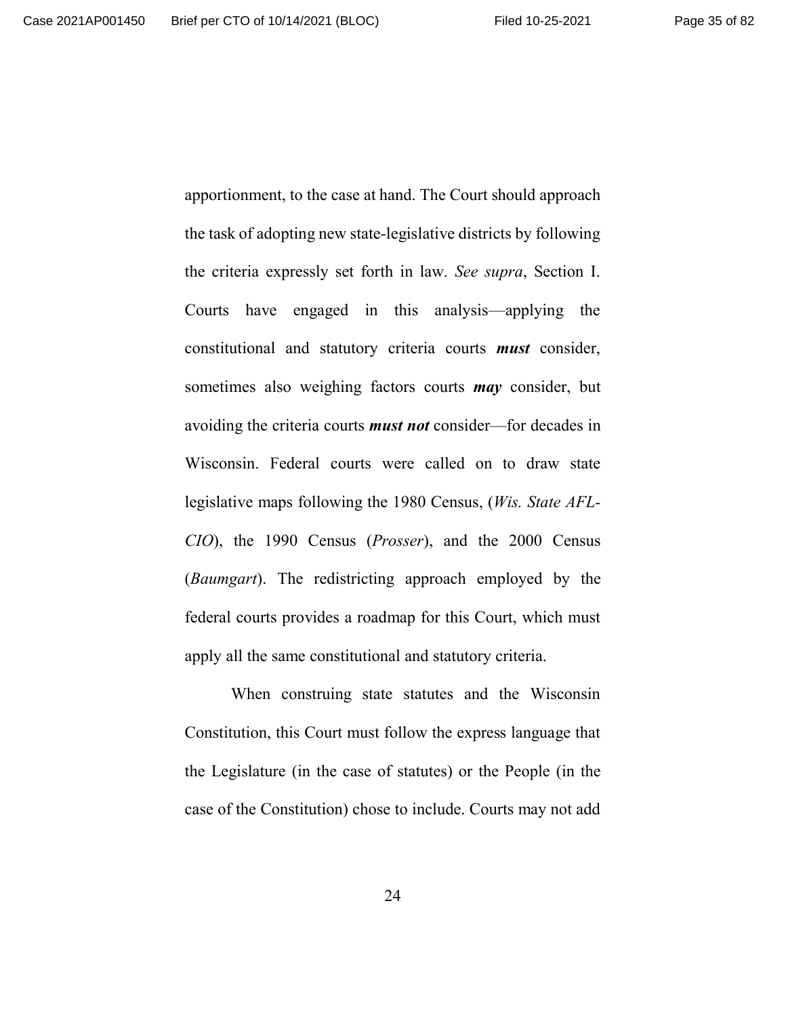apportionment, to the case at hand. The Court should approach the task of adopting new state-legislative districts by following the criteria expressly set forth in law. *See supra*, Section I. Courts have engaged in this analysis—applying the constitutional and statutory criteria courts *must* consider, sometimes also weighing factors courts *may* consider, but avoiding the criteria courts *must not* consider—for decades in Wisconsin. Federal courts were called on to draw state legislative maps following the 1980 Census, (*Wis. State AFL-CIO*), the 1990 Census (*Prosser*), and the 2000 Census (*Baumgart*). The redistricting approach employed by the federal courts provides a roadmap for this Court, which must apply all the same constitutional and statutory criteria.

When construing state statutes and the Wisconsin Constitution, this Court must follow the express language that the Legislature (in the case of statutes) or the People (in the case of the Constitution) chose to include. Courts may not add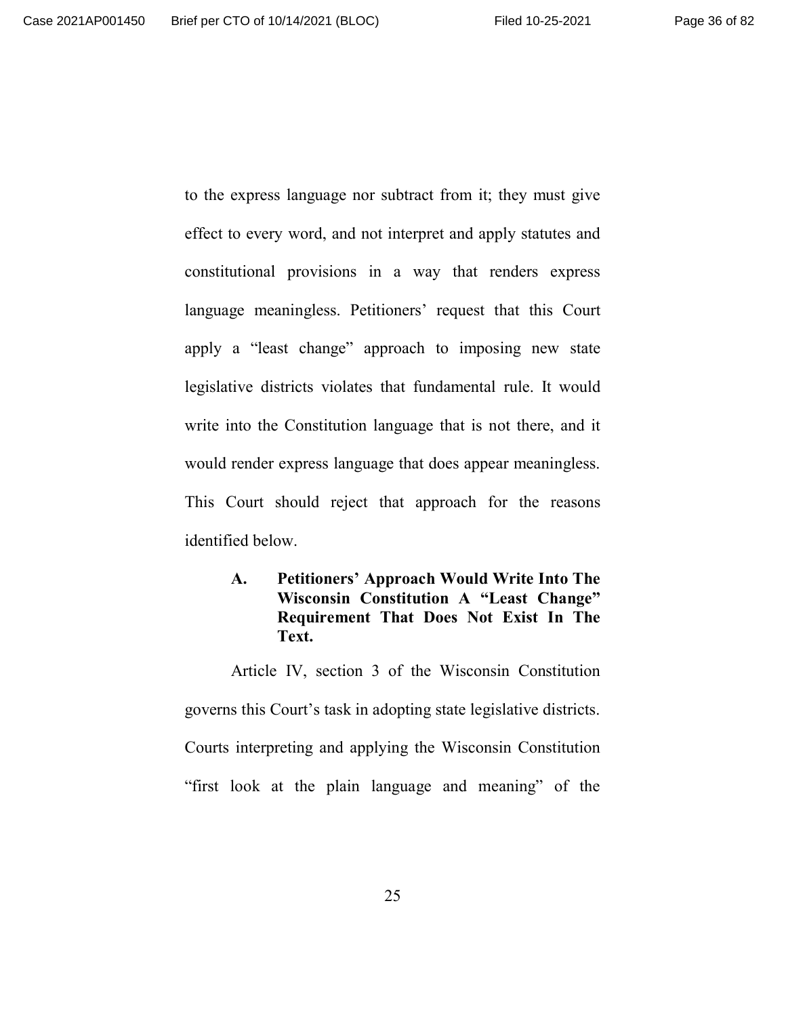to the express language nor subtract from it; they must give effect to every word, and not interpret and apply statutes and constitutional provisions in a way that renders express language meaningless. Petitioners' request that this Court apply a "least change" approach to imposing new state legislative districts violates that fundamental rule. It would write into the Constitution language that is not there, and it would render express language that does appear meaningless. This Court should reject that approach for the reasons identified below.

# **A. Petitioners' Approach Would Write Into The Wisconsin Constitution A "Least Change" Requirement That Does Not Exist In The Text.**

Article IV, section 3 of the Wisconsin Constitution governs this Court's task in adopting state legislative districts. Courts interpreting and applying the Wisconsin Constitution "first look at the plain language and meaning" of the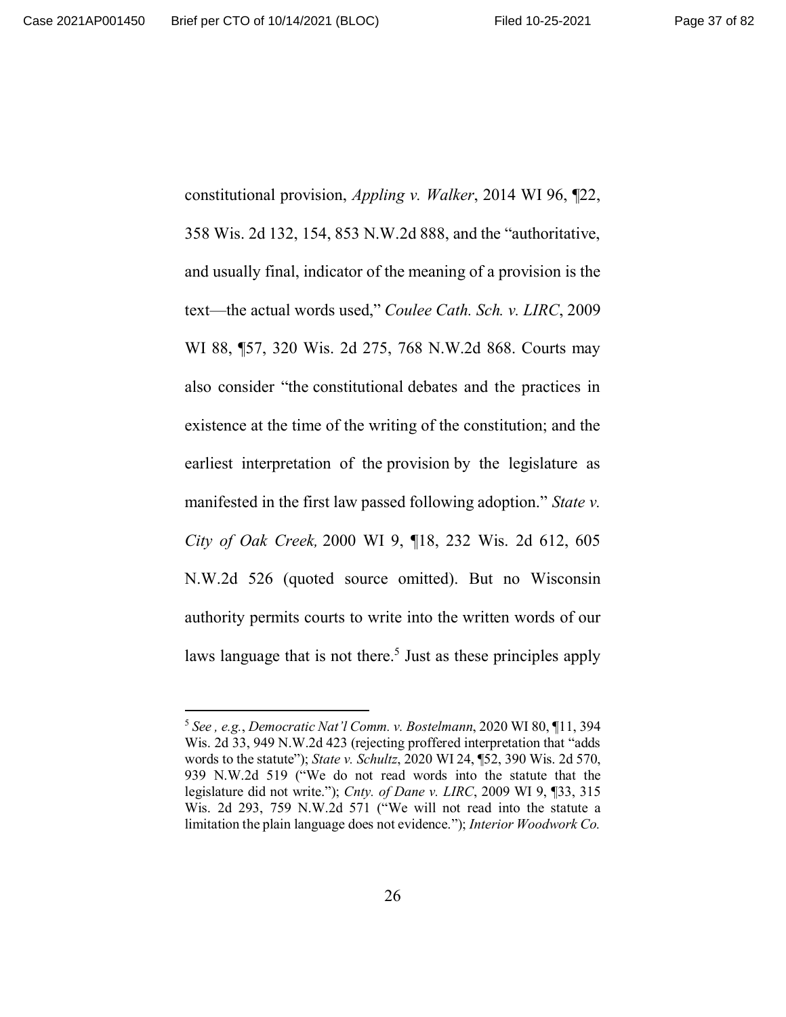constitutional provision, *Appling v. Walker*, 2014 WI 96, ¶22, 358 Wis. 2d 132, 154, 853 N.W.2d 888, and the "authoritative, and usually final, indicator of the meaning of a provision is the text—the actual words used," *Coulee Cath. Sch. v. LIRC*, 2009 WI 88, ¶57, 320 Wis. 2d 275, 768 N.W.2d 868. Courts may also consider "the constitutional debates and the practices in existence at the time of the writing of the constitution; and the earliest interpretation of the provision by the legislature as manifested in the first law passed following adoption." *State v. City of Oak Creek,* 2000 WI 9, ¶18, 232 Wis. 2d 612, 605 N.W.2d 526 (quoted source omitted). But no Wisconsin authority permits courts to write into the written words of our laws language that is not there.<sup>5</sup> Just as these principles apply

<sup>5</sup> *See , e.g.*, *Democratic Nat'l Comm. v. Bostelmann*, 2020 WI 80, ¶11, 394 Wis. 2d 33, 949 N.W.2d 423 (rejecting proffered interpretation that "adds words to the statute"); *State v. Schultz*, 2020 WI 24, ¶52, 390 Wis. 2d 570, 939 N.W.2d 519 ("We do not read words into the statute that the legislature did not write."); *Cnty. of Dane v. LIRC*, 2009 WI 9, ¶33, 315 Wis. 2d 293, 759 N.W.2d 571 ("We will not read into the statute a limitation the plain language does not evidence."); *Interior Woodwork Co.*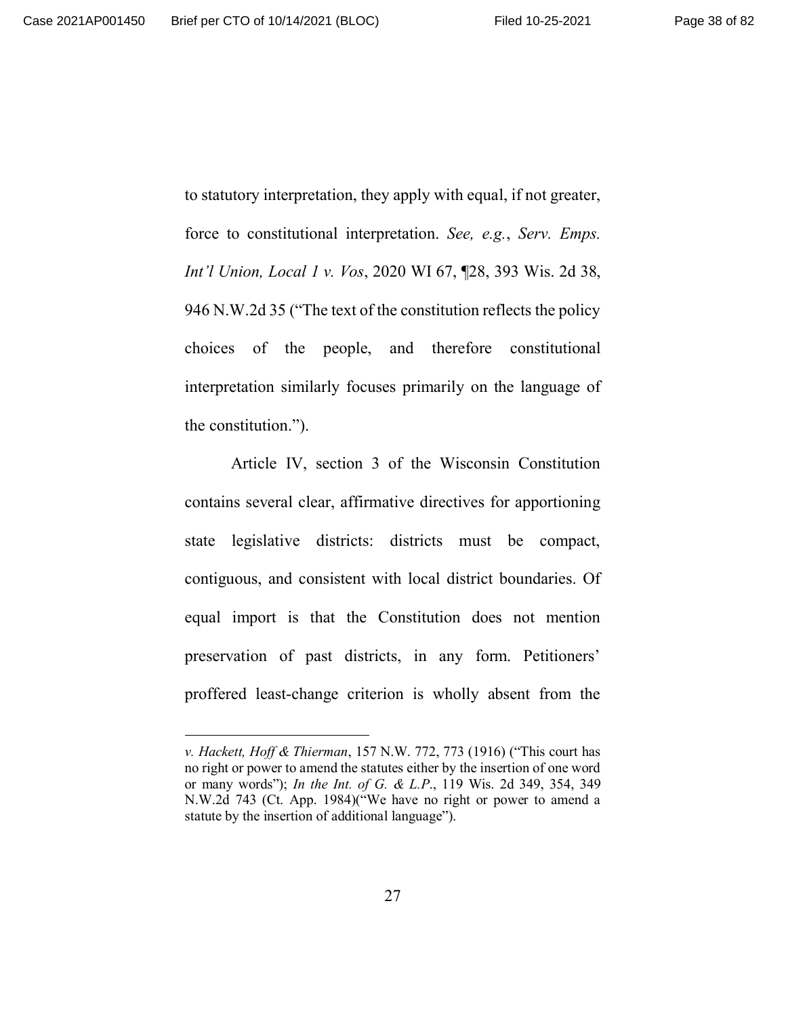to statutory interpretation, they apply with equal, if not greater, force to constitutional interpretation. *See, e.g.*, *Serv. Emps. Int'l Union, Local 1 v. Vos*, 2020 WI 67, ¶28, 393 Wis. 2d 38, 946 N.W.2d 35 ("The text of the constitution reflects the policy choices of the people, and therefore constitutional interpretation similarly focuses primarily on the language of the constitution.").

Article IV, section 3 of the Wisconsin Constitution contains several clear, affirmative directives for apportioning state legislative districts: districts must be compact, contiguous, and consistent with local district boundaries. Of equal import is that the Constitution does not mention preservation of past districts, in any form. Petitioners' proffered least-change criterion is wholly absent from the

*v. Hackett, Hoff & Thierman*, 157 N.W. 772, 773 (1916) ("This court has no right or power to amend the statutes either by the insertion of one word or many words"); *In the Int. of G. & L.P*., 119 Wis. 2d 349, 354, 349 N.W.2d 743 (Ct. App. 1984)("We have no right or power to amend a statute by the insertion of additional language").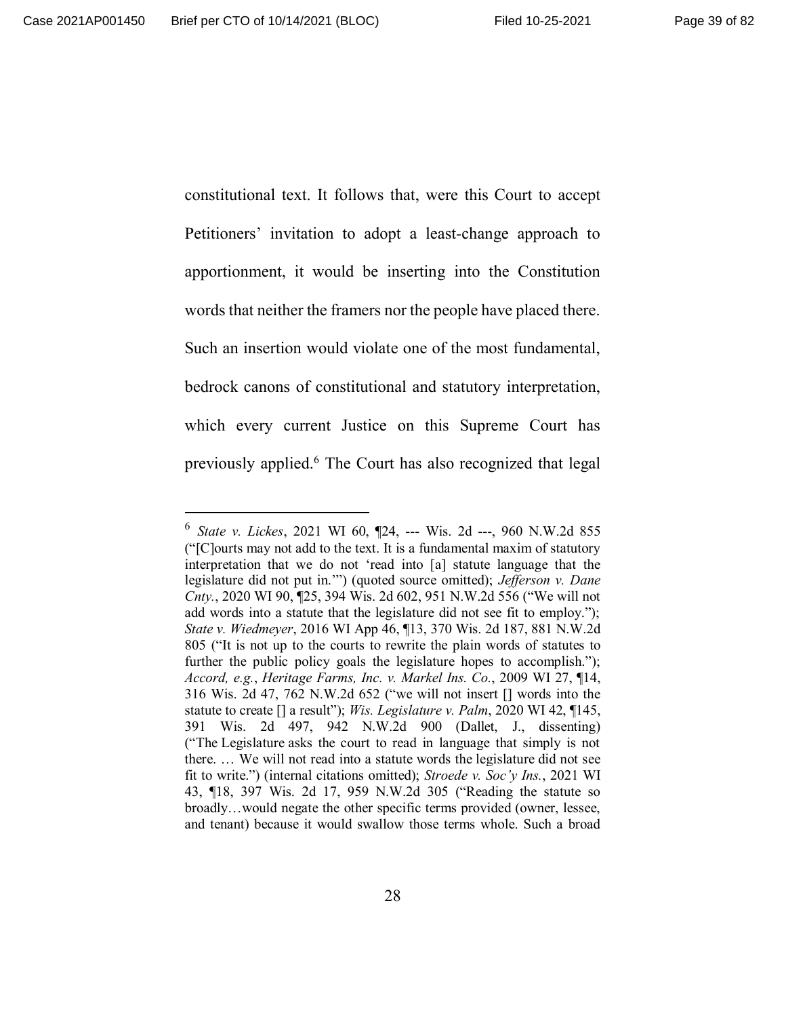constitutional text. It follows that, were this Court to accept Petitioners' invitation to adopt a least-change approach to apportionment, it would be inserting into the Constitution words that neither the framers nor the people have placed there. Such an insertion would violate one of the most fundamental, bedrock canons of constitutional and statutory interpretation, which every current Justice on this Supreme Court has previously applied.<sup>6</sup> The Court has also recognized that legal

<sup>6</sup> *State v. Lickes*, 2021 WI 60, ¶24, --- Wis. 2d ---, 960 N.W.2d 855 ("[C]ourts may not add to the text. It is a fundamental maxim of statutory interpretation that we do not 'read into [a] statute language that the legislature did not put in.'") (quoted source omitted); *Jefferson v. Dane Cnty.*, 2020 WI 90, ¶25, 394 Wis. 2d 602, 951 N.W.2d 556 ("We will not add words into a statute that the legislature did not see fit to employ."); *State v. Wiedmeyer*, 2016 WI App 46, ¶13, 370 Wis. 2d 187, 881 N.W.2d 805 ("It is not up to the courts to rewrite the plain words of statutes to further the public policy goals the legislature hopes to accomplish."); *Accord, e.g.*, *Heritage Farms, Inc. v. Markel Ins. Co.*, 2009 WI 27, ¶14, 316 Wis. 2d 47, 762 N.W.2d 652 ("we will not insert [] words into the statute to create [] a result"); *Wis. Legislature v. Palm*, 2020 WI 42, ¶145, 391 Wis. 2d 497, 942 N.W.2d 900 (Dallet, J., dissenting) ("The Legislature asks the court to read in language that simply is not there. … We will not read into a statute words the legislature did not see fit to write.") (internal citations omitted); *Stroede v. Soc'y Ins.*, 2021 WI 43, ¶18, 397 Wis. 2d 17, 959 N.W.2d 305 ("Reading the statute so broadly…would negate the other specific terms provided (owner, lessee, and tenant) because it would swallow those terms whole. Such a broad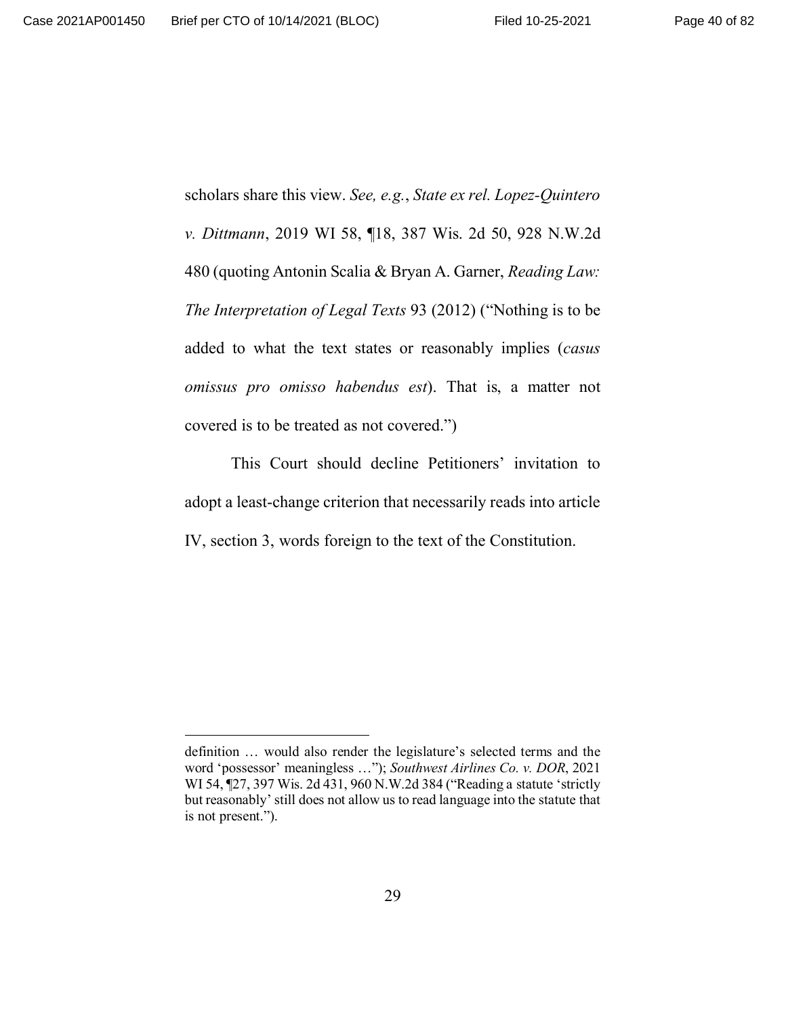scholars share this view. *See, e.g.*, *State ex rel. Lopez-Quintero v. Dittmann*, 2019 WI 58, ¶18, 387 Wis. 2d 50, 928 N.W.2d 480 (quoting Antonin Scalia & Bryan A. Garner, *Reading Law: The Interpretation of Legal Texts* 93 (2012) ("Nothing is to be added to what the text states or reasonably implies (*casus omissus pro omisso habendus est*). That is, a matter not covered is to be treated as not covered.")

This Court should decline Petitioners' invitation to adopt a least-change criterion that necessarily reads into article IV, section 3, words foreign to the text of the Constitution.

definition … would also render the legislature's selected terms and the word 'possessor' meaningless …"); *Southwest Airlines Co. v. DOR*, 2021 WI 54, ¶27, 397 Wis. 2d 431, 960 N.W.2d 384 ("Reading a statute 'strictly but reasonably' still does not allow us to read language into the statute that is not present.").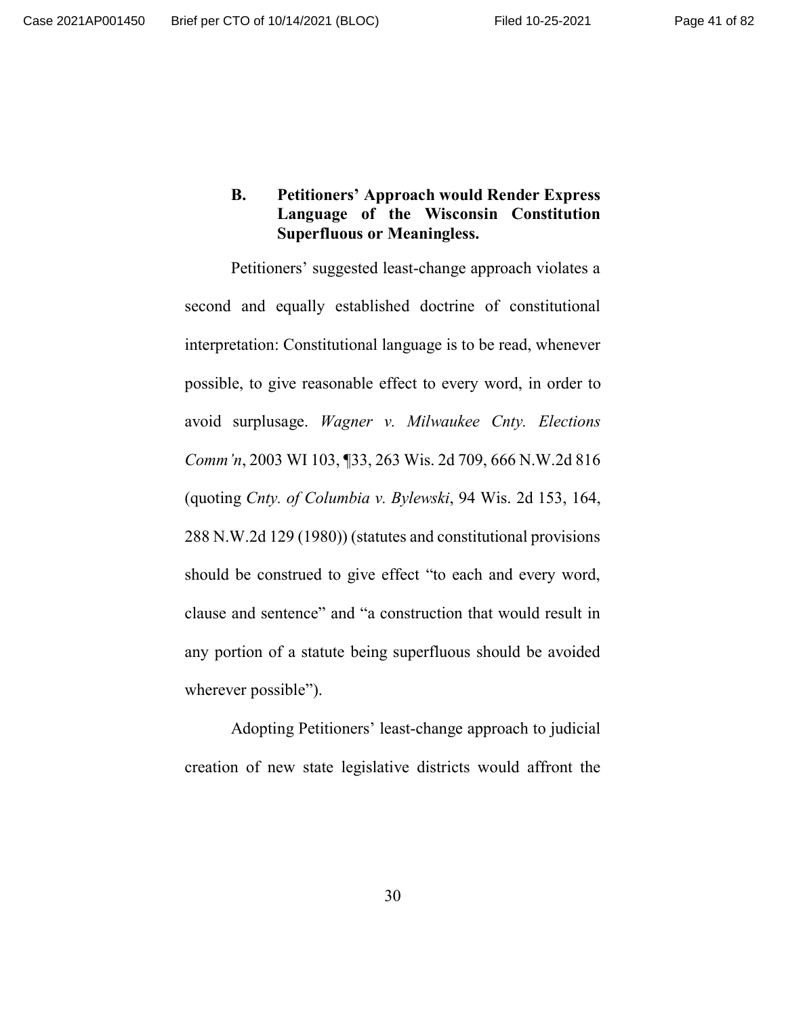# **B. Petitioners' Approach would Render Express Language of the Wisconsin Constitution Superfluous or Meaningless.**

Petitioners' suggested least-change approach violates a second and equally established doctrine of constitutional interpretation: Constitutional language is to be read, whenever possible, to give reasonable effect to every word, in order to avoid surplusage. *Wagner v. Milwaukee Cnty. Elections Comm'n*, 2003 WI 103, ¶33, 263 Wis. 2d 709, 666 N.W.2d 816 (quoting *Cnty. of Columbia v. Bylewski*, 94 Wis. 2d 153, 164, 288 N.W.2d 129 (1980)) (statutes and constitutional provisions should be construed to give effect "to each and every word, clause and sentence" and "a construction that would result in any portion of a statute being superfluous should be avoided wherever possible").

Adopting Petitioners' least-change approach to judicial creation of new state legislative districts would affront the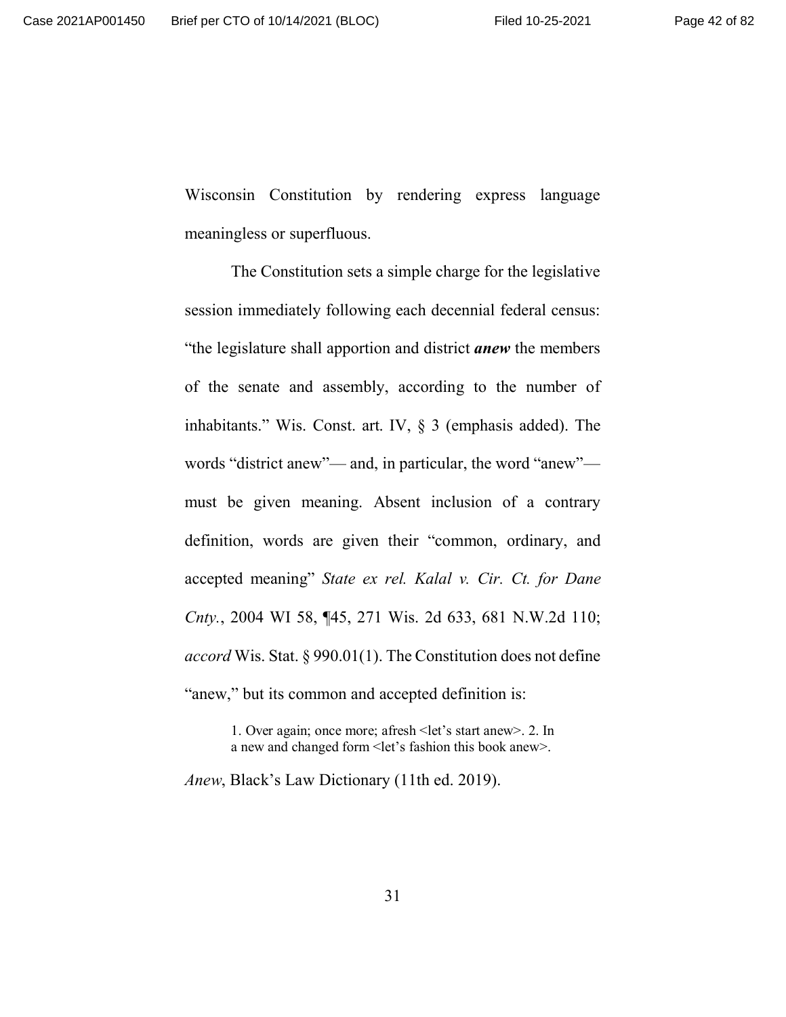Wisconsin Constitution by rendering express language meaningless or superfluous.

The Constitution sets a simple charge for the legislative session immediately following each decennial federal census: "the legislature shall apportion and district *anew* the members of the senate and assembly, according to the number of inhabitants." Wis. Const. art. IV, § 3 (emphasis added). The words "district anew"— and, in particular, the word "anew" must be given meaning. Absent inclusion of a contrary definition, words are given their "common, ordinary, and accepted meaning" *State ex rel. Kalal v. Cir. Ct. for Dane Cnty.*, 2004 WI 58, ¶45, 271 Wis. 2d 633, 681 N.W.2d 110; *accord* Wis. Stat. § 990.01(1). The Constitution does not define "anew," but its common and accepted definition is:

> 1. Over again; once more; afresh <let's start anew>. 2. In a new and changed form <let's fashion this book anew>.

*Anew*, Black's Law Dictionary (11th ed. 2019).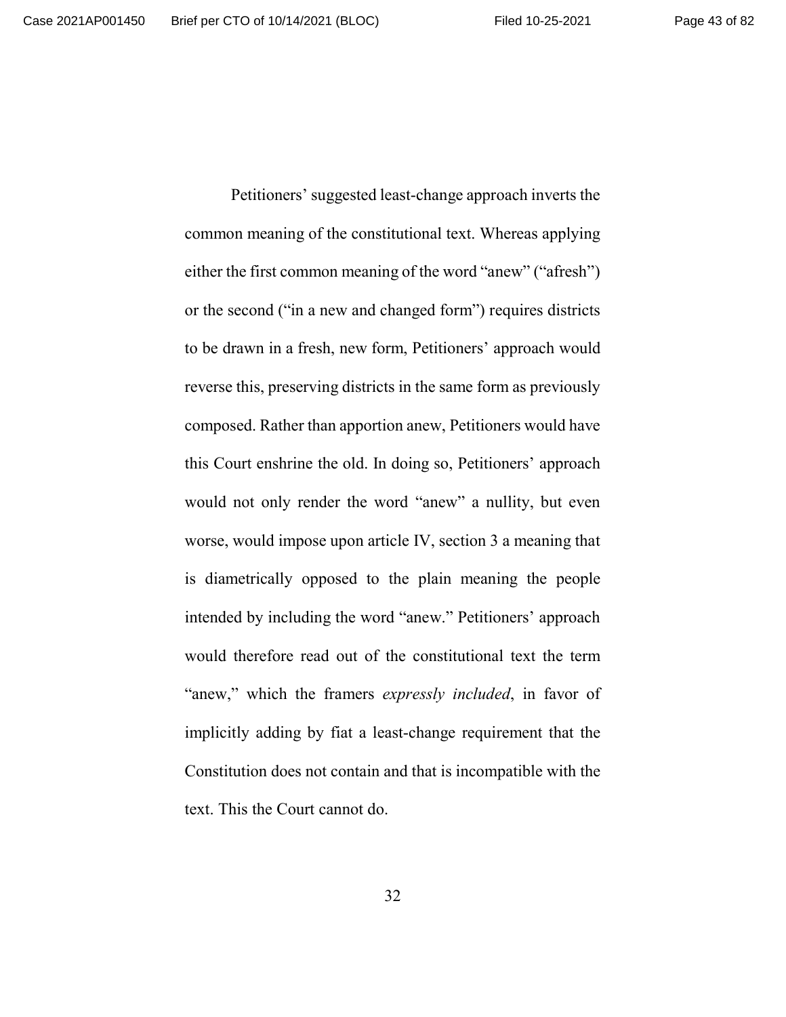common meaning of the constitutional text. Whereas applying either the first common meaning of the word "anew" ("afresh") or the second ("in a new and changed form") requires districts to be drawn in a fresh, new form, Petitioners' approach would reverse this, preserving districts in the same form as previously composed. Rather than apportion anew, Petitioners would have this Court enshrine the old. In doing so, Petitioners' approach would not only render the word "anew" a nullity, but even worse, would impose upon article IV, section 3 a meaning that is diametrically opposed to the plain meaning the people intended by including the word "anew." Petitioners' approach would therefore read out of the constitutional text the term "anew," which the framers *expressly included*, in favor of implicitly adding by fiat a least-change requirement that the Constitution does not contain and that is incompatible with the text. This the Court cannot do.

Petitioners' suggested least-change approach inverts the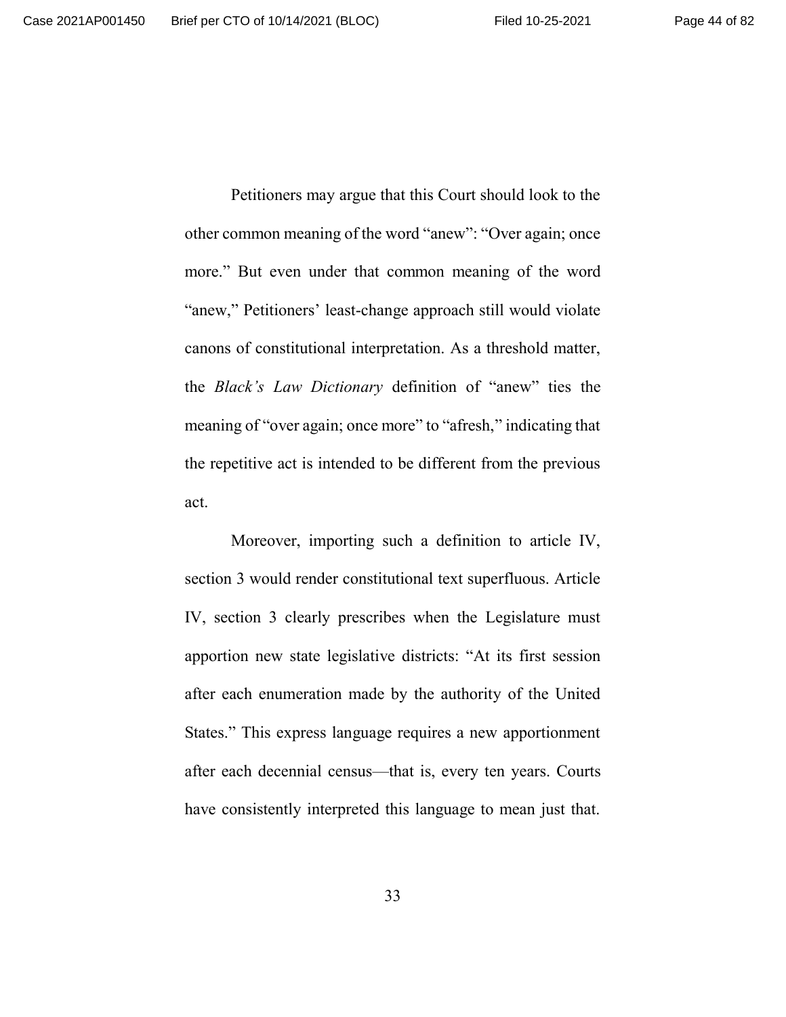Petitioners may argue that this Court should look to the other common meaning of the word "anew": "Over again; once more." But even under that common meaning of the word "anew," Petitioners' least-change approach still would violate canons of constitutional interpretation. As a threshold matter, the *Black's Law Dictionary* definition of "anew" ties the meaning of "over again; once more" to "afresh," indicating that the repetitive act is intended to be different from the previous act.

Moreover, importing such a definition to article IV, section 3 would render constitutional text superfluous. Article IV, section 3 clearly prescribes when the Legislature must apportion new state legislative districts: "At its first session after each enumeration made by the authority of the United States." This express language requires a new apportionment after each decennial census—that is, every ten years. Courts have consistently interpreted this language to mean just that.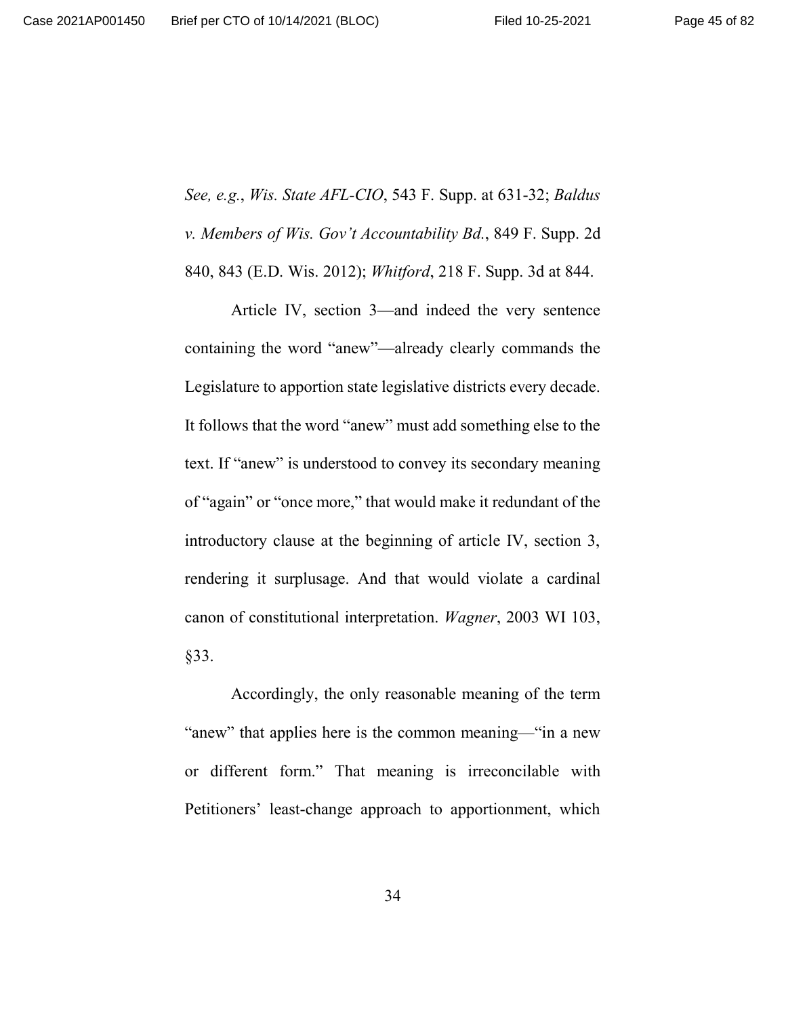*See, e.g.*, *Wis. State AFL-CIO*, 543 F. Supp. at 631-32; *Baldus v. Members of Wis. Gov't Accountability Bd.*, 849 F. Supp. 2d 840, 843 (E.D. Wis. 2012); *Whitford*, 218 F. Supp. 3d at 844.

Article IV, section 3—and indeed the very sentence containing the word "anew"—already clearly commands the Legislature to apportion state legislative districts every decade. It follows that the word "anew" must add something else to the text. If "anew" is understood to convey its secondary meaning of "again" or "once more," that would make it redundant of the introductory clause at the beginning of article IV, section 3, rendering it surplusage. And that would violate a cardinal canon of constitutional interpretation. *Wagner*, 2003 WI 103, §33.

Accordingly, the only reasonable meaning of the term "anew" that applies here is the common meaning—"in a new or different form." That meaning is irreconcilable with Petitioners' least-change approach to apportionment, which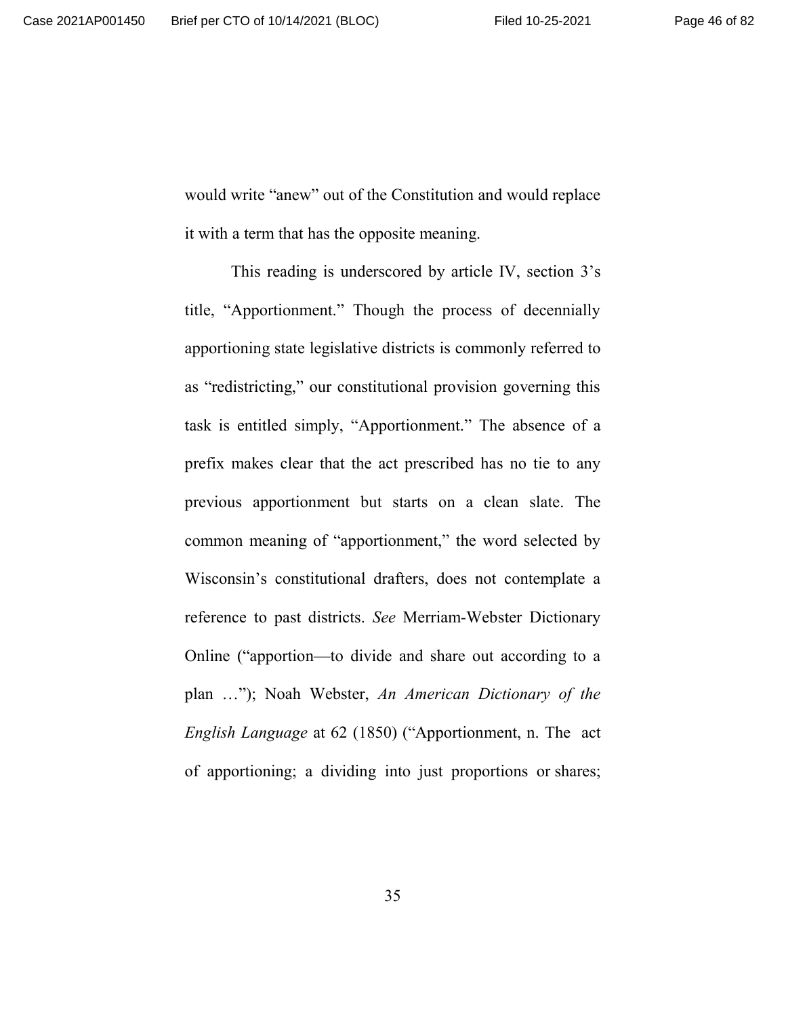would write "anew" out of the Constitution and would replace it with a term that has the opposite meaning.

This reading is underscored by article IV, section 3's title, "Apportionment." Though the process of decennially apportioning state legislative districts is commonly referred to as "redistricting," our constitutional provision governing this task is entitled simply, "Apportionment." The absence of a prefix makes clear that the act prescribed has no tie to any previous apportionment but starts on a clean slate. The common meaning of "apportionment," the word selected by Wisconsin's constitutional drafters, does not contemplate a reference to past districts. *See* Merriam-Webster Dictionary Online ("apportion—to divide and share out according to a plan …"); Noah Webster, *An American Dictionary of the English Language* at 62 (1850) ("Apportionment, n. The act of apportioning; a dividing into just proportions or shares;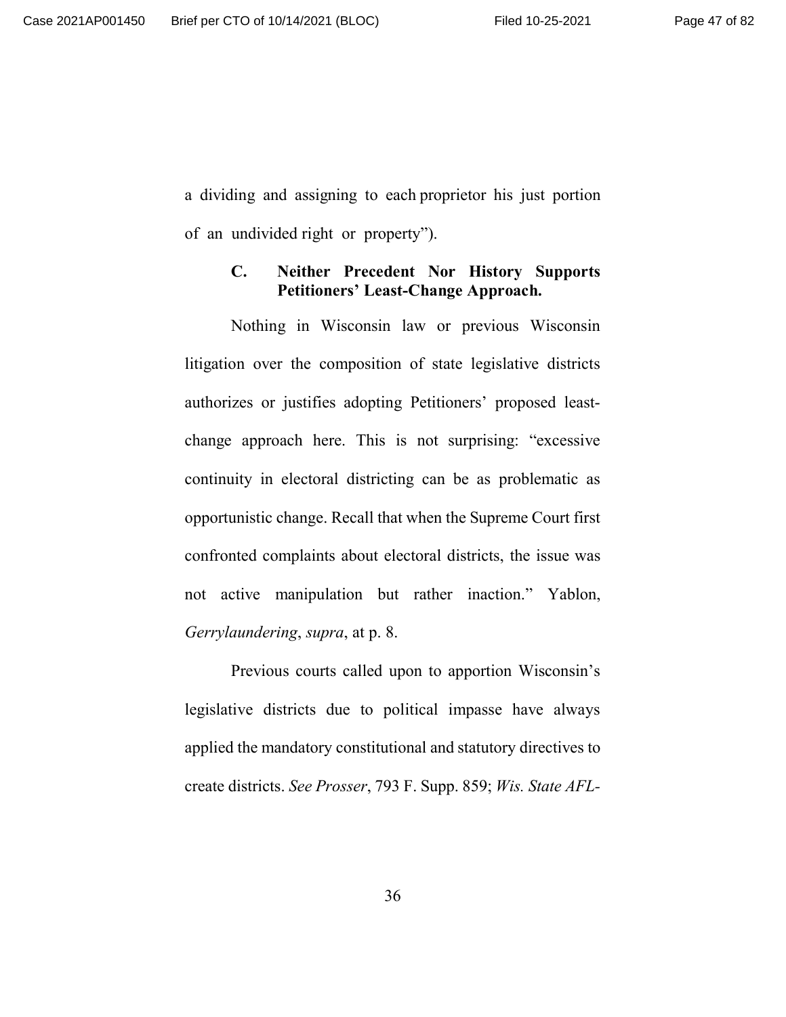a dividing and assigning to each proprietor his just portion of an undivided right or property").

#### **C. Neither Precedent Nor History Supports Petitioners' Least-Change Approach.**

Nothing in Wisconsin law or previous Wisconsin litigation over the composition of state legislative districts authorizes or justifies adopting Petitioners' proposed leastchange approach here. This is not surprising: "excessive continuity in electoral districting can be as problematic as opportunistic change. Recall that when the Supreme Court first confronted complaints about electoral districts, the issue was not active manipulation but rather inaction." Yablon, *Gerrylaundering*, *supra*, at p. 8.

Previous courts called upon to apportion Wisconsin's legislative districts due to political impasse have always applied the mandatory constitutional and statutory directives to create districts. *See Prosser*, 793 F. Supp. 859; *Wis. State AFL-*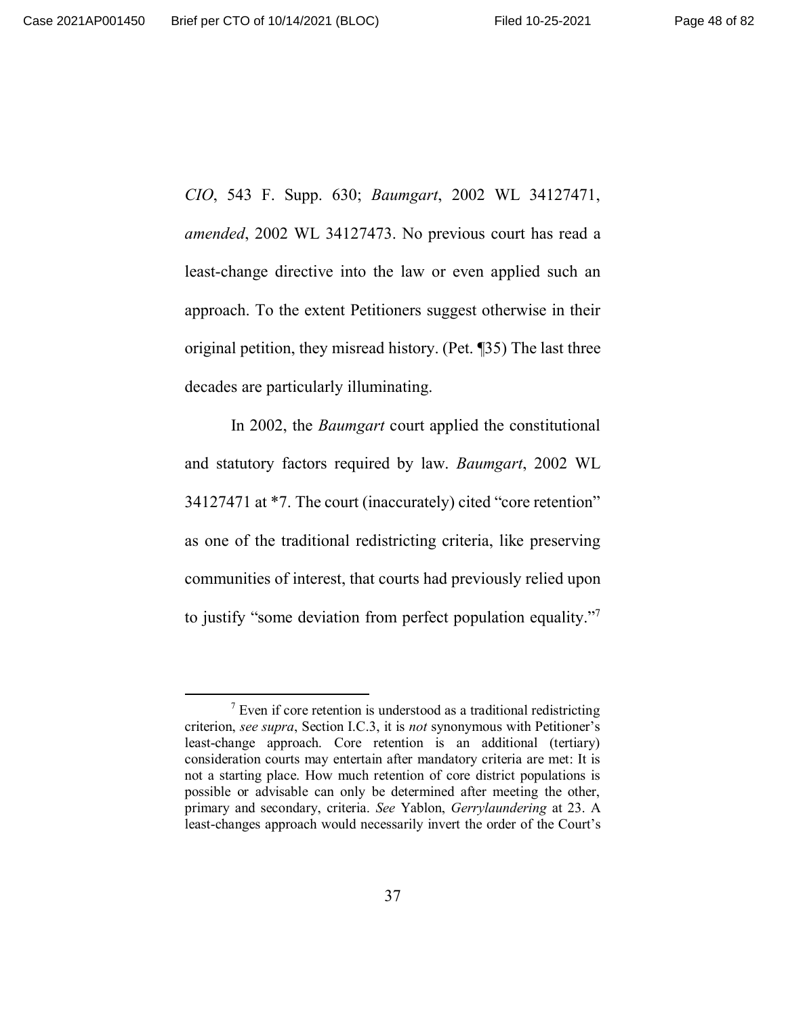*CIO*, 543 F. Supp. 630; *Baumgart*, 2002 WL 34127471, *amended*, 2002 WL 34127473. No previous court has read a least-change directive into the law or even applied such an approach. To the extent Petitioners suggest otherwise in their original petition, they misread history. (Pet. ¶35) The last three decades are particularly illuminating.

In 2002, the *Baumgart* court applied the constitutional and statutory factors required by law. *Baumgart*, 2002 WL 34127471 at \*7. The court (inaccurately) cited "core retention" as one of the traditional redistricting criteria, like preserving communities of interest, that courts had previously relied upon to justify "some deviation from perfect population equality."<sup>7</sup>

 $7$  Even if core retention is understood as a traditional redistricting criterion, *see supra*, Section I.C.3, it is *not* synonymous with Petitioner's least-change approach. Core retention is an additional (tertiary) consideration courts may entertain after mandatory criteria are met: It is not a starting place. How much retention of core district populations is possible or advisable can only be determined after meeting the other, primary and secondary, criteria. *See* Yablon, *Gerrylaundering* at 23. A least-changes approach would necessarily invert the order of the Court's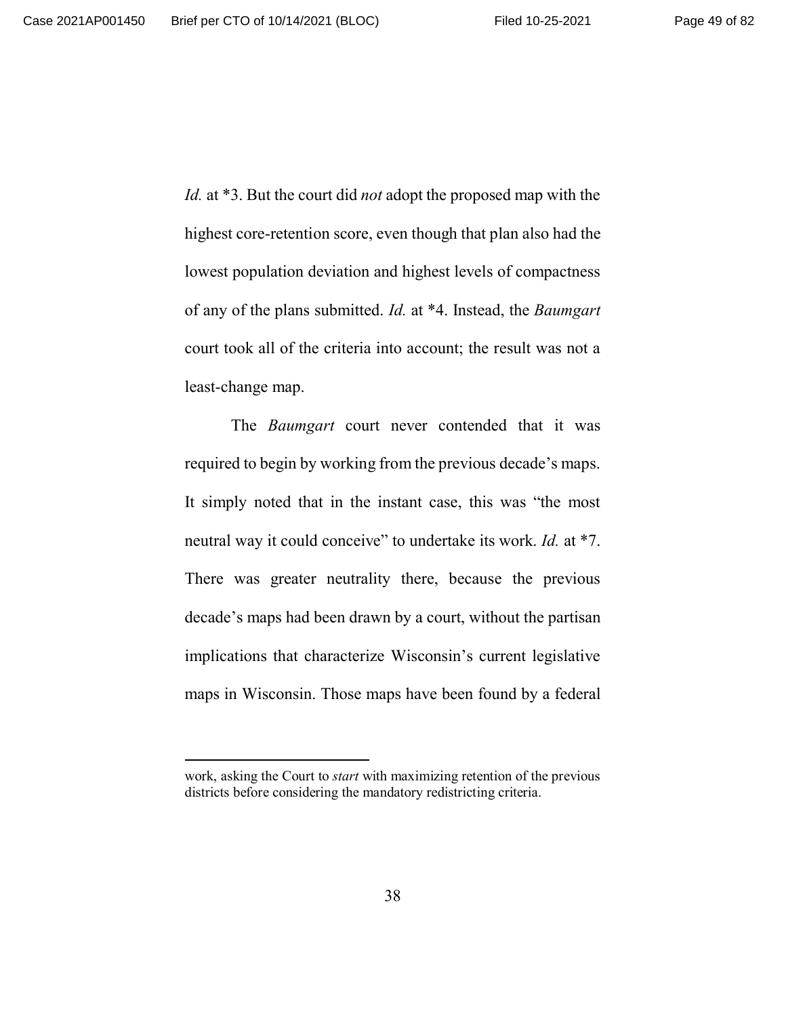*Id.* at \*3. But the court did *not* adopt the proposed map with the highest core-retention score, even though that plan also had the lowest population deviation and highest levels of compactness of any of the plans submitted. *Id.* at \*4. Instead, the *Baumgart* court took all of the criteria into account; the result was not a least-change map.

The *Baumgart* court never contended that it was required to begin by working from the previous decade's maps. It simply noted that in the instant case, this was "the most neutral way it could conceive" to undertake its work. *Id.* at \*7. There was greater neutrality there, because the previous decade's maps had been drawn by a court, without the partisan implications that characterize Wisconsin's current legislative maps in Wisconsin. Those maps have been found by a federal

work, asking the Court to *start* with maximizing retention of the previous districts before considering the mandatory redistricting criteria.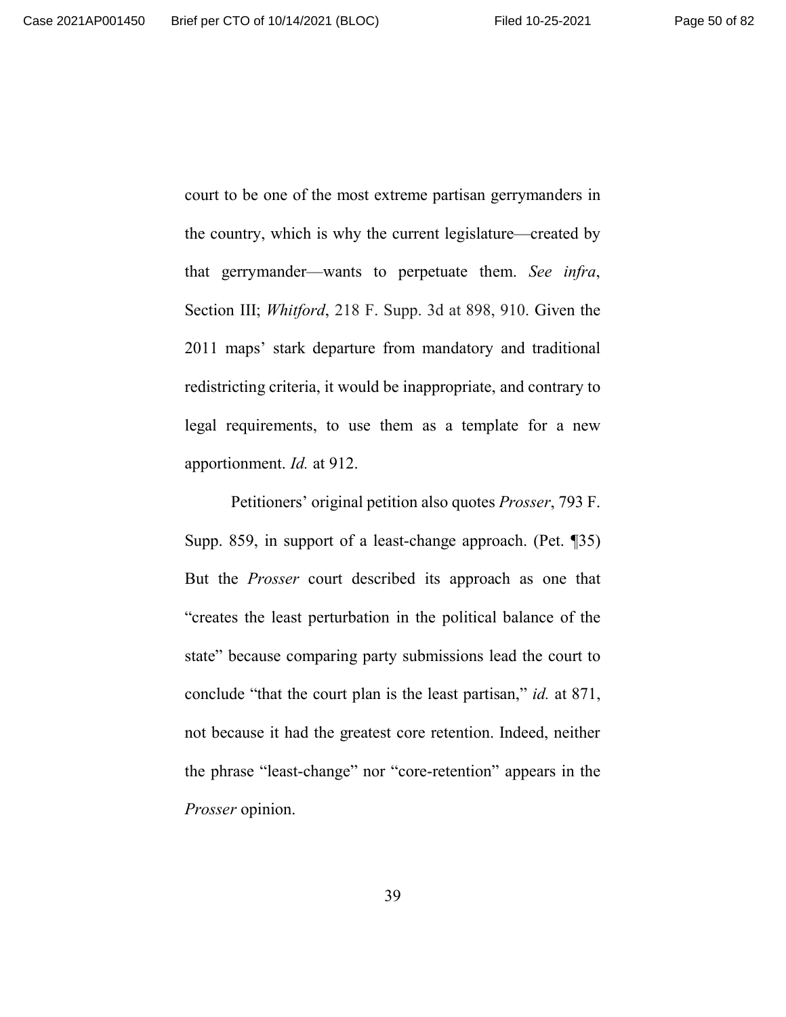court to be one of the most extreme partisan gerrymanders in the country, which is why the current legislature—created by that gerrymander—wants to perpetuate them. *See infra*, Section III; *Whitford*, 218 F. Supp. 3d at 898, 910. Given the 2011 maps' stark departure from mandatory and traditional redistricting criteria, it would be inappropriate, and contrary to legal requirements, to use them as a template for a new apportionment. *Id.* at 912.

Petitioners' original petition also quotes *Prosser*, 793 F. Supp. 859, in support of a least-change approach. (Pet. ¶35) But the *Prosser* court described its approach as one that "creates the least perturbation in the political balance of the state" because comparing party submissions lead the court to conclude "that the court plan is the least partisan," *id.* at 871, not because it had the greatest core retention. Indeed, neither the phrase "least-change" nor "core-retention" appears in the *Prosser* opinion.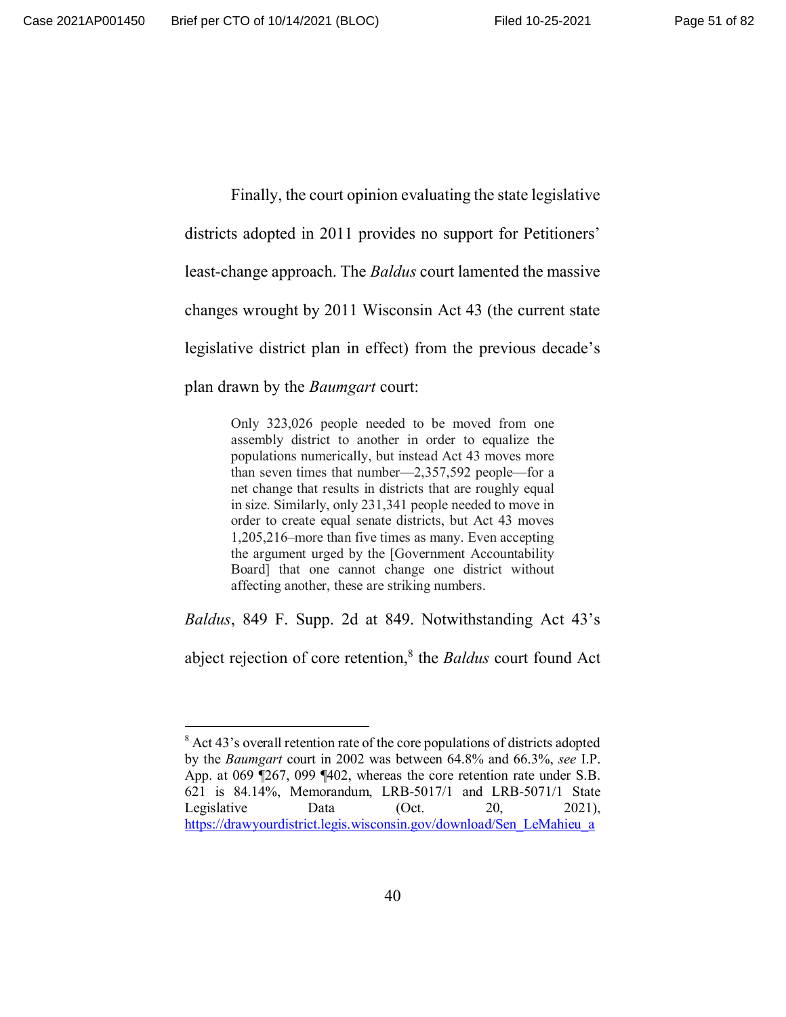Finally, the court opinion evaluating the state legislative districts adopted in 2011 provides no support for Petitioners' least-change approach. The *Baldus* court lamented the massive changes wrought by 2011 Wisconsin Act 43 (the current state legislative district plan in effect) from the previous decade's plan drawn by the *Baumgart* court:

> Only 323,026 people needed to be moved from one assembly district to another in order to equalize the populations numerically, but instead Act 43 moves more than seven times that number—2,357,592 people—for a net change that results in districts that are roughly equal in size. Similarly, only 231,341 people needed to move in order to create equal senate districts, but Act 43 moves 1,205,216–more than five times as many. Even accepting the argument urged by the [Government Accountability Board] that one cannot change one district without affecting another, these are striking numbers.

*Baldus*, 849 F. Supp. 2d at 849. Notwithstanding Act 43's

abject rejection of core retention,<sup>8</sup> the *Baldus* court found Act

 $8$  Act 43's overall retention rate of the core populations of districts adopted by the *Baumgart* court in 2002 was between 64.8% and 66.3%, *see* I.P. App. at 069 ¶267, 099 ¶402, whereas the core retention rate under S.B. 621 is 84.14%, Memorandum, LRB-5017/1 and LRB-5071/1 State Legislative Data (Oct. 20, 2021), https://drawyourdistrict.legis.wisconsin.gov/download/Sen\_LeMahieu\_a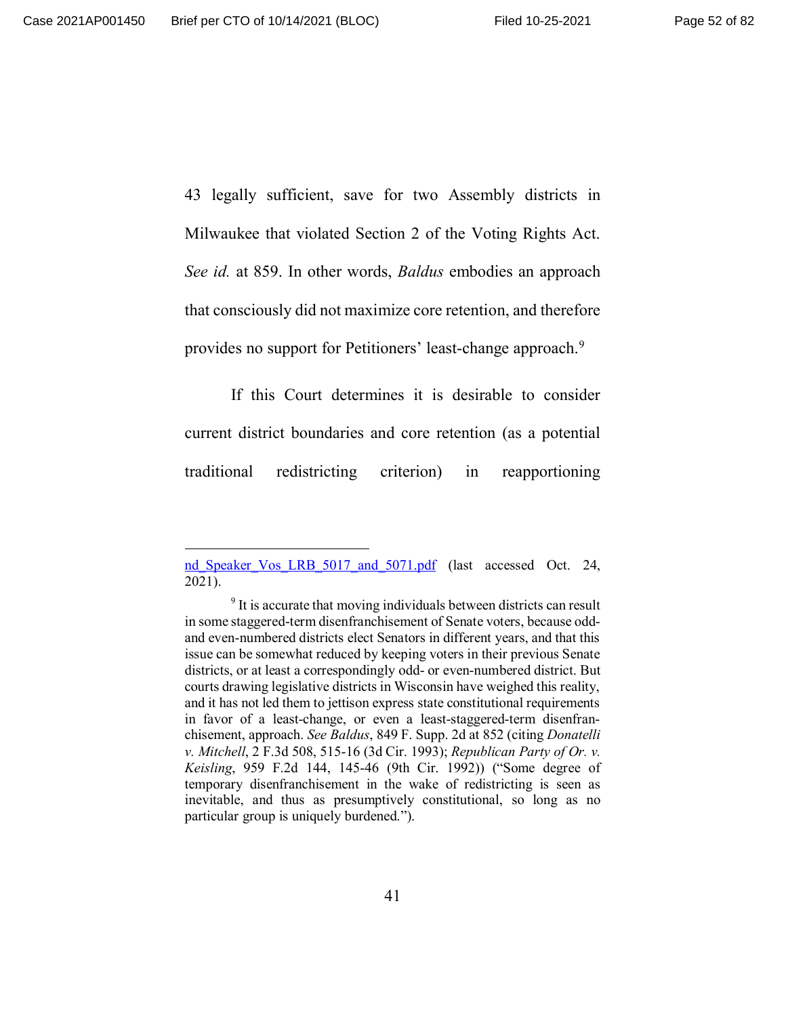43 legally sufficient, save for two Assembly districts in Milwaukee that violated Section 2 of the Voting Rights Act. *See id.* at 859. In other words, *Baldus* embodies an approach that consciously did not maximize core retention, and therefore provides no support for Petitioners' least-change approach.<sup>9</sup>

If this Court determines it is desirable to consider current district boundaries and core retention (as a potential traditional redistricting criterion) in reapportioning

nd Speaker Vos LRB 5017 and 5071.pdf (last accessed Oct. 24, 2021).

<sup>&</sup>lt;sup>9</sup> It is accurate that moving individuals between districts can result in some staggered-term disenfranchisement of Senate voters, because oddand even-numbered districts elect Senators in different years, and that this issue can be somewhat reduced by keeping voters in their previous Senate districts, or at least a correspondingly odd- or even-numbered district. But courts drawing legislative districts in Wisconsin have weighed this reality, and it has not led them to jettison express state constitutional requirements in favor of a least-change, or even a least-staggered-term disenfranchisement, approach. *See Baldus*, 849 F. Supp. 2d at 852 (citing *Donatelli v. Mitchell*, 2 F.3d 508, 515-16 (3d Cir. 1993); *Republican Party of Or. v. Keisling*, 959 F.2d 144, 145-46 (9th Cir. 1992)) ("Some degree of temporary disenfranchisement in the wake of redistricting is seen as inevitable, and thus as presumptively constitutional, so long as no particular group is uniquely burdened.").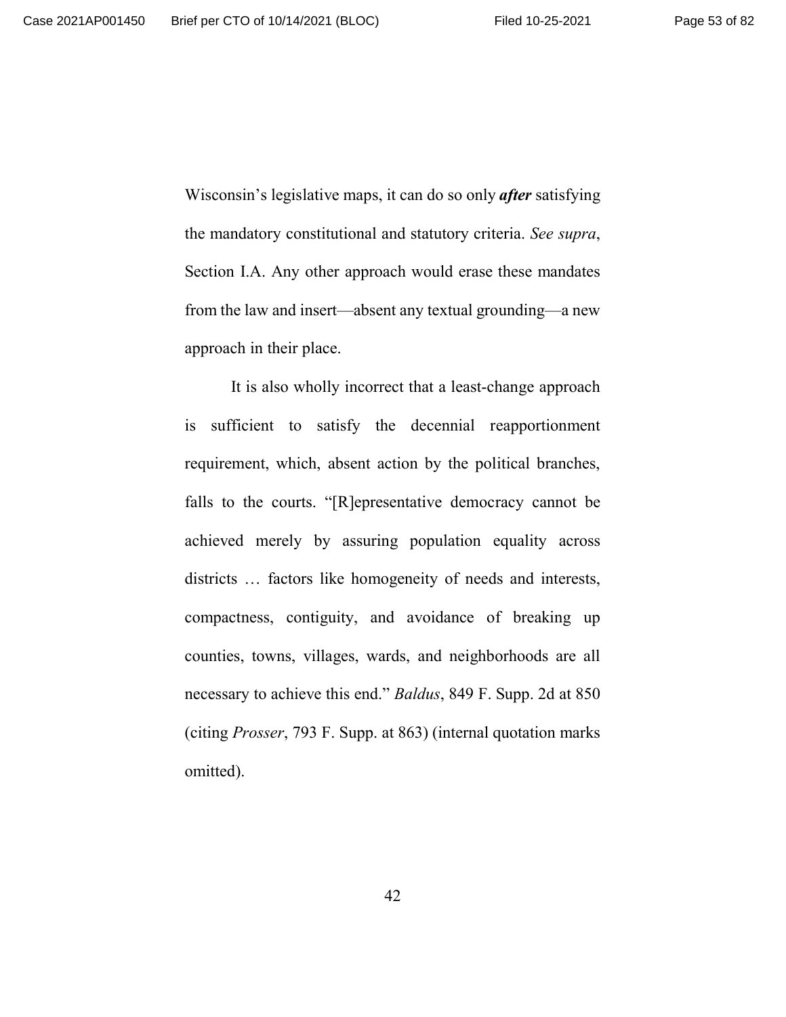Wisconsin's legislative maps, it can do so only *after* satisfying the mandatory constitutional and statutory criteria. *See supra*, Section I.A. Any other approach would erase these mandates from the law and insert—absent any textual grounding—a new approach in their place.

It is also wholly incorrect that a least-change approach is sufficient to satisfy the decennial reapportionment requirement, which, absent action by the political branches, falls to the courts. "[R]epresentative democracy cannot be achieved merely by assuring population equality across districts ... factors like homogeneity of needs and interests, compactness, contiguity, and avoidance of breaking up counties, towns, villages, wards, and neighborhoods are all necessary to achieve this end." *Baldus*, 849 F. Supp. 2d at 850 (citing *Prosser*, 793 F. Supp. at 863) (internal quotation marks omitted).

42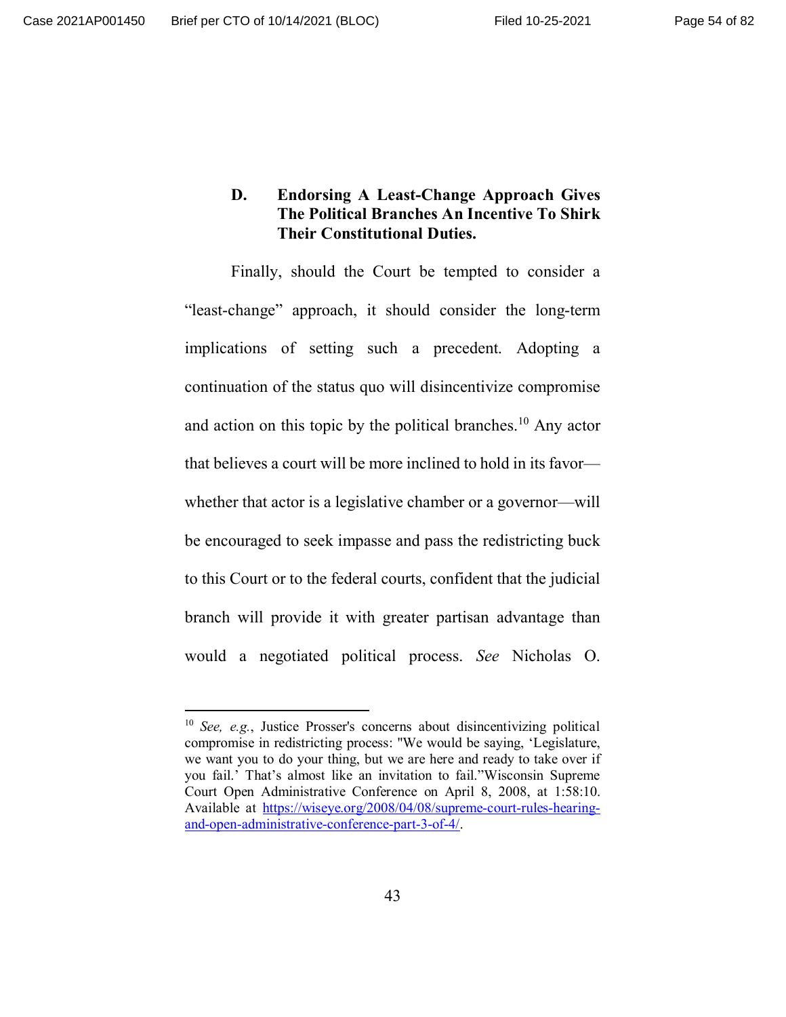## **D. Endorsing A Least-Change Approach Gives The Political Branches An Incentive To Shirk Their Constitutional Duties.**

Finally, should the Court be tempted to consider a "least-change" approach, it should consider the long-term implications of setting such a precedent. Adopting a continuation of the status quo will disincentivize compromise and action on this topic by the political branches.<sup>10</sup> Any actor that believes a court will be more inclined to hold in its favor whether that actor is a legislative chamber or a governor—will be encouraged to seek impasse and pass the redistricting buck to this Court or to the federal courts, confident that the judicial branch will provide it with greater partisan advantage than would a negotiated political process. *See* Nicholas O.

<sup>10</sup> *See, e.g.*, Justice Prosser's concerns about disincentivizing political compromise in redistricting process: "We would be saying, 'Legislature, we want you to do your thing, but we are here and ready to take over if you fail.' That's almost like an invitation to fail."Wisconsin Supreme Court Open Administrative Conference on April 8, 2008, at 1:58:10. Available at https://wiseye.org/2008/04/08/supreme-court-rules-hearingand-open-administrative-conference-part-3-of-4/.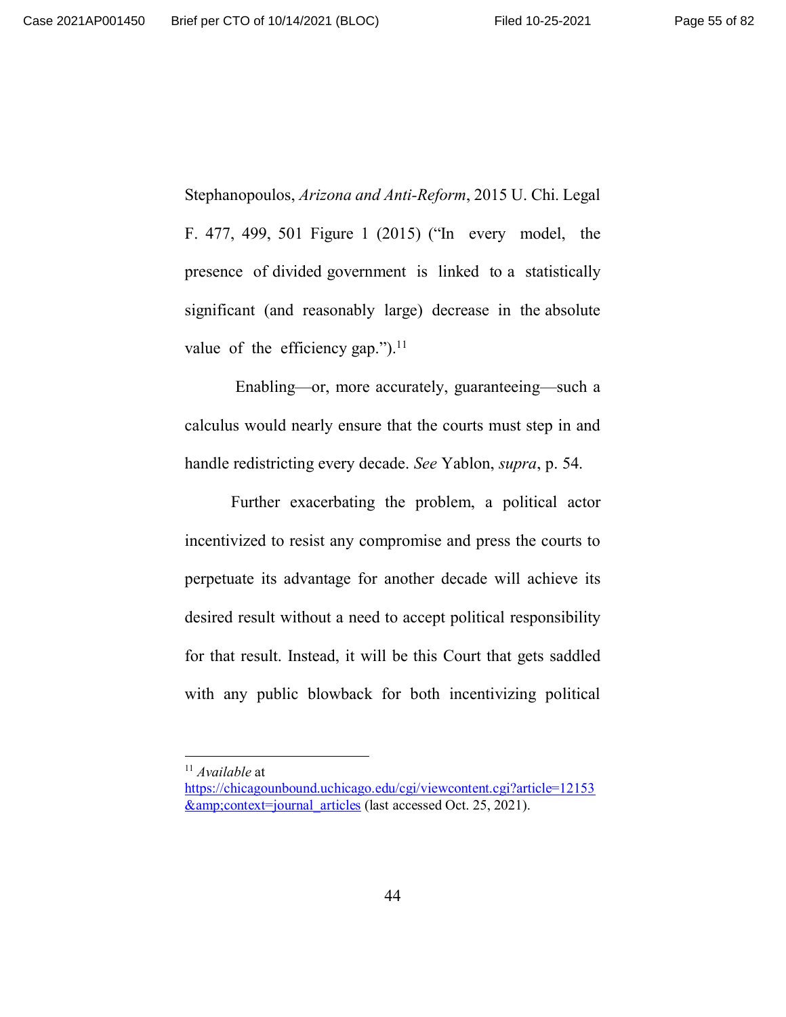Stephanopoulos, *Arizona and Anti-Reform*, 2015 U. Chi. Legal F. 477, 499, 501 Figure 1 (2015) ("In every model, the presence of divided government is linked to a statistically significant (and reasonably large) decrease in the absolute value of the efficiency gap.").<sup>11</sup>

 Enabling—or, more accurately, guaranteeing—such a calculus would nearly ensure that the courts must step in and handle redistricting every decade. *See* Yablon, *supra*, p. 54.

Further exacerbating the problem, a political actor incentivized to resist any compromise and press the courts to perpetuate its advantage for another decade will achieve its desired result without a need to accept political responsibility for that result. Instead, it will be this Court that gets saddled with any public blowback for both incentivizing political

<sup>11</sup> *Available* at

https://chicagounbound.uchicago.edu/cgi/viewcontent.cgi?article=12153 &context=journal\_articles (last accessed Oct. 25, 2021).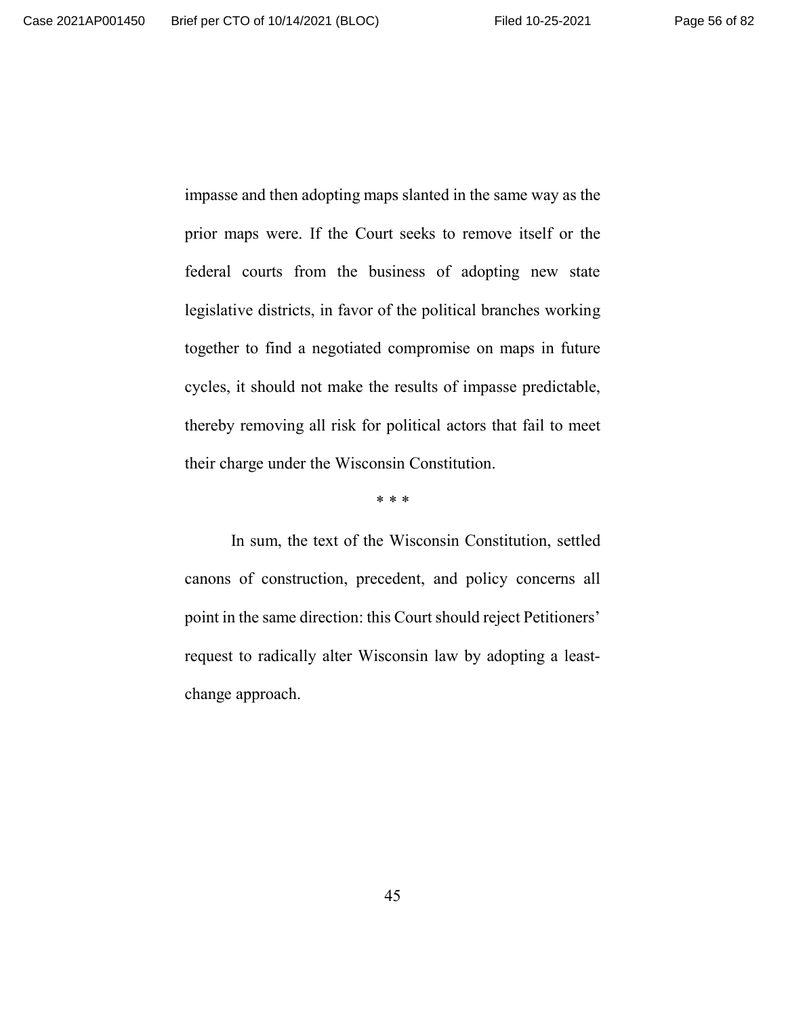impasse and then adopting maps slanted in the same way as the prior maps were. If the Court seeks to remove itself or the federal courts from the business of adopting new state legislative districts, in favor of the political branches working together to find a negotiated compromise on maps in future cycles, it should not make the results of impasse predictable, thereby removing all risk for political actors that fail to meet their charge under the Wisconsin Constitution.

\* \* \*

In sum, the text of the Wisconsin Constitution, settled canons of construction, precedent, and policy concerns all point in the same direction: this Court should reject Petitioners' request to radically alter Wisconsin law by adopting a leastchange approach.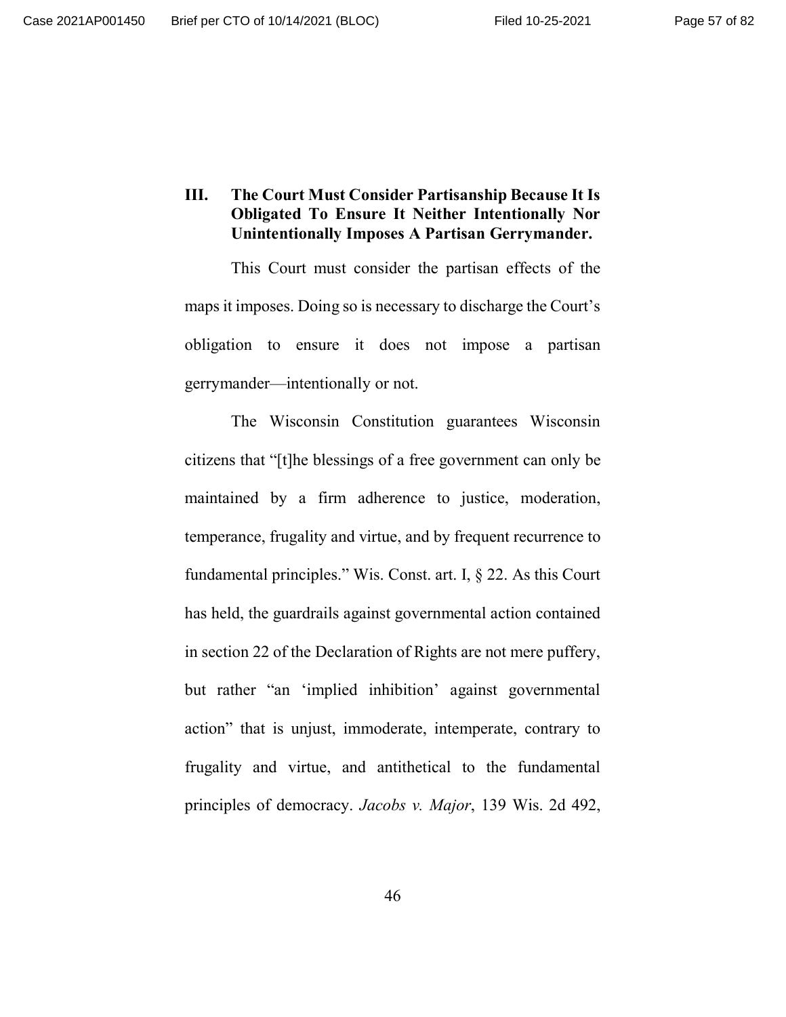# **III. The Court Must Consider Partisanship Because It Is Obligated To Ensure It Neither Intentionally Nor Unintentionally Imposes A Partisan Gerrymander.**

This Court must consider the partisan effects of the maps it imposes. Doing so is necessary to discharge the Court's obligation to ensure it does not impose a partisan gerrymander—intentionally or not.

The Wisconsin Constitution guarantees Wisconsin citizens that "[t]he blessings of a free government can only be maintained by a firm adherence to justice, moderation, temperance, frugality and virtue, and by frequent recurrence to fundamental principles." Wis. Const. art. I, § 22. As this Court has held, the guardrails against governmental action contained in section 22 of the Declaration of Rights are not mere puffery, but rather "an 'implied inhibition' against governmental action" that is unjust, immoderate, intemperate, contrary to frugality and virtue, and antithetical to the fundamental principles of democracy. *Jacobs v. Major*, 139 Wis. 2d 492,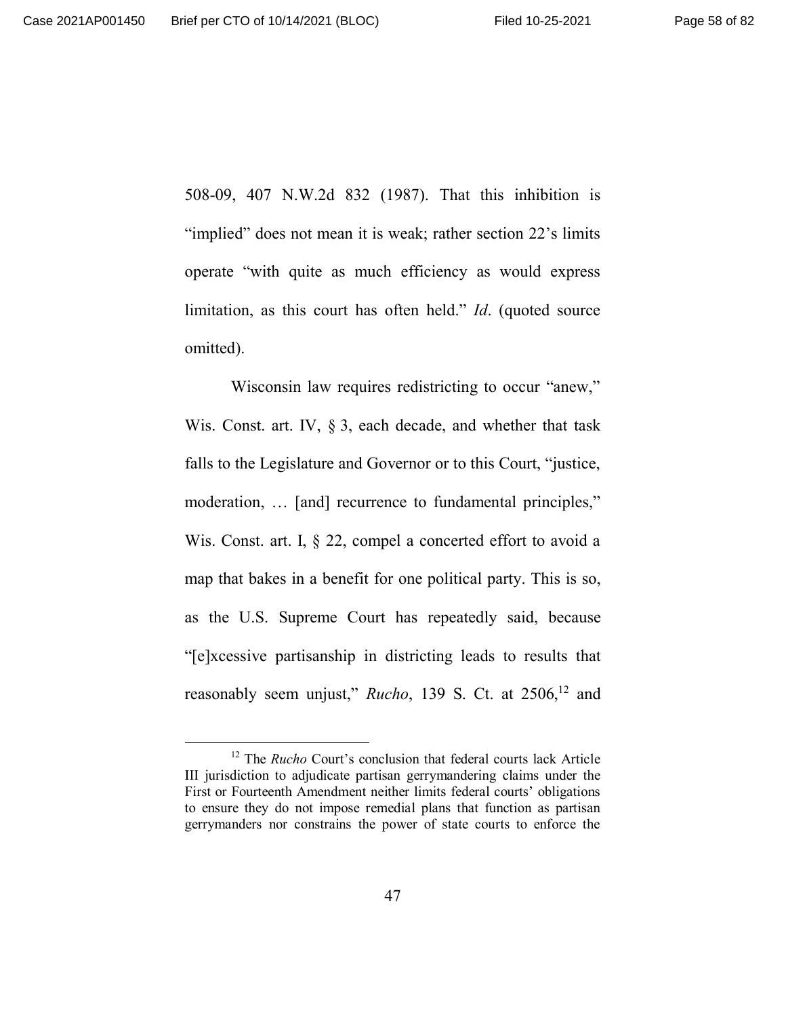508-09, 407 N.W.2d 832 (1987). That this inhibition is "implied" does not mean it is weak; rather section 22's limits operate "with quite as much efficiency as would express limitation, as this court has often held." *Id*. (quoted source omitted).

Wisconsin law requires redistricting to occur "anew," Wis. Const. art. IV, § 3, each decade, and whether that task falls to the Legislature and Governor or to this Court, "justice, moderation, … [and] recurrence to fundamental principles," Wis. Const. art. I, § 22, compel a concerted effort to avoid a map that bakes in a benefit for one political party. This is so, as the U.S. Supreme Court has repeatedly said, because "[e]xcessive partisanship in districting leads to results that reasonably seem unjust," *Rucho*, 139 S. Ct. at 2506,<sup>12</sup> and

<sup>12</sup> The *Rucho* Court's conclusion that federal courts lack Article III jurisdiction to adjudicate partisan gerrymandering claims under the First or Fourteenth Amendment neither limits federal courts' obligations to ensure they do not impose remedial plans that function as partisan gerrymanders nor constrains the power of state courts to enforce the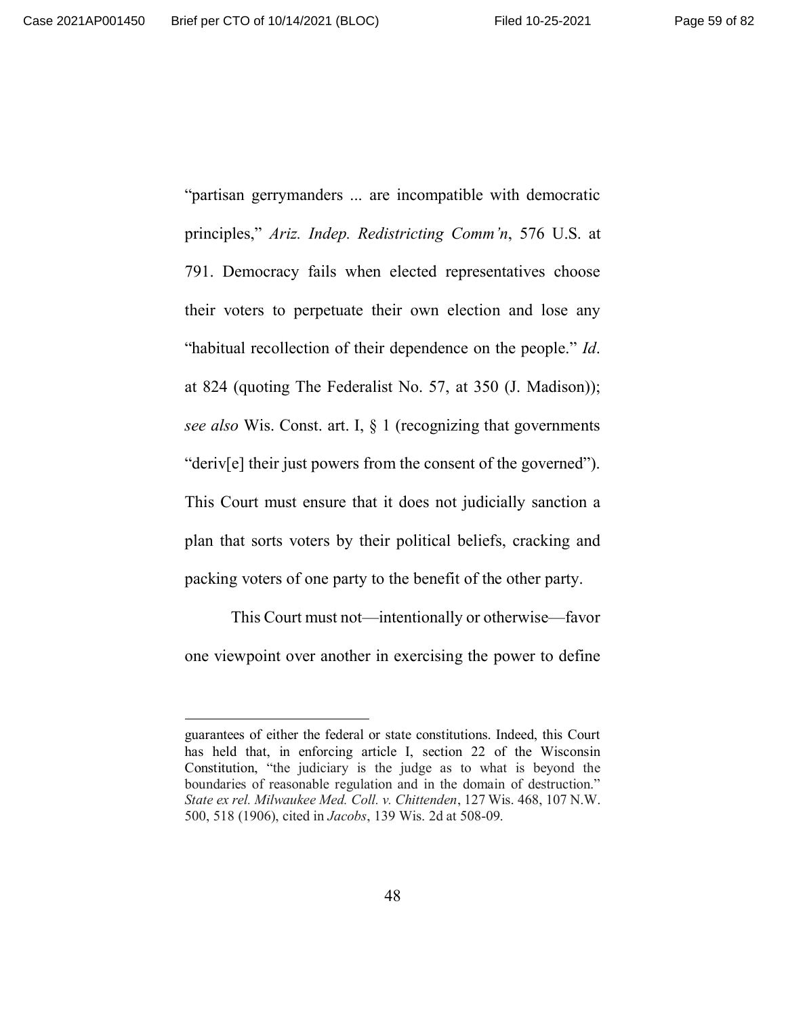"partisan gerrymanders ... are incompatible with democratic principles," *Ariz. Indep. Redistricting Comm'n*, 576 U.S. at 791. Democracy fails when elected representatives choose their voters to perpetuate their own election and lose any "habitual recollection of their dependence on the people." *Id*. at 824 (quoting The Federalist No. 57, at 350 (J. Madison)); *see also* Wis. Const. art. I, § 1 (recognizing that governments "deriv[e] their just powers from the consent of the governed"). This Court must ensure that it does not judicially sanction a plan that sorts voters by their political beliefs, cracking and packing voters of one party to the benefit of the other party.

This Court must not—intentionally or otherwise—favor one viewpoint over another in exercising the power to define

guarantees of either the federal or state constitutions. Indeed, this Court has held that, in enforcing article I, section 22 of the Wisconsin Constitution, "the judiciary is the judge as to what is beyond the boundaries of reasonable regulation and in the domain of destruction." *State ex rel. Milwaukee Med. Coll. v. Chittenden*, 127 Wis. 468, 107 N.W. 500, 518 (1906), cited in *Jacobs*, 139 Wis. 2d at 508-09.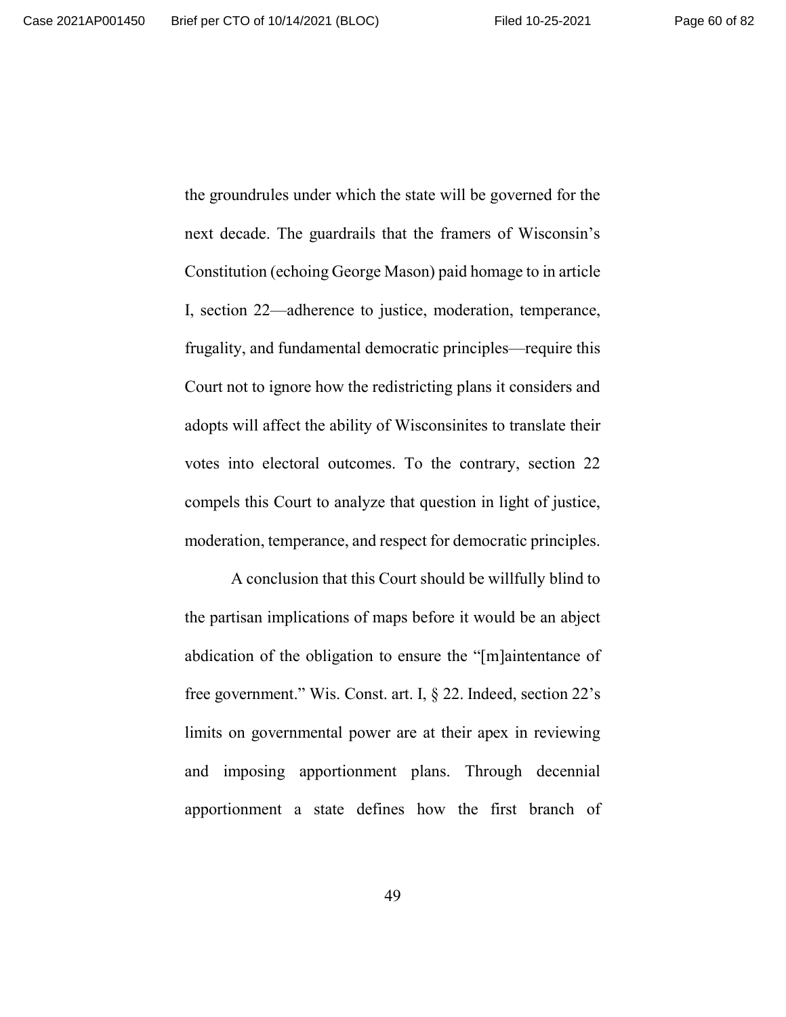the groundrules under which the state will be governed for the next decade. The guardrails that the framers of Wisconsin's Constitution (echoing George Mason) paid homage to in article I, section 22—adherence to justice, moderation, temperance, frugality, and fundamental democratic principles—require this Court not to ignore how the redistricting plans it considers and adopts will affect the ability of Wisconsinites to translate their votes into electoral outcomes. To the contrary, section 22 compels this Court to analyze that question in light of justice, moderation, temperance, and respect for democratic principles.

A conclusion that this Court should be willfully blind to the partisan implications of maps before it would be an abject abdication of the obligation to ensure the "[m]aintentance of free government." Wis. Const. art. I, § 22. Indeed, section 22's limits on governmental power are at their apex in reviewing and imposing apportionment plans. Through decennial apportionment a state defines how the first branch of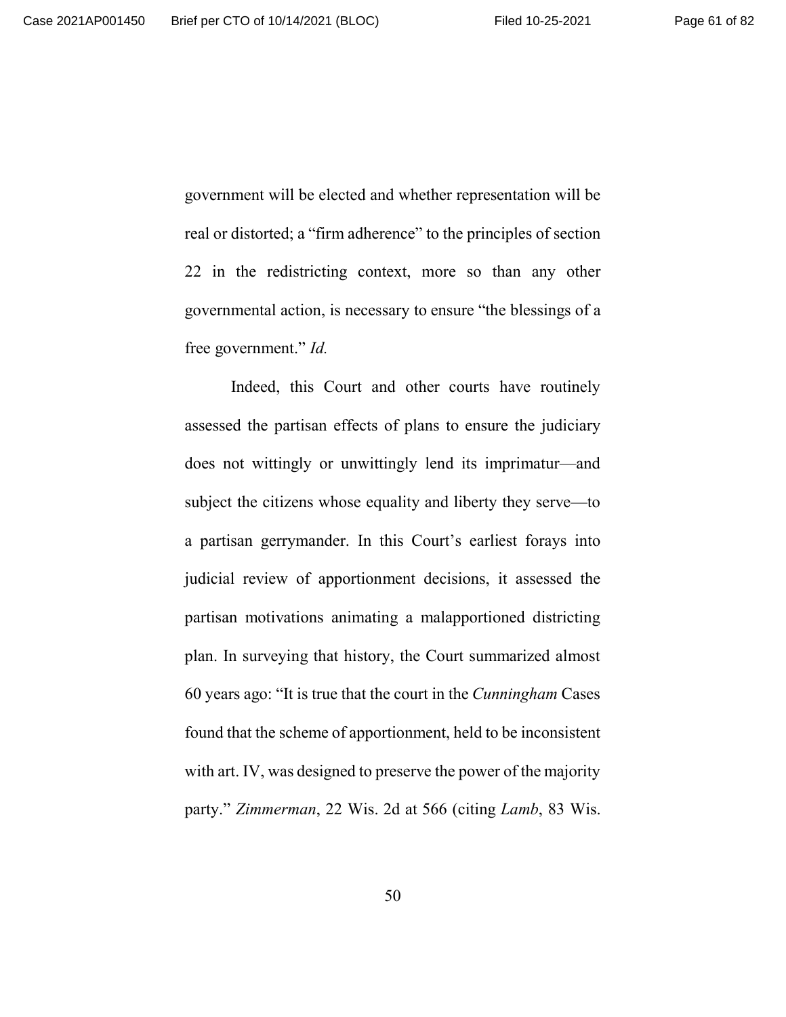government will be elected and whether representation will be real or distorted; a "firm adherence" to the principles of section 22 in the redistricting context, more so than any other governmental action, is necessary to ensure "the blessings of a free government." *Id.*

Indeed, this Court and other courts have routinely assessed the partisan effects of plans to ensure the judiciary does not wittingly or unwittingly lend its imprimatur—and subject the citizens whose equality and liberty they serve—to a partisan gerrymander. In this Court's earliest forays into judicial review of apportionment decisions, it assessed the partisan motivations animating a malapportioned districting plan. In surveying that history, the Court summarized almost 60 years ago: "It is true that the court in the *Cunningham* Cases found that the scheme of apportionment, held to be inconsistent with art. IV, was designed to preserve the power of the majority party." *Zimmerman*, 22 Wis. 2d at 566 (citing *Lamb*, 83 Wis.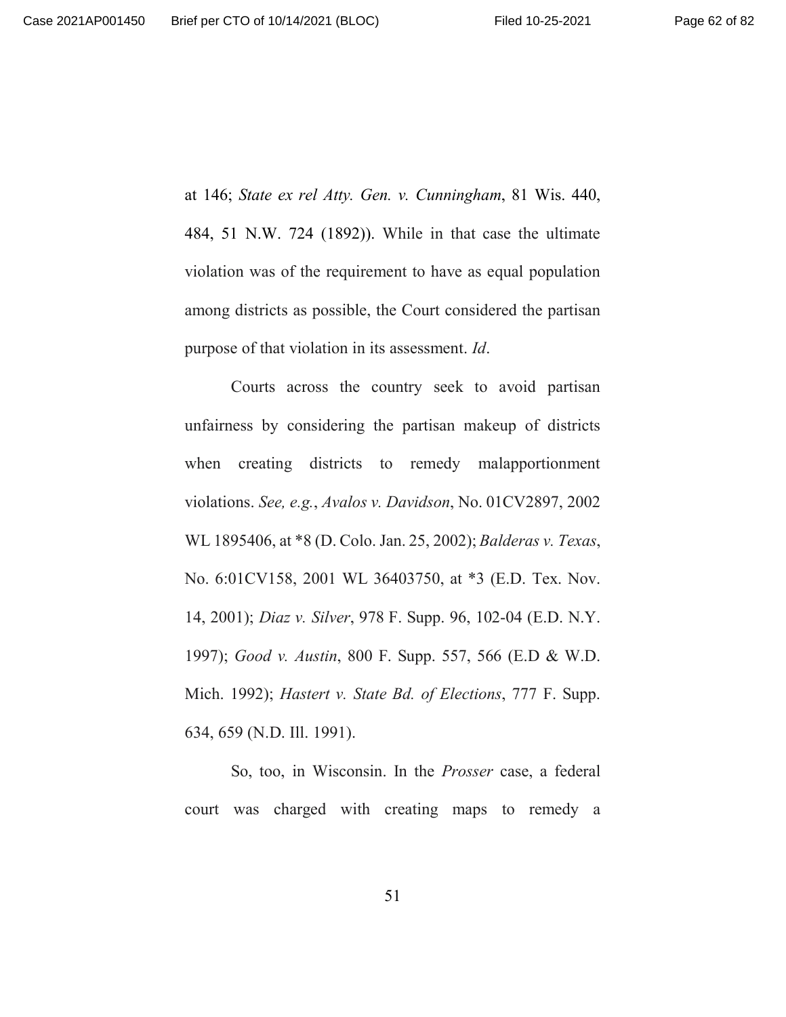at 146; *State ex rel Atty. Gen. v. Cunningham*, 81 Wis. 440, 484, 51 N.W. 724 (1892)). While in that case the ultimate violation was of the requirement to have as equal population among districts as possible, the Court considered the partisan purpose of that violation in its assessment. *Id*.

Courts across the country seek to avoid partisan unfairness by considering the partisan makeup of districts when creating districts to remedy malapportionment violations. *See, e.g.*, *Avalos v. Davidson*, No. 01CV2897, 2002 WL 1895406, at \*8 (D. Colo. Jan. 25, 2002); *Balderas v. Texas*, No. 6:01CV158, 2001 WL 36403750, at \*3 (E.D. Tex. Nov. 14, 2001); *Diaz v. Silver*, 978 F. Supp. 96, 102-04 (E.D. N.Y. 1997); *Good v. Austin*, 800 F. Supp. 557, 566 (E.D & W.D. Mich. 1992); *Hastert v. State Bd. of Elections*, 777 F. Supp. 634, 659 (N.D. Ill. 1991).

So, too, in Wisconsin. In the *Prosser* case, a federal court was charged with creating maps to remedy a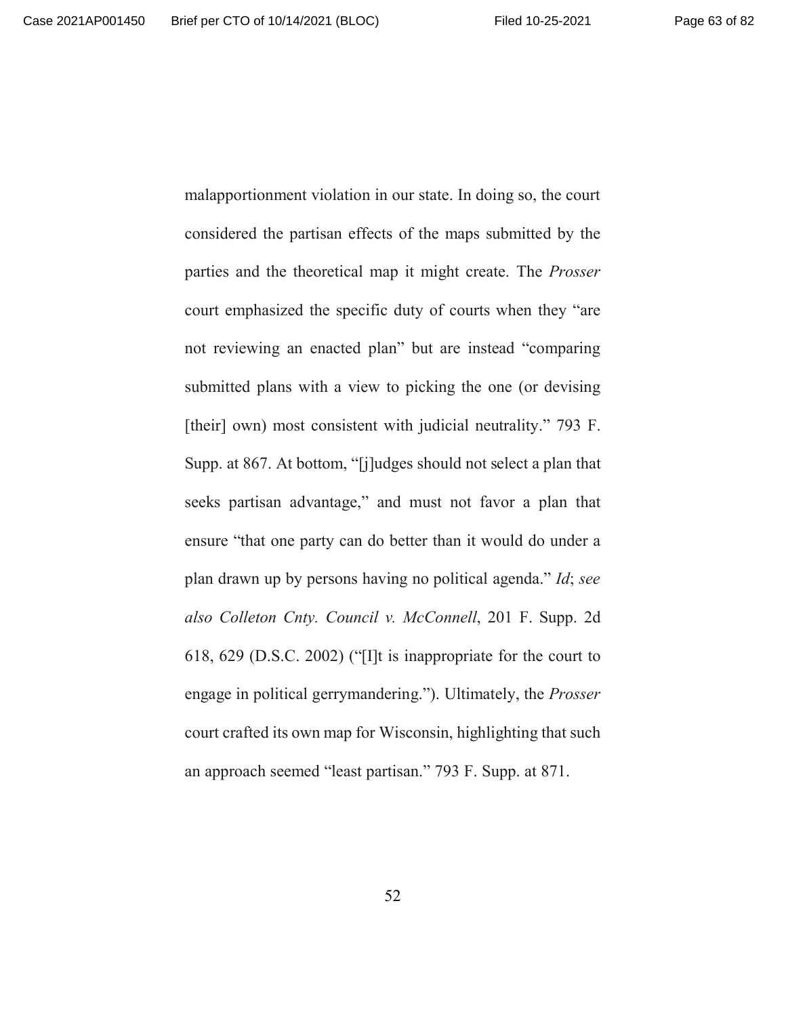malapportionment violation in our state. In doing so, the court considered the partisan effects of the maps submitted by the parties and the theoretical map it might create. The *Prosser* court emphasized the specific duty of courts when they "are not reviewing an enacted plan" but are instead "comparing submitted plans with a view to picking the one (or devising [their] own) most consistent with judicial neutrality." 793 F. Supp. at 867. At bottom, "[j]udges should not select a plan that seeks partisan advantage," and must not favor a plan that ensure "that one party can do better than it would do under a plan drawn up by persons having no political agenda." *Id*; *see also Colleton Cnty. Council v. McConnell*, 201 F. Supp. 2d 618, 629 (D.S.C. 2002) ("[I]t is inappropriate for the court to engage in political gerrymandering."). Ultimately, the *Prosser* court crafted its own map for Wisconsin, highlighting that such an approach seemed "least partisan." 793 F. Supp. at 871.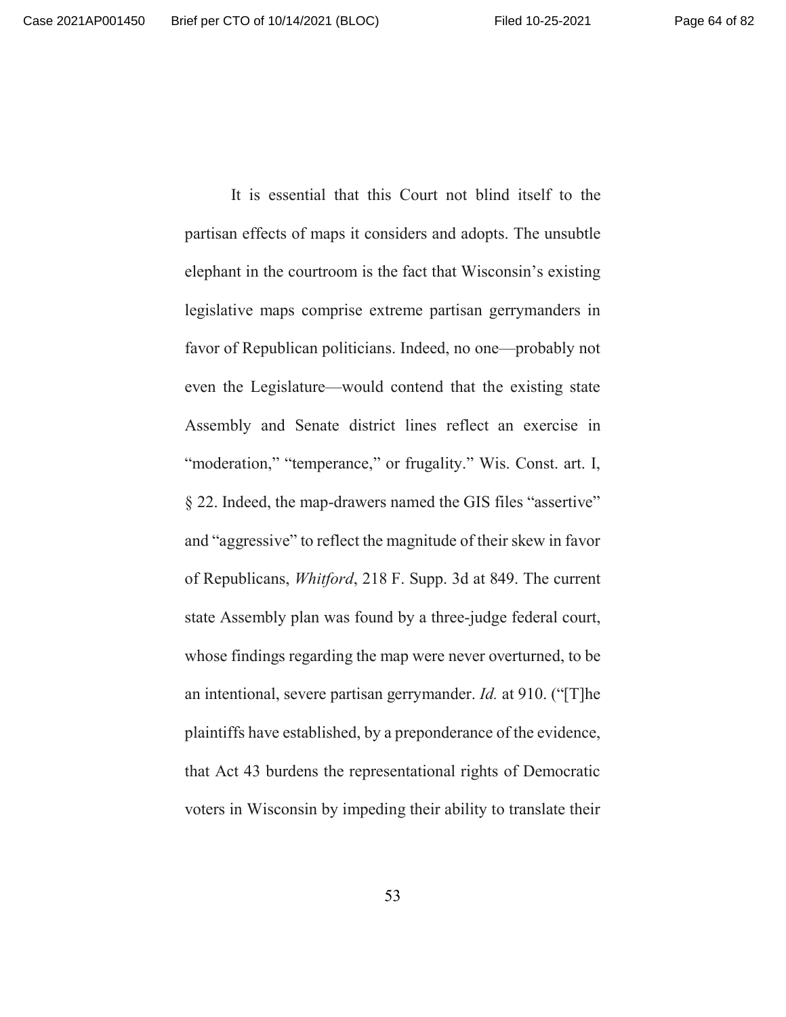It is essential that this Court not blind itself to the partisan effects of maps it considers and adopts. The unsubtle elephant in the courtroom is the fact that Wisconsin's existing legislative maps comprise extreme partisan gerrymanders in favor of Republican politicians. Indeed, no one—probably not even the Legislature—would contend that the existing state Assembly and Senate district lines reflect an exercise in "moderation," "temperance," or frugality." Wis. Const. art. I, § 22. Indeed, the map-drawers named the GIS files "assertive" and "aggressive" to reflect the magnitude of their skew in favor of Republicans, *Whitford*, 218 F. Supp. 3d at 849. The current state Assembly plan was found by a three-judge federal court, whose findings regarding the map were never overturned, to be an intentional, severe partisan gerrymander. *Id.* at 910. ("[T]he plaintiffs have established, by a preponderance of the evidence, that Act 43 burdens the representational rights of Democratic voters in Wisconsin by impeding their ability to translate their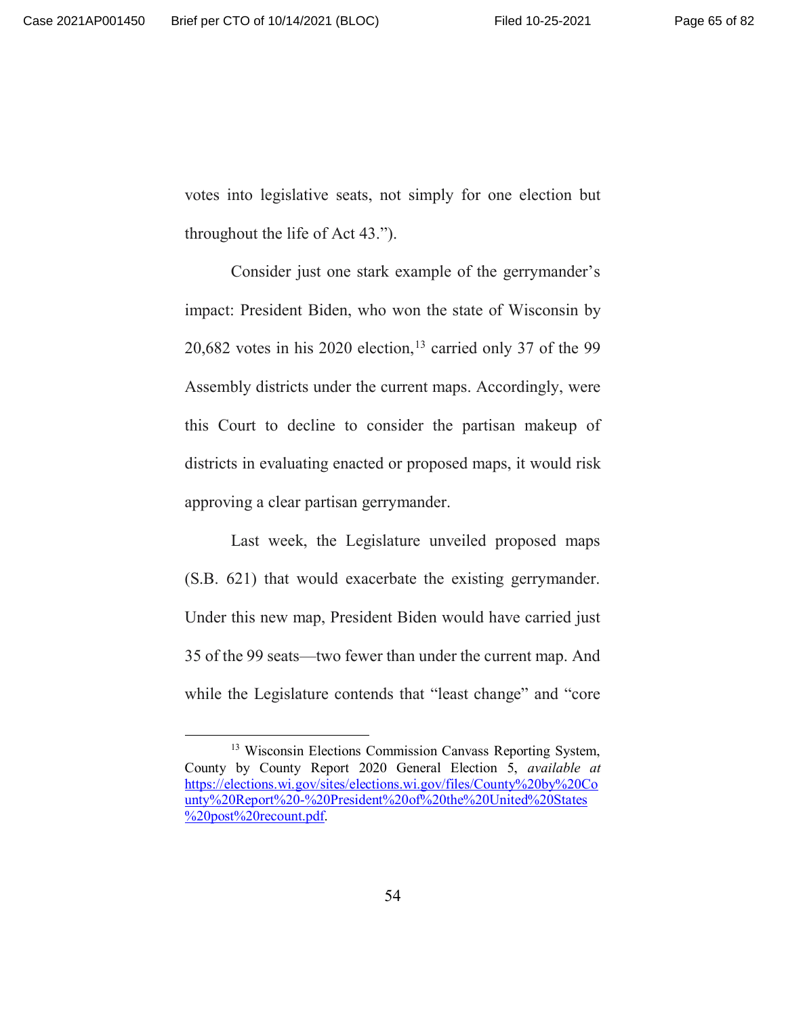votes into legislative seats, not simply for one election but throughout the life of Act 43.").

Consider just one stark example of the gerrymander's impact: President Biden, who won the state of Wisconsin by  $20,682$  votes in his  $2020$  election,<sup>13</sup> carried only 37 of the 99 Assembly districts under the current maps. Accordingly, were this Court to decline to consider the partisan makeup of districts in evaluating enacted or proposed maps, it would risk approving a clear partisan gerrymander.

Last week, the Legislature unveiled proposed maps (S.B. 621) that would exacerbate the existing gerrymander. Under this new map, President Biden would have carried just 35 of the 99 seats—two fewer than under the current map. And while the Legislature contends that "least change" and "core

<sup>&</sup>lt;sup>13</sup> Wisconsin Elections Commission Canvass Reporting System, County by County Report 2020 General Election 5, *available at* https://elections.wi.gov/sites/elections.wi.gov/files/County%20by%20Co unty%20Report%20-%20President%20of%20the%20United%20States %20post%20recount.pdf.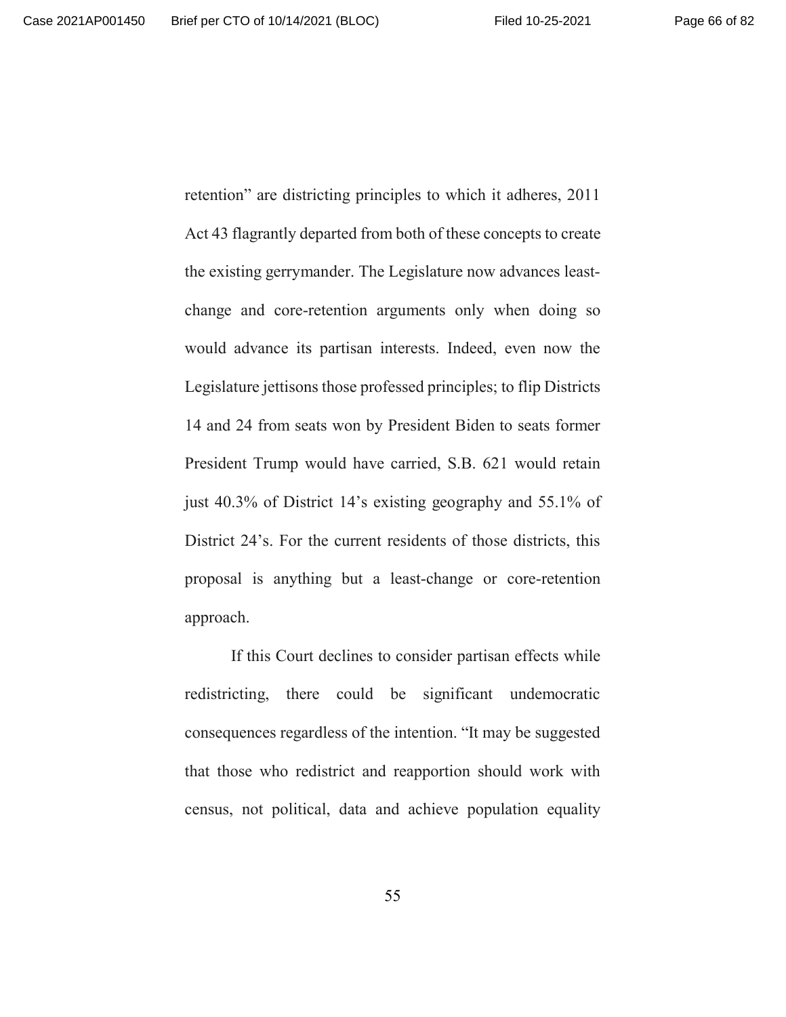retention" are districting principles to which it adheres, 2011 Act 43 flagrantly departed from both of these concepts to create the existing gerrymander. The Legislature now advances leastchange and core-retention arguments only when doing so would advance its partisan interests. Indeed, even now the Legislature jettisons those professed principles; to flip Districts 14 and 24 from seats won by President Biden to seats former President Trump would have carried, S.B. 621 would retain just 40.3% of District 14's existing geography and 55.1% of District 24's. For the current residents of those districts, this proposal is anything but a least-change or core-retention approach.

If this Court declines to consider partisan effects while redistricting, there could be significant undemocratic consequences regardless of the intention. "It may be suggested that those who redistrict and reapportion should work with census, not political, data and achieve population equality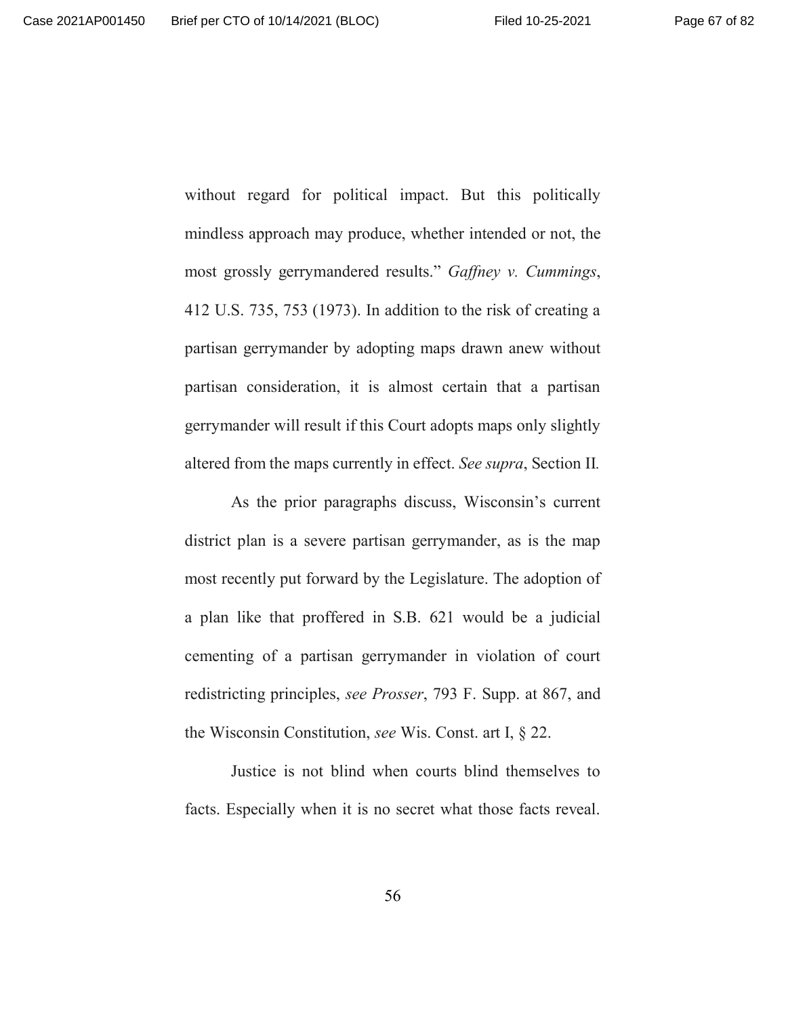without regard for political impact. But this politically mindless approach may produce, whether intended or not, the most grossly gerrymandered results." *Gaffney v. Cummings*, 412 U.S. 735, 753 (1973). In addition to the risk of creating a partisan gerrymander by adopting maps drawn anew without partisan consideration, it is almost certain that a partisan gerrymander will result if this Court adopts maps only slightly altered from the maps currently in effect. *See supra*, Section II*.*

As the prior paragraphs discuss, Wisconsin's current district plan is a severe partisan gerrymander, as is the map most recently put forward by the Legislature. The adoption of a plan like that proffered in S.B. 621 would be a judicial cementing of a partisan gerrymander in violation of court redistricting principles, *see Prosser*, 793 F. Supp. at 867, and the Wisconsin Constitution, *see* Wis. Const. art I, § 22.

Justice is not blind when courts blind themselves to facts. Especially when it is no secret what those facts reveal.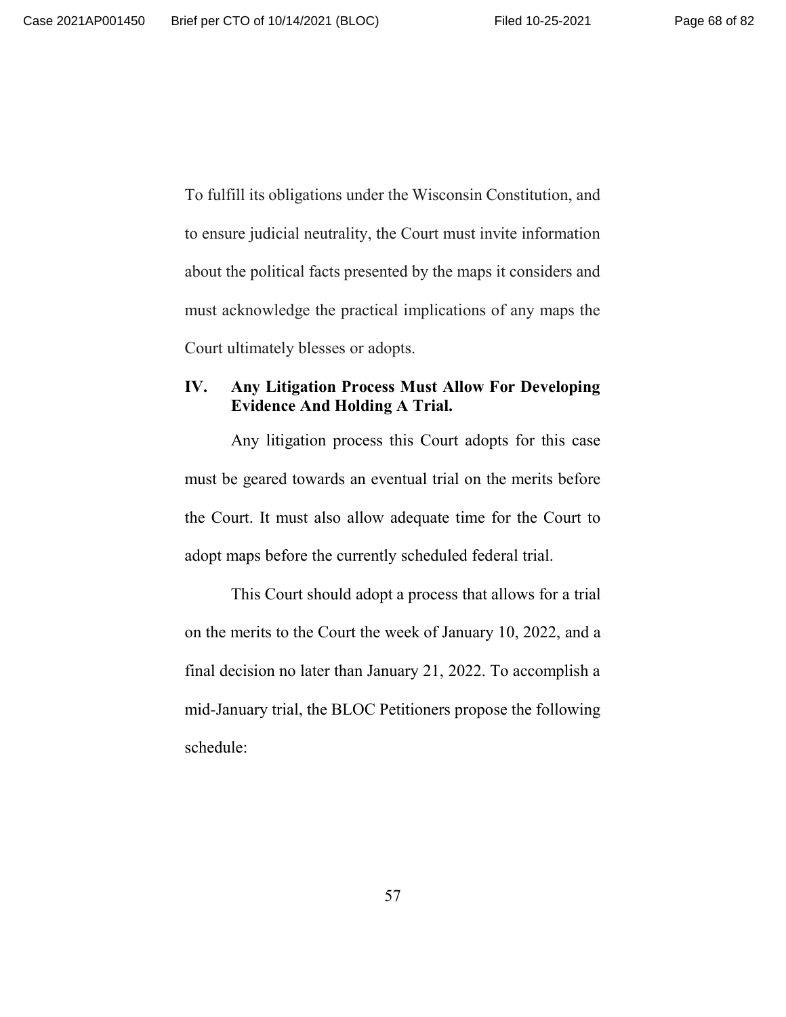To fulfill its obligations under the Wisconsin Constitution, and to ensure judicial neutrality, the Court must invite information about the political facts presented by the maps it considers and must acknowledge the practical implications of any maps the Court ultimately blesses or adopts.

#### **IV. Any Litigation Process Must Allow For Developing Evidence And Holding A Trial.**

Any litigation process this Court adopts for this case must be geared towards an eventual trial on the merits before the Court. It must also allow adequate time for the Court to adopt maps before the currently scheduled federal trial.

This Court should adopt a process that allows for a trial on the merits to the Court the week of January 10, 2022, and a final decision no later than January 21, 2022. To accomplish a mid-January trial, the BLOC Petitioners propose the following schedule: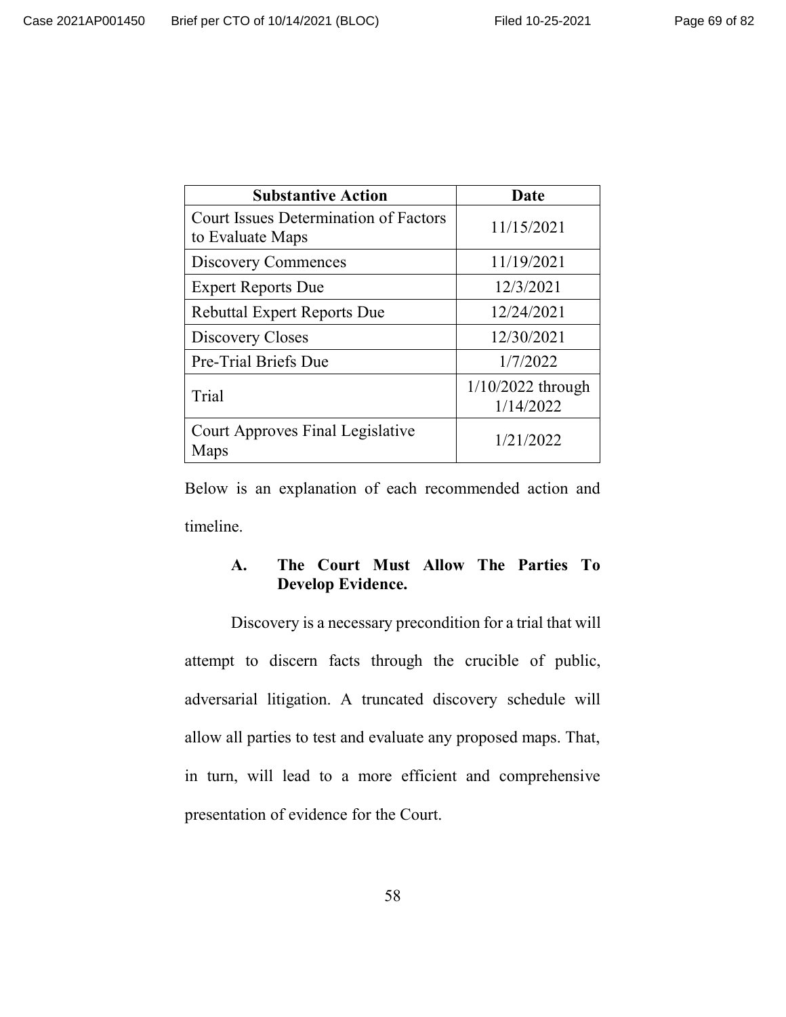| <b>Substantive Action</b>                                        | Date                             |
|------------------------------------------------------------------|----------------------------------|
| <b>Court Issues Determination of Factors</b><br>to Evaluate Maps | 11/15/2021                       |
| Discovery Commences                                              | 11/19/2021                       |
| <b>Expert Reports Due</b>                                        | 12/3/2021                        |
| <b>Rebuttal Expert Reports Due</b>                               | 12/24/2021                       |
| Discovery Closes                                                 | 12/30/2021                       |
| Pre-Trial Briefs Due                                             | 1/7/2022                         |
| Trial                                                            | $1/10/2022$ through<br>1/14/2022 |
| Court Approves Final Legislative<br>Maps                         | 1/21/2022                        |

Below is an explanation of each recommended action and timeline.

# **A. The Court Must Allow The Parties To Develop Evidence.**

Discovery is a necessary precondition for a trial that will attempt to discern facts through the crucible of public, adversarial litigation. A truncated discovery schedule will allow all parties to test and evaluate any proposed maps. That, in turn, will lead to a more efficient and comprehensive presentation of evidence for the Court.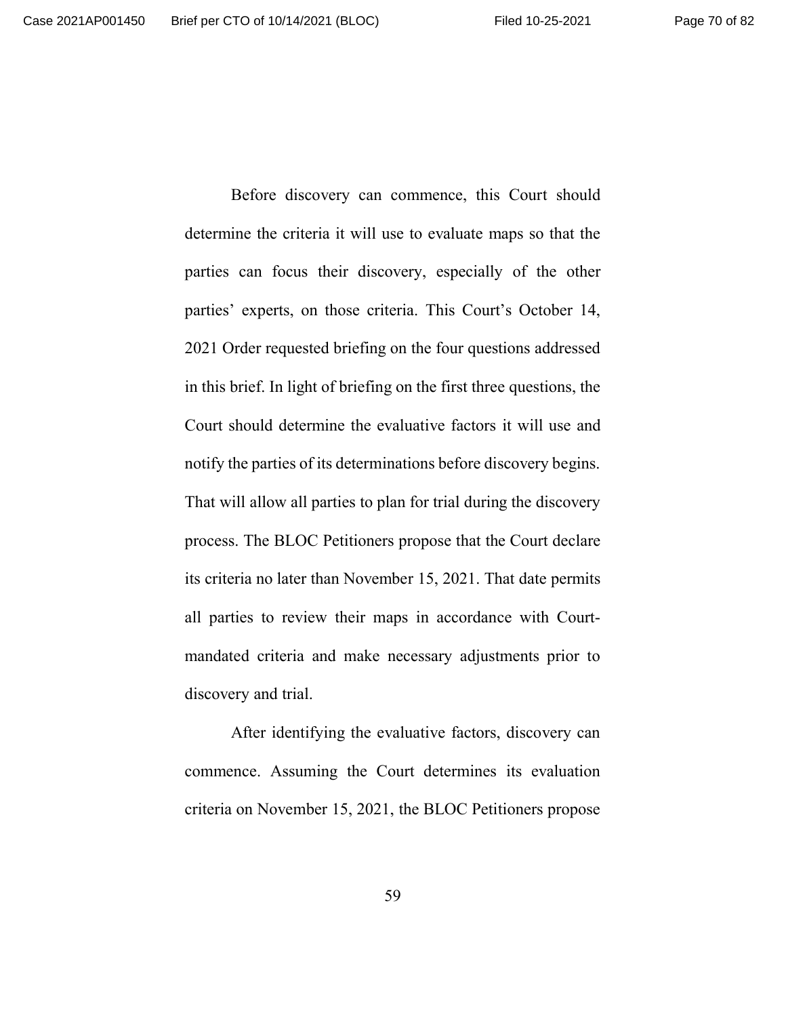Before discovery can commence, this Court should determine the criteria it will use to evaluate maps so that the parties can focus their discovery, especially of the other parties' experts, on those criteria. This Court's October 14, 2021 Order requested briefing on the four questions addressed in this brief. In light of briefing on the first three questions, the Court should determine the evaluative factors it will use and notify the parties of its determinations before discovery begins. That will allow all parties to plan for trial during the discovery process. The BLOC Petitioners propose that the Court declare its criteria no later than November 15, 2021. That date permits all parties to review their maps in accordance with Courtmandated criteria and make necessary adjustments prior to discovery and trial.

After identifying the evaluative factors, discovery can commence. Assuming the Court determines its evaluation criteria on November 15, 2021, the BLOC Petitioners propose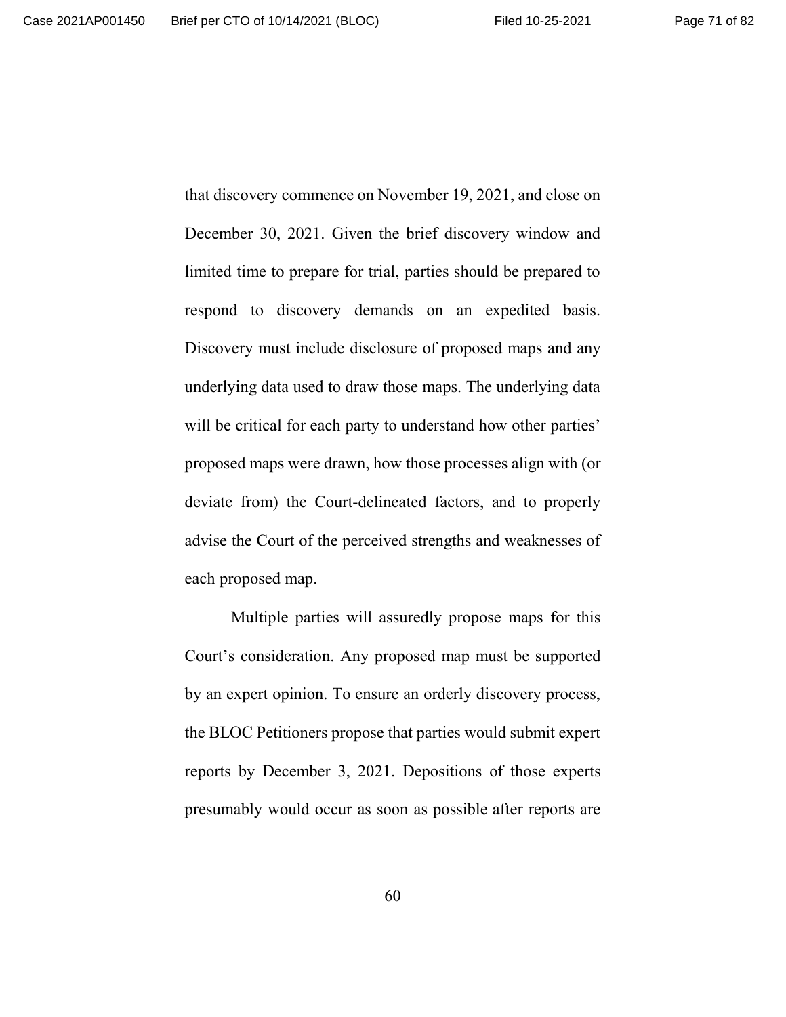that discovery commence on November 19, 2021, and close on December 30, 2021. Given the brief discovery window and limited time to prepare for trial, parties should be prepared to respond to discovery demands on an expedited basis. Discovery must include disclosure of proposed maps and any underlying data used to draw those maps. The underlying data will be critical for each party to understand how other parties' proposed maps were drawn, how those processes align with (or deviate from) the Court-delineated factors, and to properly advise the Court of the perceived strengths and weaknesses of each proposed map.

Multiple parties will assuredly propose maps for this Court's consideration. Any proposed map must be supported by an expert opinion. To ensure an orderly discovery process, the BLOC Petitioners propose that parties would submit expert reports by December 3, 2021. Depositions of those experts presumably would occur as soon as possible after reports are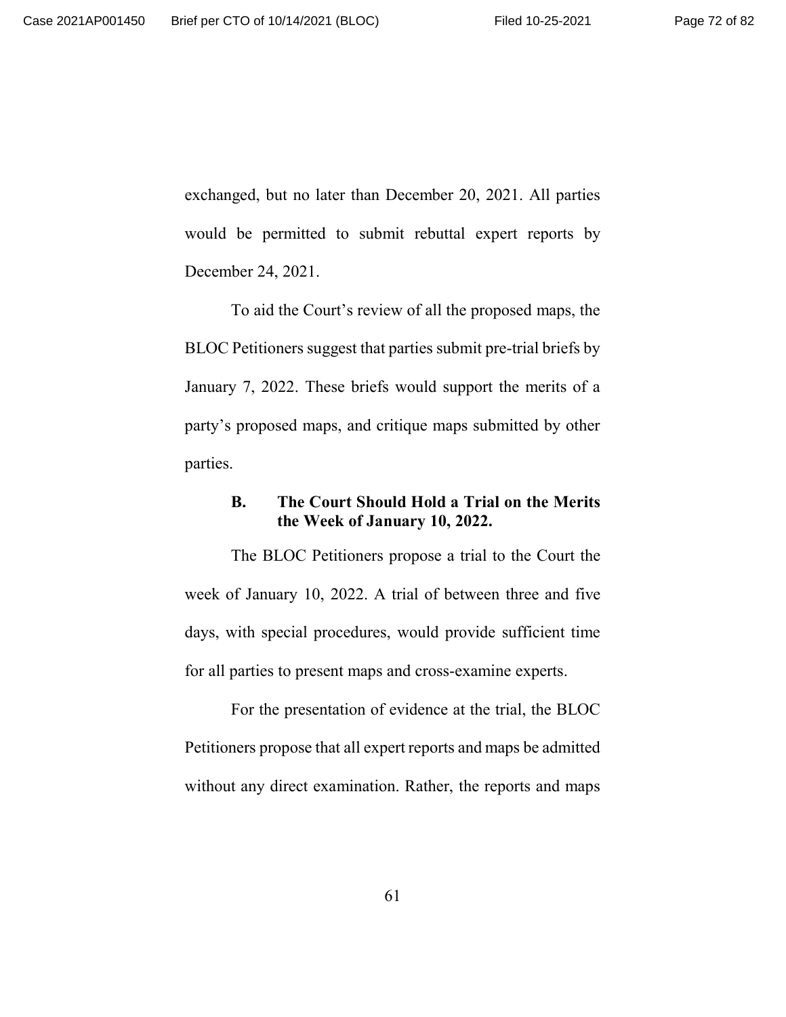exchanged, but no later than December 20, 2021. All parties would be permitted to submit rebuttal expert reports by December 24, 2021.

To aid the Court's review of all the proposed maps, the BLOC Petitioners suggest that parties submit pre-trial briefs by January 7, 2022. These briefs would support the merits of a party's proposed maps, and critique maps submitted by other parties.

#### **B. The Court Should Hold a Trial on the Merits the Week of January 10, 2022.**

The BLOC Petitioners propose a trial to the Court the week of January 10, 2022. A trial of between three and five days, with special procedures, would provide sufficient time for all parties to present maps and cross-examine experts.

For the presentation of evidence at the trial, the BLOC Petitioners propose that all expert reports and maps be admitted without any direct examination. Rather, the reports and maps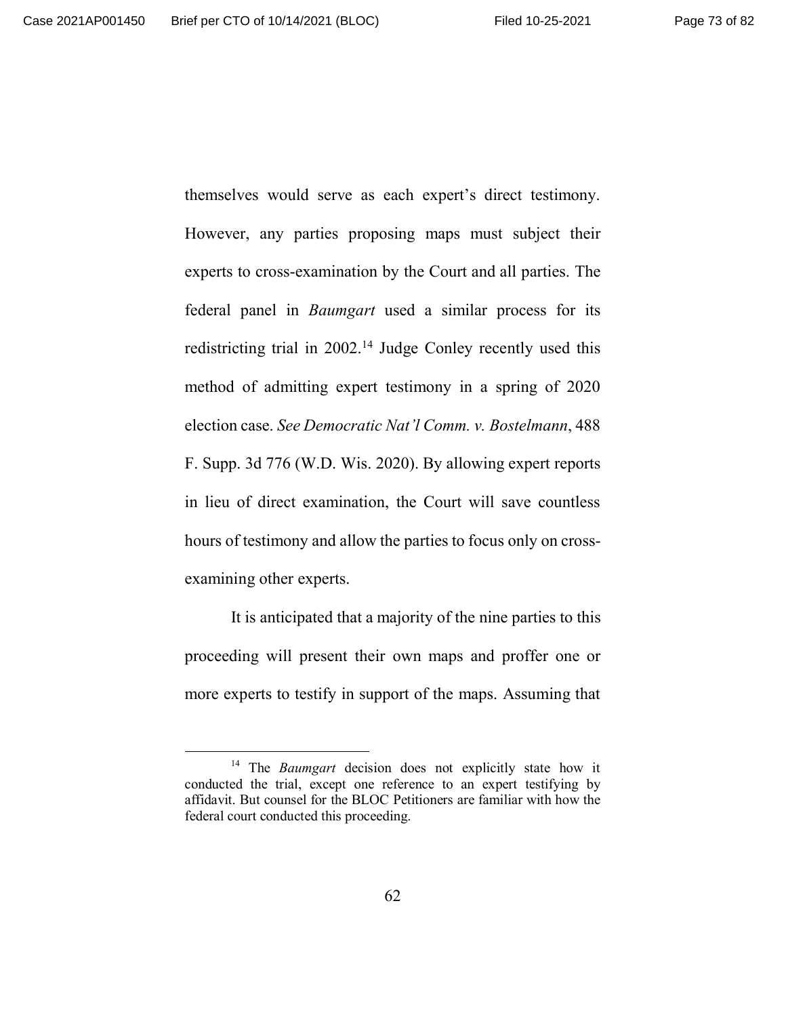themselves would serve as each expert's direct testimony. However, any parties proposing maps must subject their experts to cross-examination by the Court and all parties. The federal panel in *Baumgart* used a similar process for its redistricting trial in 2002.<sup>14</sup> Judge Conley recently used this method of admitting expert testimony in a spring of 2020 election case. *See Democratic Nat'l Comm. v. Bostelmann*, 488 F. Supp. 3d 776 (W.D. Wis. 2020). By allowing expert reports in lieu of direct examination, the Court will save countless hours of testimony and allow the parties to focus only on crossexamining other experts.

It is anticipated that a majority of the nine parties to this proceeding will present their own maps and proffer one or more experts to testify in support of the maps. Assuming that

<sup>14</sup> The *Baumgart* decision does not explicitly state how it conducted the trial, except one reference to an expert testifying by affidavit. But counsel for the BLOC Petitioners are familiar with how the federal court conducted this proceeding.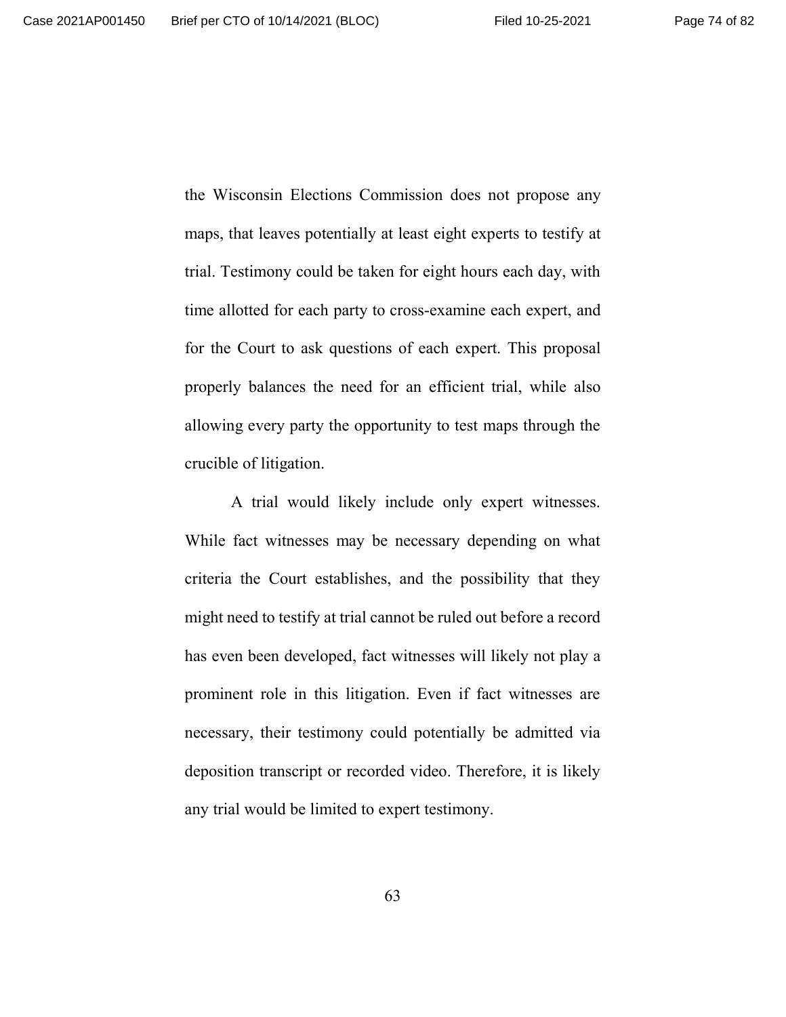the Wisconsin Elections Commission does not propose any maps, that leaves potentially at least eight experts to testify at trial. Testimony could be taken for eight hours each day, with time allotted for each party to cross-examine each expert, and for the Court to ask questions of each expert. This proposal properly balances the need for an efficient trial, while also allowing every party the opportunity to test maps through the crucible of litigation.

A trial would likely include only expert witnesses. While fact witnesses may be necessary depending on what criteria the Court establishes, and the possibility that they might need to testify at trial cannot be ruled out before a record has even been developed, fact witnesses will likely not play a prominent role in this litigation. Even if fact witnesses are necessary, their testimony could potentially be admitted via deposition transcript or recorded video. Therefore, it is likely any trial would be limited to expert testimony.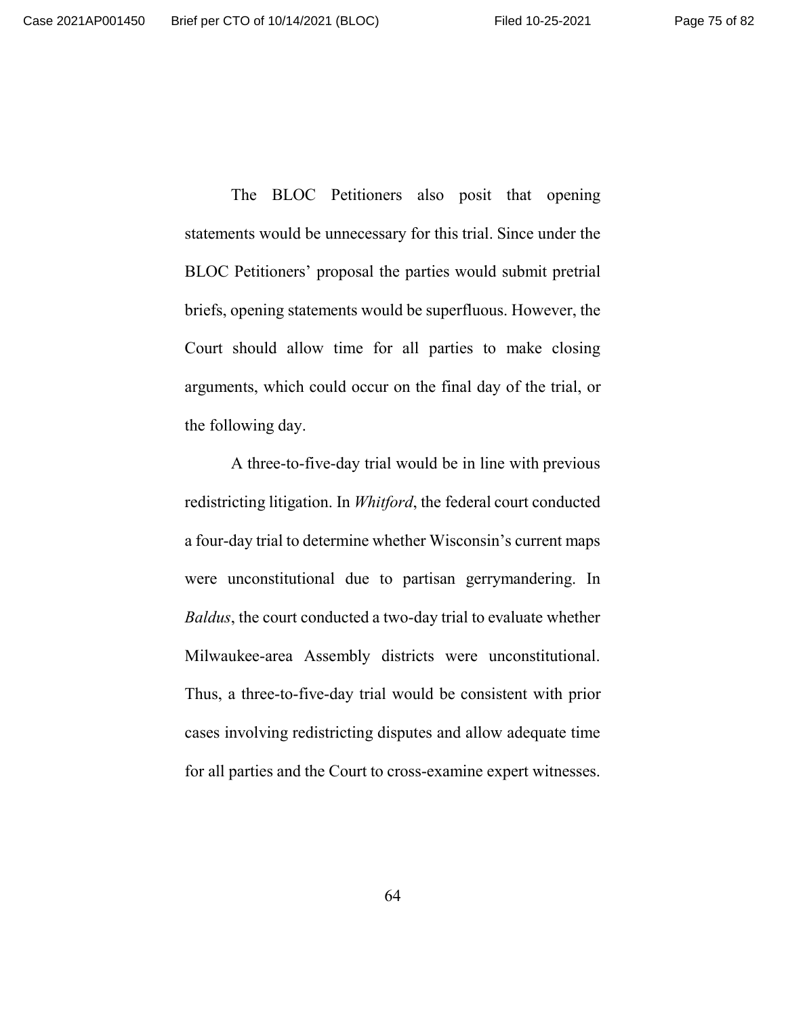The BLOC Petitioners also posit that opening statements would be unnecessary for this trial. Since under the BLOC Petitioners' proposal the parties would submit pretrial briefs, opening statements would be superfluous. However, the Court should allow time for all parties to make closing arguments, which could occur on the final day of the trial, or the following day.

A three-to-five-day trial would be in line with previous redistricting litigation. In *Whitford*, the federal court conducted a four-day trial to determine whether Wisconsin's current maps were unconstitutional due to partisan gerrymandering. In *Baldus*, the court conducted a two-day trial to evaluate whether Milwaukee-area Assembly districts were unconstitutional. Thus, a three-to-five-day trial would be consistent with prior cases involving redistricting disputes and allow adequate time for all parties and the Court to cross-examine expert witnesses.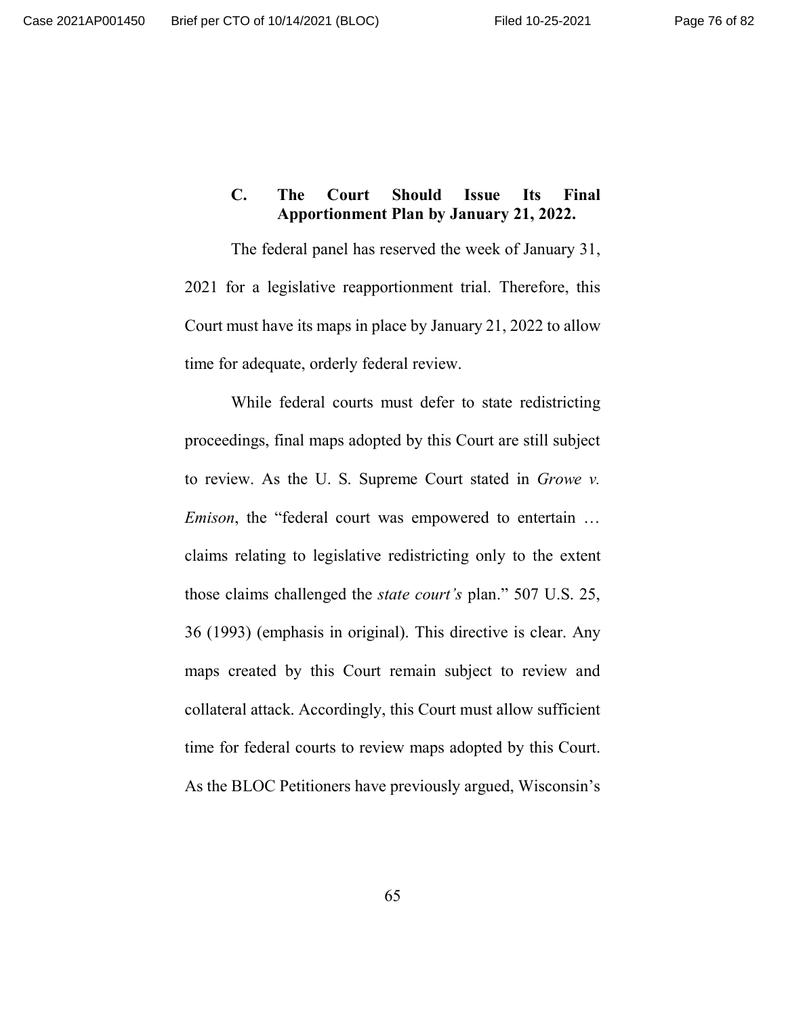# **C. The Court Should Issue Its Final Apportionment Plan by January 21, 2022.**

The federal panel has reserved the week of January 31, 2021 for a legislative reapportionment trial. Therefore, this Court must have its maps in place by January 21, 2022 to allow time for adequate, orderly federal review.

While federal courts must defer to state redistricting proceedings, final maps adopted by this Court are still subject to review. As the U. S. Supreme Court stated in *Growe v. Emison*, the "federal court was empowered to entertain … claims relating to legislative redistricting only to the extent those claims challenged the *state court's* plan." 507 U.S. 25, 36 (1993) (emphasis in original). This directive is clear. Any maps created by this Court remain subject to review and collateral attack. Accordingly, this Court must allow sufficient time for federal courts to review maps adopted by this Court. As the BLOC Petitioners have previously argued, Wisconsin's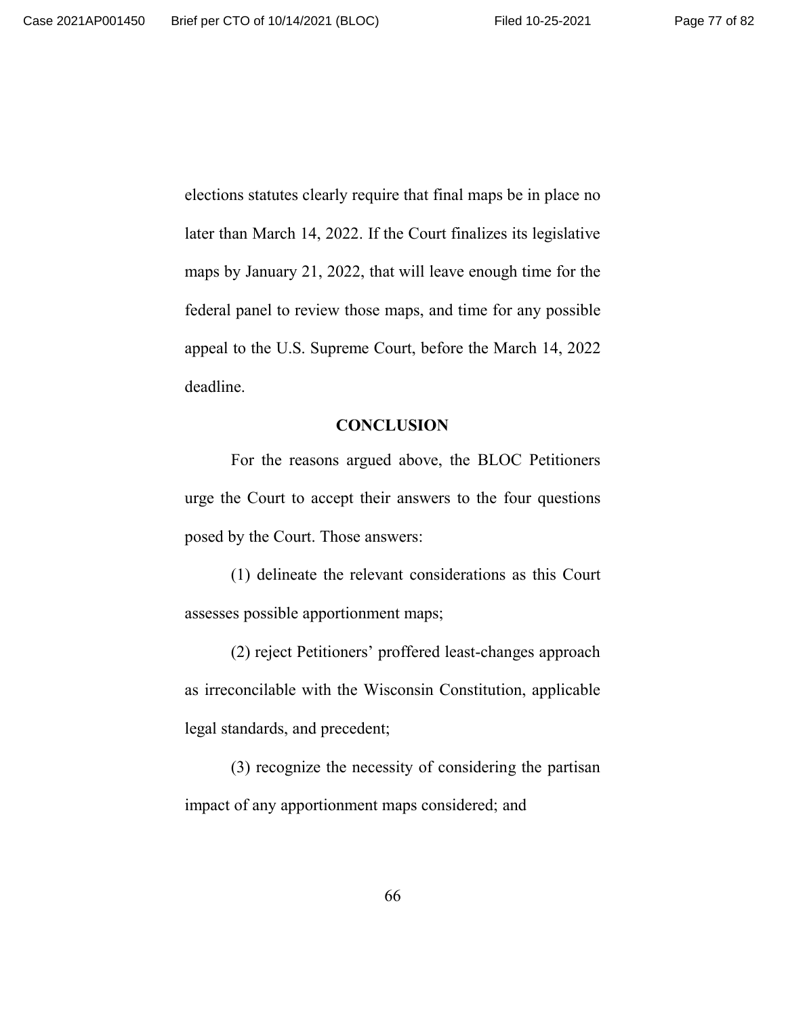elections statutes clearly require that final maps be in place no later than March 14, 2022. If the Court finalizes its legislative maps by January 21, 2022, that will leave enough time for the federal panel to review those maps, and time for any possible appeal to the U.S. Supreme Court, before the March 14, 2022 deadline.

#### **CONCLUSION**

For the reasons argued above, the BLOC Petitioners urge the Court to accept their answers to the four questions posed by the Court. Those answers:

(1) delineate the relevant considerations as this Court assesses possible apportionment maps;

(2) reject Petitioners' proffered least-changes approach as irreconcilable with the Wisconsin Constitution, applicable legal standards, and precedent;

(3) recognize the necessity of considering the partisan impact of any apportionment maps considered; and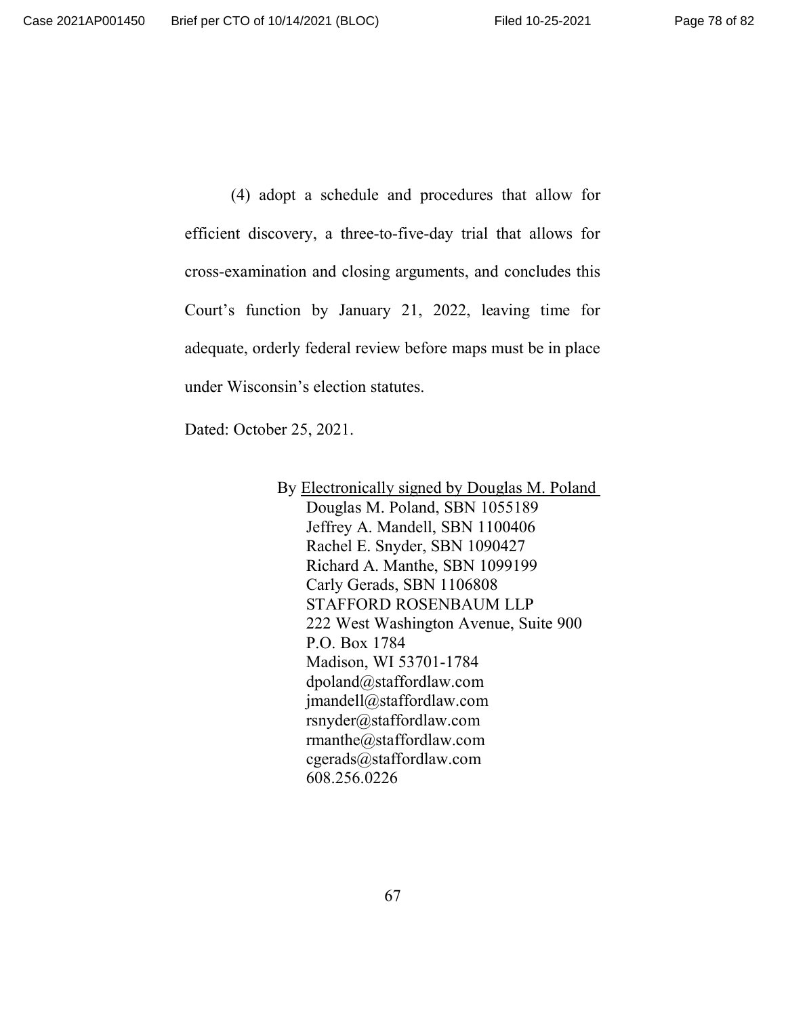(4) adopt a schedule and procedures that allow for efficient discovery, a three-to-five-day trial that allows for cross-examination and closing arguments, and concludes this Court's function by January 21, 2022, leaving time for adequate, orderly federal review before maps must be in place under Wisconsin's election statutes.

Dated: October 25, 2021.

By Electronically signed by Douglas M. Poland Douglas M. Poland, SBN 1055189 Jeffrey A. Mandell, SBN 1100406 Rachel E. Snyder, SBN 1090427 Richard A. Manthe, SBN 1099199 Carly Gerads, SBN 1106808 STAFFORD ROSENBAUM LLP 222 West Washington Avenue, Suite 900 P.O. Box 1784 Madison, WI 53701-1784 dpoland@staffordlaw.com jmandell@staffordlaw.com rsnyder@staffordlaw.com rmanthe@staffordlaw.com cgerads@staffordlaw.com 608.256.0226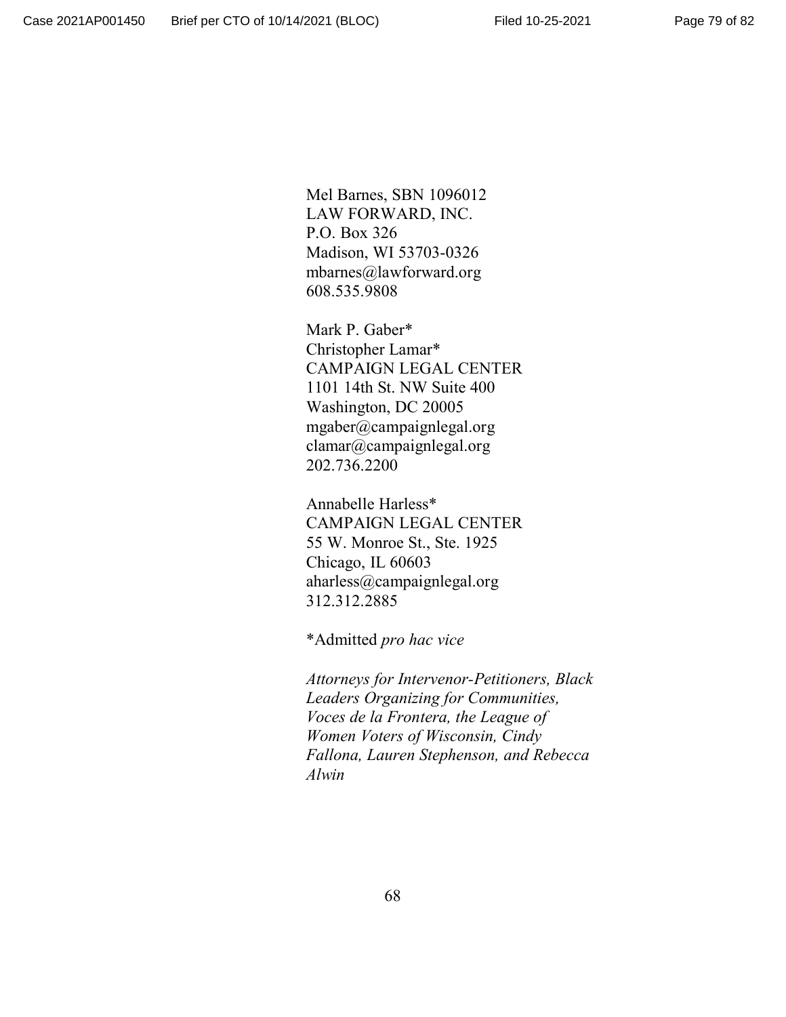Mel Barnes, SBN 1096012 LAW FORWARD, INC. P.O. Box 326 Madison, WI 53703-0326 mbarnes@lawforward.org 608.535.9808

Mark P. Gaber\* Christopher Lamar\* CAMPAIGN LEGAL CENTER 1101 14th St. NW Suite 400 Washington, DC 20005 mgaber@campaignlegal.org clamar@campaignlegal.org 202.736.2200

Annabelle Harless\* CAMPAIGN LEGAL CENTER 55 W. Monroe St., Ste. 1925 Chicago, IL 60603 aharless@campaignlegal.org 312.312.2885

\*Admitted *pro hac vice*

*Attorneys for Intervenor-Petitioners, Black Leaders Organizing for Communities, Voces de la Frontera, the League of Women Voters of Wisconsin, Cindy Fallona, Lauren Stephenson, and Rebecca Alwin*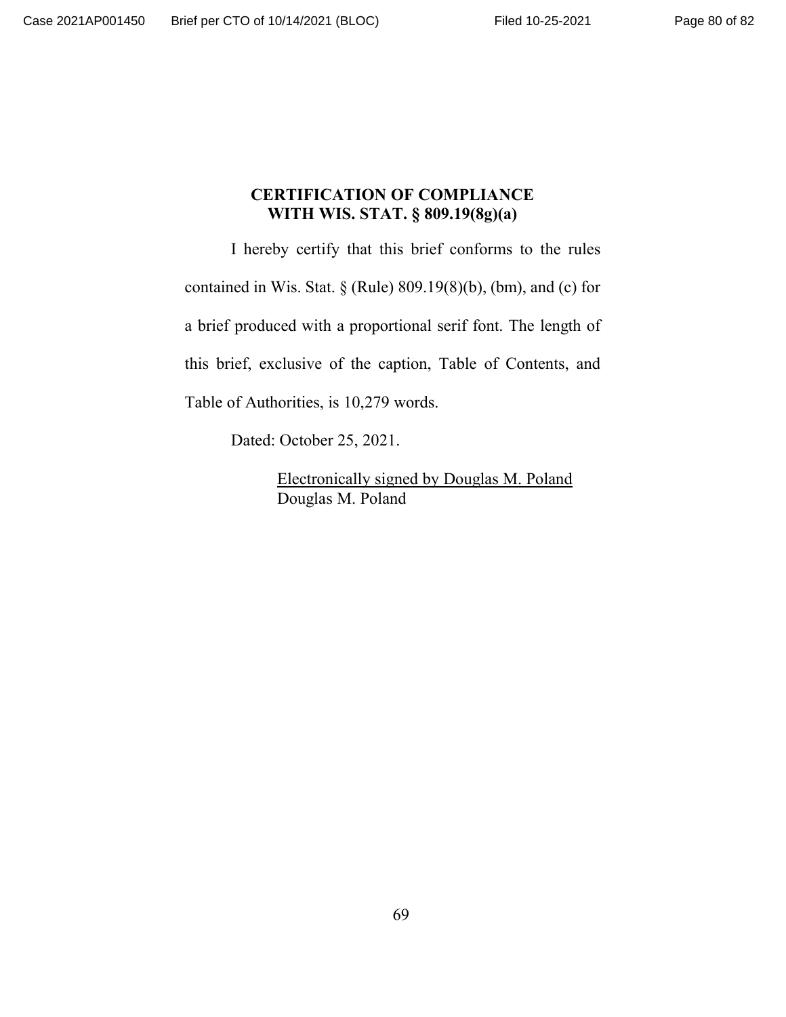## **CERTIFICATION OF COMPLIANCE WITH WIS. STAT. § 809.19(8g)(a)**

I hereby certify that this brief conforms to the rules contained in Wis. Stat. § (Rule) 809.19(8)(b), (bm), and (c) for a brief produced with a proportional serif font. The length of this brief, exclusive of the caption, Table of Contents, and Table of Authorities, is 10,279 words.

Dated: October 25, 2021.

Electronically signed by Douglas M. Poland Douglas M. Poland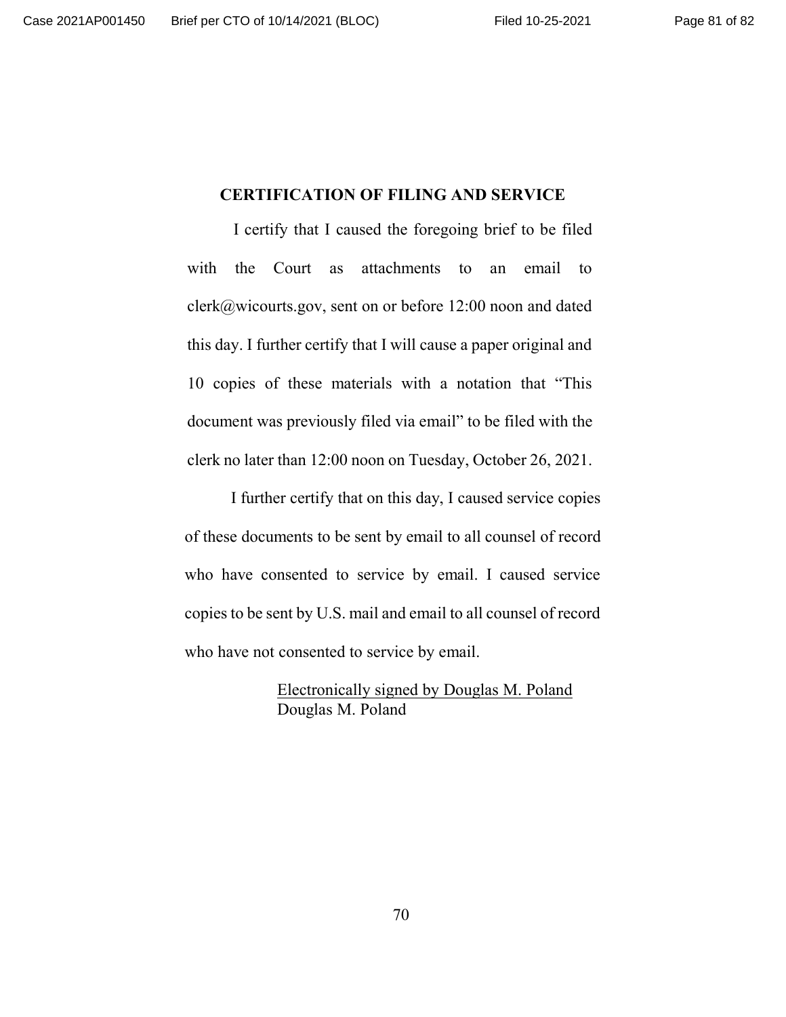### **CERTIFICATION OF FILING AND SERVICE**

I certify that I caused the foregoing brief to be filed with the Court as attachments to an email to clerk@wicourts.gov, sent on or before 12:00 noon and dated this day. I further certify that I will cause a paper original and 10 copies of these materials with a notation that "This document was previously filed via email" to be filed with the clerk no later than 12:00 noon on Tuesday, October 26, 2021.

I further certify that on this day, I caused service copies of these documents to be sent by email to all counsel of record who have consented to service by email. I caused service copies to be sent by U.S. mail and email to all counsel of record who have not consented to service by email.

> Electronically signed by Douglas M. Poland Douglas M. Poland